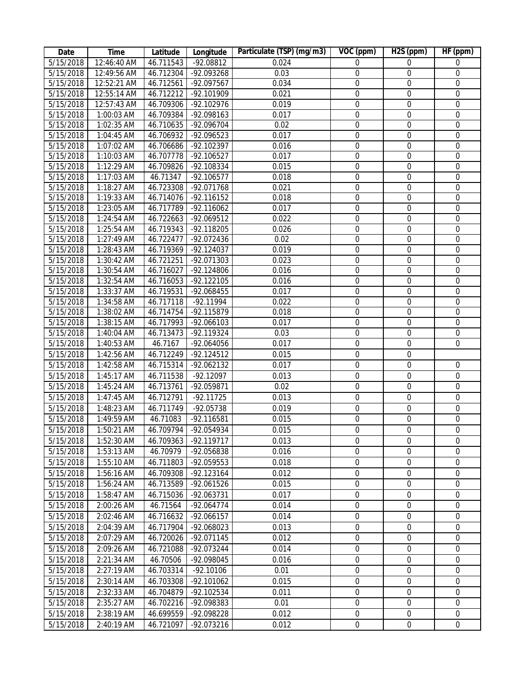| Date                   | <b>Time</b>  | Latitude  | Longitude    | Particulate (TSP) (mg/m3) | VOC (ppm)        | H <sub>2</sub> S (ppm) | HF (ppm)         |
|------------------------|--------------|-----------|--------------|---------------------------|------------------|------------------------|------------------|
| 5/15/2018              | 12:46:40 AM  | 46.711543 | $-92.08812$  | 0.024                     | $\boldsymbol{0}$ | $\boldsymbol{0}$       | $\boldsymbol{0}$ |
| 5/15/2018              | 12:49:56 AM  | 46.712304 | -92.093268   | 0.03                      | $\boldsymbol{0}$ | $\boldsymbol{0}$       | $\boldsymbol{0}$ |
| 5/15/2018              | 12:52:21 AM  | 46.712561 | -92.097567   | 0.034                     | $\boldsymbol{0}$ | $\boldsymbol{0}$       | $\boldsymbol{0}$ |
| 5/15/2018              | 12:55:14 AM  | 46.712212 | -92.101909   | 0.021                     | $\boldsymbol{0}$ | $\boldsymbol{0}$       | $\boldsymbol{0}$ |
| 5/15/2018              | 12:57:43 AM  | 46.709306 | -92.102976   | 0.019                     | $\boldsymbol{0}$ | $\boldsymbol{0}$       | $\boldsymbol{0}$ |
| 5/15/2018              | 1:00:03 AM   | 46.709384 | -92.098163   | 0.017                     | $\boldsymbol{0}$ | $\boldsymbol{0}$       | $\boldsymbol{0}$ |
| 5/15/2018              | 1:02:35 AM   | 46.710635 | -92.096704   | 0.02                      | $\boldsymbol{0}$ | $\boldsymbol{0}$       | $\boldsymbol{0}$ |
| 5/15/2018              | 1:04:45 AM   | 46.706932 | -92.096523   | 0.017                     | $\boldsymbol{0}$ | $\boldsymbol{0}$       | $\mathbf 0$      |
| 5/15/2018              | 1:07:02 AM   | 46.706686 | -92.102397   | 0.016                     | $\boldsymbol{0}$ | $\boldsymbol{0}$       | $\boldsymbol{0}$ |
| 5/15/2018              | 1:10:03 AM   | 46.707778 | $-92.106527$ | 0.017                     | $\boldsymbol{0}$ | $\boldsymbol{0}$       | $\boldsymbol{0}$ |
| 5/15/2018              | 1:12:29 AM   | 46.709826 | $-92.108334$ | 0.015                     | $\boldsymbol{0}$ | $\boldsymbol{0}$       | $\boldsymbol{0}$ |
| 5/15/2018              | 1:17:03 AM   | 46.71347  | $-92.106577$ | 0.018                     | $\boldsymbol{0}$ | $\boldsymbol{0}$       | $\boldsymbol{0}$ |
| 5/15/2018              | 1:18:27 AM   | 46.723308 | -92.071768   | 0.021                     | $\boldsymbol{0}$ | $\boldsymbol{0}$       | $\boldsymbol{0}$ |
| 5/15/2018              | 1:19:33 AM   | 46.714076 | $-92.116152$ | 0.018                     | $\boldsymbol{0}$ | $\boldsymbol{0}$       | $\boldsymbol{0}$ |
| 5/15/2018              | 1:23:05 AM   | 46.717789 | $-92.116062$ | 0.017                     | $\boldsymbol{0}$ | $\boldsymbol{0}$       | $\boldsymbol{0}$ |
| 5/15/2018              | 1:24:54 AM   | 46.722663 | -92.069512   | 0.022                     | $\boldsymbol{0}$ | $\boldsymbol{0}$       | $\mathbf 0$      |
| 5/15/2018              | 1:25:54 AM   | 46.719343 | -92.118205   | 0.026                     | $\boldsymbol{0}$ | $\boldsymbol{0}$       | $\boldsymbol{0}$ |
| 5/15/2018              | 1:27:49 AM   | 46.722477 | -92.072436   | 0.02                      | $\boldsymbol{0}$ | $\boldsymbol{0}$       | $\boldsymbol{0}$ |
| 5/15/2018              | 1:28:43 AM   | 46.719369 | -92.124037   | 0.019                     | $\boldsymbol{0}$ | $\boldsymbol{0}$       | $\boldsymbol{0}$ |
| 5/15/2018              | 1:30:42 AM   | 46.721251 | -92.071303   | 0.023                     | $\boldsymbol{0}$ | $\boldsymbol{0}$       | $\boldsymbol{0}$ |
| 5/15/2018              | $1:30:54$ AM | 46.716027 | -92.124806   | 0.016                     | $\boldsymbol{0}$ | $\boldsymbol{0}$       | $\boldsymbol{0}$ |
| 5/15/2018              | $1:32:54$ AM | 46.716053 | $-92.122105$ | 0.016                     | $\boldsymbol{0}$ | $\boldsymbol{0}$       | $\boldsymbol{0}$ |
| 5/15/2018              | 1:33:37 AM   | 46.719531 | $-92.068455$ | 0.017                     | $\boldsymbol{0}$ | $\boldsymbol{0}$       | $\boldsymbol{0}$ |
| 5/15/2018              | 1:34:58 AM   | 46.717118 | $-92.11994$  | 0.022                     | $\boldsymbol{0}$ | $\boldsymbol{0}$       | $\mathbf 0$      |
| 5/15/2018              | 1:38:02 AM   | 46.714754 | -92.115879   | 0.018                     | $\boldsymbol{0}$ | $\boldsymbol{0}$       | $\boldsymbol{0}$ |
| 5/15/2018              | 1:38:15 AM   | 46.717993 | -92.066103   | 0.017                     | $\boldsymbol{0}$ | $\boldsymbol{0}$       | $\boldsymbol{0}$ |
| 5/15/2018              | 1:40:04 AM   | 46.713473 | -92.119324   | 0.03                      | $\boldsymbol{0}$ | $\boldsymbol{0}$       | $\boldsymbol{0}$ |
| 5/15/2018              | 1:40:53 AM   | 46.7167   | -92.064056   | 0.017                     | $\boldsymbol{0}$ | $\mathbf 0$            | $\mathbf 0$      |
| 5/15/2018              | 1:42:56 AM   | 46.712249 | $-92.124512$ | 0.015                     | $\boldsymbol{0}$ | $\boldsymbol{0}$       |                  |
| 5/15/2018              | 1:42:58 AM   | 46.715314 | -92.062132   | 0.017                     | $\boldsymbol{0}$ | $\boldsymbol{0}$       | $\boldsymbol{0}$ |
| $\overline{5}/15/2018$ | 1:45:17 AM   | 46.711538 | $-92.12097$  | 0.013                     | $\boldsymbol{0}$ | $\boldsymbol{0}$       | $\mathbf 0$      |
|                        |              |           | -92.059871   | 0.02                      | $\boldsymbol{0}$ | $\boldsymbol{0}$       | $\mathbf 0$      |
| 5/15/2018              | 1:45:24 AM   | 46.713761 | $-92.11725$  |                           | $\mathbf 0$      |                        | $\mathbf 0$      |
| 5/15/2018              | 1:47:45 AM   | 46.712791 |              | 0.013                     |                  | $\mathbf 0$            |                  |
| 5/15/2018              | 1:48:23 AM   | 46.711749 | $-92.05738$  | 0.019                     | $\boldsymbol{0}$ | $\mathbf 0$            | $\mathbf 0$      |
| 5/15/2018              | 1:49:59 AM   | 46.71083  | -92.116581   | 0.015                     | $\boldsymbol{0}$ | $\boldsymbol{0}$       | $\mathbf 0$      |
| 5/15/2018              | 1:50:21 AM   | 46.709794 | -92.054934   | 0.015                     | $\mathbf 0$      | $\mathbf 0$            | $\mathbf 0$      |
| 5/15/2018              | 1:52:30 AM   | 46.709363 | -92.119717   | 0.013                     | 0                | $\boldsymbol{0}$       | $\boldsymbol{0}$ |
| 5/15/2018              | 1:53:13 AM   | 46.70979  | -92.056838   | 0.016                     | $\overline{0}$   | $\mathbf 0$            | $\mathbf 0$      |
| 5/15/2018              | 1:55:10 AM   | 46.711803 | -92.059553   | 0.018                     | $\boldsymbol{0}$ | $\boldsymbol{0}$       | $\mathbf 0$      |
| 5/15/2018              | 1:56:16 AM   | 46.709308 | $-92.123164$ | 0.012                     | 0                | $\boldsymbol{0}$       | $\mathbf 0$      |
| 5/15/2018              | 1:56:24 AM   | 46.713589 | -92.061526   | 0.015                     | 0                | $\boldsymbol{0}$       | $\mathbf 0$      |
| 5/15/2018              | 1:58:47 AM   | 46.715036 | -92.063731   | 0.017                     | 0                | $\mathbf 0$            | $\mathbf{0}$     |
| 5/15/2018              | $2:00:26$ AM | 46.71564  | $-92.064774$ | 0.014                     | 0                | $\boldsymbol{0}$       | $\mathbf 0$      |
| 5/15/2018              | 2:02:46 AM   | 46.716632 | $-92.066157$ | 0.014                     | 0                | $\boldsymbol{0}$       | $\mathbf 0$      |
| 5/15/2018              | 2:04:39 AM   | 46.717904 | -92.068023   | 0.013                     | $\mathbf 0$      | $\mathbf{0}$           | $\mathbf 0$      |
| 5/15/2018              | 2:07:29 AM   | 46.720026 | -92.071145   | 0.012                     | $\mathbf 0$      | $\mathbf 0$            | $\mathbf 0$      |
| 5/15/2018              | 2:09:26 AM   | 46.721088 | -92.073244   | 0.014                     | $\mathbf 0$      | $\mathbf 0$            | $\mathbf 0$      |
| 5/15/2018              | 2:21:34 AM   | 46.70506  | -92.098045   | 0.016                     | $\mathbf 0$      | $\mathbf 0$            | $\mathbf 0$      |
| 5/15/2018              | 2:27:19 AM   | 46.703314 | $-92.10106$  | 0.01                      | 0                | $\mathbf 0$            | $\mathbf 0$      |
| 5/15/2018              | 2:30:14 AM   | 46.703308 | -92.101062   | 0.015                     | $\mathbf 0$      | $\mathbf 0$            | $\mathbf 0$      |
| 5/15/2018              | 2:32:33 AM   | 46.704879 | -92.102534   | 0.011                     | $\boldsymbol{0}$ | $\boldsymbol{0}$       | $\mathbf 0$      |
| 5/15/2018              | 2:35:27 AM   | 46.702216 | -92.098383   | 0.01                      | $\boldsymbol{0}$ | $\boldsymbol{0}$       | $\boldsymbol{0}$ |
| 5/15/2018              | 2:38:19 AM   | 46.699559 | -92.098228   | 0.012                     | $\boldsymbol{0}$ | $\boldsymbol{0}$       | $\mathbf 0$      |
| 5/15/2018              | 2:40:19 AM   | 46.721097 | -92.073216   | 0.012                     | $\boldsymbol{0}$ | $\overline{0}$         | 0                |
|                        |              |           |              |                           |                  |                        |                  |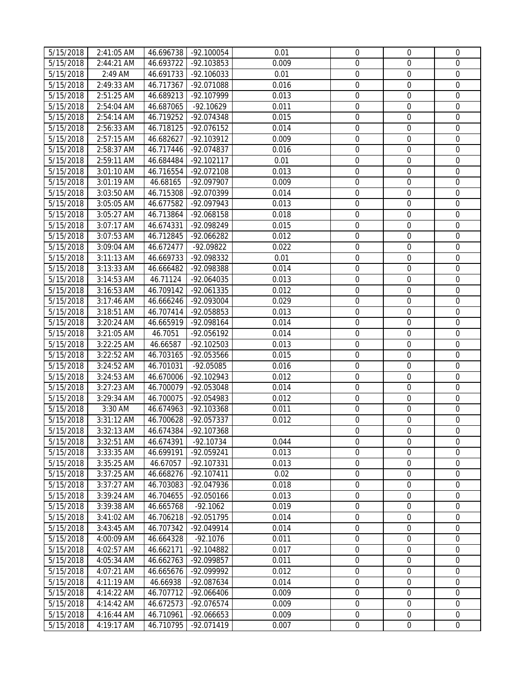| 5/15/2018              | 2:41:05 AM                 | 46.696738 | $-92.100054$ | 0.01  | $\mathbf 0$           | $\mathbf{0}$     | $\mathbf 0$      |
|------------------------|----------------------------|-----------|--------------|-------|-----------------------|------------------|------------------|
| 5/15/2018              | 2:44:21 AM                 | 46.693722 | -92.103853   | 0.009 | 0                     | $\mathbf 0$      | $\mathbf 0$      |
| 5/15/2018              | 2:49 AM                    | 46.691733 | -92.106033   | 0.01  | $\boldsymbol{0}$      | $\mathbf 0$      | $\mathbf 0$      |
| $\frac{1}{5/15/2018}$  | 2:49:33 AM                 | 46.717367 | -92.071088   | 0.016 | $\mathbf 0$           | $\mathbf 0$      | $\mathbf 0$      |
| $\overline{5}/15/2018$ | 2:51:25 AM                 | 46.689213 | -92.107999   | 0.013 | $\boldsymbol{0}$      | $\boldsymbol{0}$ | $\mathbf 0$      |
| 5/15/2018              | 2:54:04 AM                 | 46.687065 | $-92.10629$  | 0.011 | $\mathbf 0$           | $\mathbf 0$      | $\mathbf 0$      |
| 5/15/2018              | 2:54:14 AM                 | 46.719252 | -92.074348   | 0.015 | $\mathbf 0$           | $\mathbf 0$      | $\mathbf 0$      |
| 5/15/2018              | 2:56:33 AM                 | 46.718125 | -92.076152   | 0.014 | $\mathbf 0$           | $\mathbf 0$      | $\mathbf 0$      |
| 5/15/2018              | 2:57:15 AM                 | 46.682627 | -92.103912   | 0.009 | $\boldsymbol{0}$      | $\mathbf 0$      | $\mathbf 0$      |
| 5/15/2018              | 2:58:37 AM                 | 46.717446 | -92.074837   | 0.016 | $\overline{0}$        | $\mathbf 0$      | $\mathbf 0$      |
| 5/15/2018              | 2:59:11 AM                 | 46.684484 | $-92.102117$ | 0.01  | $\boldsymbol{0}$      | $\boldsymbol{0}$ | $\mathbf 0$      |
| 5/15/2018              | 3:01:10 AM                 | 46.716554 | -92.072108   | 0.013 | $\boldsymbol{0}$      | $\boldsymbol{0}$ | $\mathbf 0$      |
| 5/15/2018              | 3:01:19 AM                 | 46.68165  | -92.097907   | 0.009 | $\boldsymbol{0}$      | $\boldsymbol{0}$ | $\mathbf 0$      |
| 5/15/2018              | 3:03:50 AM                 | 46.715308 | -92.070399   | 0.014 | 0                     | $\boldsymbol{0}$ | $\mathbf 0$      |
| 5/15/2018              | 3:05:05 AM                 | 46.677582 | -92.097943   | 0.013 | $\boldsymbol{0}$      | $\boldsymbol{0}$ | $\mathbf 0$      |
|                        |                            |           | -92.068158   | 0.018 |                       | $\boldsymbol{0}$ | $\mathbf 0$      |
| 5/15/2018              | 3:05:27 AM<br>$3:07:17$ AM | 46.713864 | -92.098249   | 0.015 | 0<br>$\boldsymbol{0}$ | $\boldsymbol{0}$ | $\boldsymbol{0}$ |
| 5/15/2018              |                            | 46.674331 | $-92.066282$ |       |                       |                  |                  |
| 5/15/2018              | 3:07:53 AM                 | 46.712845 |              | 0.012 | 0                     | $\mathbf 0$      | $\mathbf 0$      |
| 5/15/2018              | 3:09:04 AM                 | 46.672477 | -92.09822    | 0.022 | $\mathbf 0$           | $\mathbf 0$      | $\mathbf 0$      |
| 5/15/2018              | 3:11:13 AM                 | 46.669733 | -92.098332   | 0.01  | $\overline{0}$        | $\mathbf 0$      | $\mathbf 0$      |
| 5/15/2018              | 3:13:33 AM                 | 46.666482 | -92.098388   | 0.014 | $\mathbf 0$           | $\mathbf 0$      | $\mathbf 0$      |
| 5/15/2018              | 3:14:53 AM                 | 46.71124  | -92.064035   | 0.013 | $\boldsymbol{0}$      | $\mathbf 0$      | $\mathbf 0$      |
| 5/15/2018              | 3:16:53 AM                 | 46.709142 | -92.061335   | 0.012 | $\mathbf 0$           | $\boldsymbol{0}$ | $\mathbf 0$      |
| 5/15/2018              | 3:17:46 AM                 | 46.666246 | -92.093004   | 0.029 | $\boldsymbol{0}$      | $\boldsymbol{0}$ | $\mathbf 0$      |
| 5/15/2018              | 3:18:51 AM                 | 46.707414 | -92.058853   | 0.013 | $\boldsymbol{0}$      | $\boldsymbol{0}$ | $\mathbf 0$      |
| 5/15/2018              | 3:20:24 AM                 | 46.665919 | -92.098164   | 0.014 | $\boldsymbol{0}$      | $\boldsymbol{0}$ | $\mathbf 0$      |
| 5/15/2018              | 3:21:05 AM                 | 46.7051   | -92.056192   | 0.014 | $\boldsymbol{0}$      | $\boldsymbol{0}$ | $\mathbf 0$      |
| 5/15/2018              | $3:22:25$ AM               | 46.66587  | -92.102503   | 0.013 | $\boldsymbol{0}$      | $\mathbf 0$      | $\mathbf 0$      |
| $\overline{5}/15/2018$ | 3:22:52 AM                 | 46.703165 | $-92.053566$ | 0.015 | $\boldsymbol{0}$      | $\boldsymbol{0}$ | $\mathbf 0$      |
| 5/15/2018              | 3:24:52 AM                 | 46.701031 | -92.05085    | 0.016 | $\mathbf 0$           | $\mathbf 0$      | $\mathbf 0$      |
| 5/15/2018              | 3:24:53 AM                 | 46.670006 | -92.102943   | 0.012 | 0                     | $\mathbf 0$      | $\mathbf 0$      |
| $\overline{5}/15/2018$ | 3:27:23 AM                 | 46.700079 | -92.053048   | 0.014 | 0                     | $\mathbf 0$      | $\boldsymbol{0}$ |
| 5/15/2018              | 3:29:34 AM                 | 46.700075 | -92.054983   | 0.012 | 0                     | $\mathbf 0$      | $\boldsymbol{0}$ |
| 5/15/2018              | 3:30 AM                    | 46.674963 | -92.103368   | 0.011 | 0                     | $\mathbf 0$      | $\mathbf 0$      |
| 5/15/2018              | 3:31:12 AM                 | 46.700628 | -92.057337   | 0.012 | $\boldsymbol{0}$      | $\boldsymbol{0}$ | $\mathbf 0$      |
| 5/15/2018              | 3:32:13 AM                 | 46.674384 | -92.107368   |       | $\overline{0}$        | $\mathbf 0$      | $\mathbf 0$      |
| 5/15/2018              | 3:32:51 AM                 | 46.674391 | $-92.10734$  | 0.044 | $\mathbf{0}$          | $\mathbf{0}$     | $\mathbf 0$      |
| 5/15/2018              | 3:33:35 AM                 | 46.699191 | -92.059241   | 0.013 | 0                     | $\mathbf 0$      | $\mathbf{0}$     |
| 5/15/2018              | 3:35:25 AM                 | 46.67057  | -92.107331   | 0.013 | 0                     | $\boldsymbol{0}$ | 0                |
| $\overline{5}/15/2018$ | 3:37:25 AM                 | 46.668276 | $-92.107411$ | 0.02  | 0                     | $\boldsymbol{0}$ | $\boldsymbol{0}$ |
| 5/15/2018              | 3:37:27 AM                 | 46.703083 | -92.047936   | 0.018 | $\mathbf 0$           | $\mathbf 0$      | $\mathbf 0$      |
| 5/15/2018              | 3:39:24 AM                 | 46.704655 | -92.050166   | 0.013 | $\boldsymbol{0}$      | $\boldsymbol{0}$ | $\mathbf 0$      |
| 5/15/2018              | 3:39:38 AM                 | 46.665768 | $-92.1062$   | 0.019 | $\boldsymbol{0}$      | $\mathbf 0$      | $\mathbf 0$      |
| 5/15/2018              | 3:41:02 AM                 | 46.706218 | $-92.051795$ | 0.014 | $\mathbf 0$           | $\mathbf 0$      | $\Omega$         |
| 5/15/2018              | 3:43:45 AM                 | 46.707342 | -92.049914   | 0.014 | 0                     | 0                | $\mathbf 0$      |
| 5/15/2018              | 4:00:09 AM                 | 46.664328 | $-92.1076$   | 0.011 | $\mathbf 0$           | $\mathbf 0$      | $\mathbf 0$      |
| 5/15/2018              | 4:02:57 AM                 | 46.662171 | -92.104882   | 0.017 | 0                     | $\mathbf 0$      | $\boldsymbol{0}$ |
| 5/15/2018              | 4:05:34 AM                 | 46.662763 | -92.099857   | 0.011 | $\boldsymbol{0}$      | $\boldsymbol{0}$ | $\mathbf 0$      |
| 5/15/2018              | 4:07:21 AM                 | 46.665676 | -92.099992   | 0.012 | 0                     | 0                | $\mathbf 0$      |
| 5/15/2018              | 4:11:19 AM                 | 46.66938  | -92.087634   | 0.014 | 0                     | $\boldsymbol{0}$ | $\mathbf 0$      |
| 5/15/2018              | 4:14:22 AM                 | 46.707712 | -92.066406   | 0.009 | 0                     | $\boldsymbol{0}$ | $\mathbf 0$      |
| 5/15/2018              | 4:14:42 AM                 | 46.672573 | -92.076574   | 0.009 | $\boldsymbol{0}$      | $\boldsymbol{0}$ | $\mathbf{0}$     |
| 5/15/2018              | 4:16:44 AM                 | 46.710961 | -92.066653   | 0.009 | $\boldsymbol{0}$      | $\boldsymbol{0}$ | $\mathbf 0$      |
| 5/15/2018              | 4:19:17 AM                 | 46.710795 | $-92.071419$ | 0.007 | $\boldsymbol{0}$      | $\boldsymbol{0}$ | $\mathbf 0$      |
|                        |                            |           |              |       |                       |                  |                  |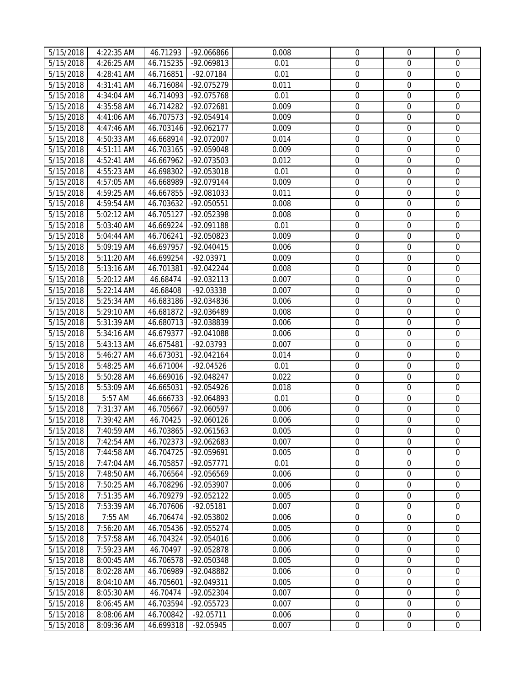| 5/15/2018              | 4:22:35 AM   | 46.71293  | -92.066866   | 0.008 | $\mathbf 0$      | $\mathbf{0}$     | $\mathbf 0$      |
|------------------------|--------------|-----------|--------------|-------|------------------|------------------|------------------|
| 5/15/2018              | 4:26:25 AM   | 46.715235 | -92.069813   | 0.01  | 0                | $\mathbf 0$      | $\mathbf 0$      |
| 5/15/2018              | 4:28:41 AM   | 46.716851 | $-92.07184$  | 0.01  | $\boldsymbol{0}$ | $\mathbf 0$      | $\mathbf 0$      |
| 5/15/2018              | 4:31:41 AM   | 46.716084 | -92.075279   | 0.011 | $\mathbf 0$      | $\mathbf 0$      | $\mathbf 0$      |
| 5/15/2018              | 4:34:04 AM   | 46.714093 | -92.075768   | 0.01  | $\boldsymbol{0}$ | $\boldsymbol{0}$ | $\mathbf 0$      |
| 5/15/2018              | 4:35:58 AM   | 46.714282 | -92.072681   | 0.009 | $\boldsymbol{0}$ | $\mathbf 0$      | $\mathbf 0$      |
| 5/15/2018              | 4:41:06 AM   | 46.707573 | -92.054914   | 0.009 | $\mathbf 0$      | $\mathbf 0$      | $\mathbf 0$      |
| 5/15/2018              | 4:47:46 AM   | 46.703146 | $-92.062177$ | 0.009 | $\mathbf 0$      | $\mathbf 0$      | $\mathbf 0$      |
| 5/15/2018              | 4:50:33 AM   | 46.668914 | -92.072007   | 0.014 | $\boldsymbol{0}$ | $\mathbf 0$      | $\mathbf 0$      |
| 5/15/2018              | 4:51:11 AM   | 46.703165 | -92.059048   | 0.009 | $\mathbf 0$      | $\mathbf 0$      | $\mathbf 0$      |
| 5/15/2018              | 4:52:41 AM   | 46.667962 | -92.073503   | 0.012 | $\boldsymbol{0}$ | $\boldsymbol{0}$ | $\mathbf 0$      |
| 5/15/2018              | 4:55:23 AM   | 46.698302 | -92.053018   | 0.01  | $\boldsymbol{0}$ | $\boldsymbol{0}$ | $\mathbf 0$      |
| 5/15/2018              | 4:57:05 AM   | 46.668989 | $-92.079144$ | 0.009 | $\boldsymbol{0}$ | $\boldsymbol{0}$ | $\mathbf 0$      |
| 5/15/2018              | 4:59:25 AM   | 46.667855 | -92.081033   | 0.011 | 0                | $\boldsymbol{0}$ | $\boldsymbol{0}$ |
| 5/15/2018              | 4:59:54 AM   | 46.703632 | -92.050551   | 0.008 | 0                | $\boldsymbol{0}$ | $\mathbf 0$      |
| 5/15/2018              | 5:02:12 AM   | 46.705127 | -92.052398   | 0.008 | 0                | $\boldsymbol{0}$ | $\mathbf 0$      |
| 5/15/2018              | 5:03:40 AM   | 46.669224 | -92.091188   | 0.01  | $\boldsymbol{0}$ | $\boldsymbol{0}$ | $\boldsymbol{0}$ |
| 5/15/2018              | 5:04:44 AM   | 46.706241 | -92.050823   | 0.009 | 0                | $\boldsymbol{0}$ | $\mathbf 0$      |
| 5/15/2018              | 5:09:19 AM   | 46.697957 | $-92.040415$ | 0.006 | $\mathbf 0$      | $\mathbf 0$      | $\mathbf 0$      |
| 5/15/2018              | 5:11:20 AM   | 46.699254 | $-92.03971$  | 0.009 | $\mathbf 0$      | $\mathbf 0$      | $\mathbf 0$      |
| 5/15/2018              | $5:13:16$ AM | 46.701381 | -92.042244   | 0.008 | $\mathbf 0$      | $\mathbf 0$      | $\mathbf 0$      |
| 5/15/2018              | 5:20:12 AM   | 46.68474  | $-92.032113$ | 0.007 | $\boldsymbol{0}$ | $\mathbf 0$      | $\mathbf 0$      |
| 5/15/2018              | 5:22:14 AM   | 46.68408  | -92.03338    | 0.007 | $\mathbf 0$      | $\boldsymbol{0}$ | $\mathbf 0$      |
| 5/15/2018              | 5:25:34 AM   | 46.683186 | -92.034836   | 0.006 | $\boldsymbol{0}$ | $\boldsymbol{0}$ | $\mathbf 0$      |
| 5/15/2018              | 5:29:10 AM   | 46.681872 | -92.036489   | 0.008 | $\boldsymbol{0}$ | $\boldsymbol{0}$ | $\mathbf 0$      |
| 5/15/2018              | 5:31:39 AM   | 46.680713 | -92.038839   | 0.006 | $\boldsymbol{0}$ | $\boldsymbol{0}$ | $\mathbf 0$      |
| 5/15/2018              | 5:34:16 AM   | 46.679377 | -92.041088   | 0.006 | $\boldsymbol{0}$ | $\boldsymbol{0}$ | $\mathbf 0$      |
| 5/15/2018              | 5:43:13 AM   | 46.675481 | $-92.03793$  | 0.007 | $\boldsymbol{0}$ | $\mathbf 0$      | $\mathbf 0$      |
| $\overline{5}/15/2018$ | 5:46:27 AM   | 46.673031 | $-92.042164$ | 0.014 | $\boldsymbol{0}$ | $\boldsymbol{0}$ | $\mathbf 0$      |
| 5/15/2018              | 5:48:25 AM   | 46.671004 | $-92.04526$  | 0.01  | $\mathbf 0$      | $\mathbf 0$      | $\boldsymbol{0}$ |
| 5/15/2018              | 5:50:28 AM   | 46.669016 | $-92.048247$ | 0.022 | 0                | $\mathbf 0$      | $\mathbf 0$      |
| $\overline{5}/15/2018$ | 5:53:09 AM   | 46.665031 | -92.054926   | 0.018 | 0                | $\mathbf 0$      | $\boldsymbol{0}$ |
| 5/15/2018              | 5:57 AM      | 46.666733 | -92.064893   | 0.01  | 0                | $\mathbf 0$      | $\boldsymbol{0}$ |
| 5/15/2018              | 7:31:37 AM   | 46.705667 | -92.060597   | 0.006 | 0                | $\boldsymbol{0}$ | $\mathbf 0$      |
| 5/15/2018              | 7:39:42 AM   | 46.70425  | $-92.060126$ | 0.006 | $\boldsymbol{0}$ | $\boldsymbol{0}$ | $\mathbf 0$      |
| 5/15/2018              | 7:40:59 AM   | 46.703865 | $-92.061563$ | 0.005 | $\overline{0}$   | $\mathbf 0$      | $\mathbf 0$      |
| 5/15/2018              | 7:42:54 AM   | 46.702373 | -92.062683   | 0.007 | $\overline{0}$   | $\mathbf 0$      | $\mathbf 0$      |
| 5/15/2018              | 7:44:58 AM   | 46.704725 | -92.059691   | 0.005 | 0                | $\mathbf 0$      | $\mathbf 0$      |
| 5/15/2018              | 7:47:04 AM   | 46.705857 | $-92.057771$ | 0.01  | 0                | $\boldsymbol{0}$ | 0                |
| $\overline{5}/15/2018$ | 7:48:50 AM   | 46.706564 | -92.056569   | 0.006 | 0                | $\boldsymbol{0}$ | $\boldsymbol{0}$ |
| 5/15/2018              | 7:50:25 AM   | 46.708296 | -92.053907   | 0.006 | $\mathbf 0$      | $\mathbf 0$      | $\mathbf 0$      |
| 5/15/2018              | 7:51:35 AM   | 46.709279 | -92.052122   | 0.005 | $\boldsymbol{0}$ | $\boldsymbol{0}$ | $\mathbf 0$      |
| 5/15/2018              | 7:53:39 AM   | 46.707606 | $-92.05181$  | 0.007 | $\boldsymbol{0}$ | $\mathbf 0$      | $\mathbf 0$      |
| 5/15/2018              | 7:55 AM      | 46.706474 | -92.053802   | 0.006 | $\mathbf 0$      | $\mathbf 0$      | $\Omega$         |
| 5/15/2018              | 7:56:20 AM   | 46.705436 | -92.055274   | 0.005 | $\boldsymbol{0}$ | 0                | $\mathbf 0$      |
| 5/15/2018              | 7:57:58 AM   | 46.704324 | -92.054016   | 0.006 | $\mathbf 0$      | $\mathbf 0$      | $\mathbf 0$      |
| 5/15/2018              | 7:59:23 AM   | 46.70497  | -92.052878   | 0.006 | $\mathbf 0$      | $\mathbf 0$      | $\boldsymbol{0}$ |
| 5/15/2018              | 8:00:45 AM   | 46.706578 | -92.050348   | 0.005 | 0                | $\boldsymbol{0}$ | $\mathbf 0$      |
| 5/15/2018              | 8:02:28 AM   | 46.706989 | -92.048882   | 0.006 | 0                | 0                | $\mathbf 0$      |
| 5/15/2018              | 8:04:10 AM   | 46.705601 | -92.049311   | 0.005 | 0                | $\boldsymbol{0}$ | $\mathbf 0$      |
| 5/15/2018              | 8:05:30 AM   | 46.70474  | -92.052304   | 0.007 | 0                | $\boldsymbol{0}$ | $\mathbf 0$      |
| 5/15/2018              | 8:06:45 AM   | 46.703594 | $-92.055723$ | 0.007 | 0                | $\boldsymbol{0}$ | $\mathbf{0}$     |
| 5/15/2018              | 8:08:06 AM   | 46.700842 | $-92.05711$  | 0.006 | $\boldsymbol{0}$ | $\boldsymbol{0}$ | $\mathbf 0$      |
| 5/15/2018              | 8:09:36 AM   | 46.699318 | $-92.05945$  | 0.007 | $\boldsymbol{0}$ | $\boldsymbol{0}$ | $\mathbf 0$      |
|                        |              |           |              |       |                  |                  |                  |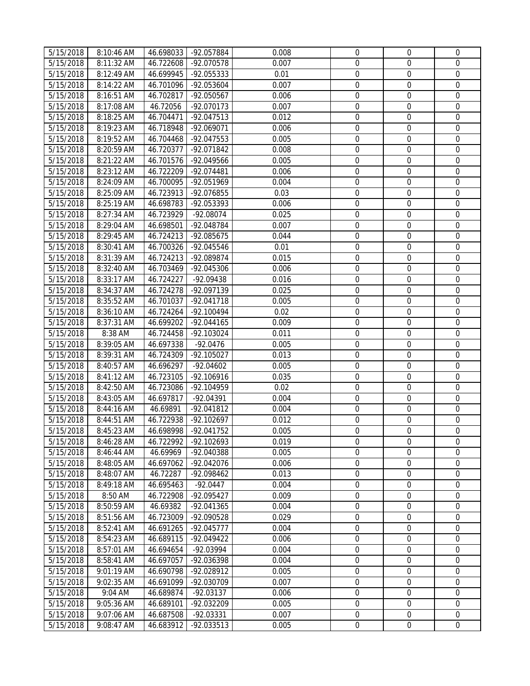| 5/15/2018              | 8:10:46 AM               | 46.698033              | -92.057884               | 0.008          | $\mathbf 0$      | $\mathbf{0}$                         | $\mathbf 0$                     |
|------------------------|--------------------------|------------------------|--------------------------|----------------|------------------|--------------------------------------|---------------------------------|
| 5/15/2018              | 8:11:32 AM               | 46.722608              | -92.070578               | 0.007          | 0                | $\mathbf 0$                          | $\mathbf 0$                     |
| 5/15/2018              | 8:12:49 AM               | 46.699945              | -92.055333               | 0.01           | $\boldsymbol{0}$ | $\mathbf 0$                          | $\mathbf 0$                     |
| 5/15/2018              | 8:14:22 AM               | 46.701096              | -92.053604               | 0.007          | $\boldsymbol{0}$ | $\boldsymbol{0}$                     | $\boldsymbol{0}$                |
| 5/15/2018              | 8:16:51 AM               | 46.702817              | -92.050567               | 0.006          | $\mathbf 0$      | $\boldsymbol{0}$                     | $\mathbf 0$                     |
| 5/15/2018              | 8:17:08 AM               | 46.72056               | -92.070173               | 0.007          | $\mathbf 0$      | $\mathbf 0$                          | $\mathbf 0$                     |
| 5/15/2018              | 8:18:25 AM               | 46.704471              | -92.047513               | 0.012          | $\mathbf 0$      | $\mathbf 0$                          | $\mathbf 0$                     |
| 5/15/2018              | 8:19:23 AM               | 46.718948              | -92.069071               | 0.006          | $\mathbf 0$      | $\mathbf 0$                          | $\mathbf 0$                     |
| 5/15/2018              | 8:19:52 AM               | 46.704468              | -92.047553               | 0.005          | $\mathbf 0$      | $\mathbf 0$                          | $\mathbf 0$                     |
| 5/15/2018              | 8:20:59 AM               | 46.720377              | -92.071842               | 0.008          | $\mathbf 0$      | $\mathbf 0$                          | $\mathbf 0$                     |
| 5/15/2018              | 8:21:22 AM               | 46.701576              | -92.049566               | 0.005          | $\mathbf 0$      | $\mathbf 0$                          | $\boldsymbol{0}$                |
| 5/15/2018              | 8:23:12 AM               | 46.722209              | -92.074481               | 0.006          | $\boldsymbol{0}$ | $\boldsymbol{0}$                     | $\mathbf 0$                     |
| 5/15/2018              | 8:24:09 AM               | 46.700095              | -92.051969               | 0.004          | 0                | $\boldsymbol{0}$                     | $\boldsymbol{0}$                |
| 5/15/2018              | 8:25:09 AM               | 46.723913              | -92.076855               | 0.03           | $\boldsymbol{0}$ | $\boldsymbol{0}$                     | $\mathbf 0$                     |
| 5/15/2018              | 8:25:19 AM               | 46.698783              | -92.053393               | 0.006          | $\boldsymbol{0}$ | $\boldsymbol{0}$                     | $\boldsymbol{0}$                |
| 5/15/2018              | 8:27:34 AM               | 46.723929              | $-92.08074$              | 0.025          | $\boldsymbol{0}$ | $\boldsymbol{0}$                     | $\mathbf 0$                     |
| 5/15/2018              | 8:29:04 AM               | 46.698501              | -92.048784               | 0.007          | 0                | $\boldsymbol{0}$                     | $\boldsymbol{0}$                |
| 5/15/2018              | 8:29:45 AM               | 46.724213              | -92.085675               | 0.044          | 0                | $\boldsymbol{0}$                     | $\mathbf 0$                     |
| 5/15/2018              | 8:30:41 AM               | 46.700326              | -92.045546               | 0.01           | $\boldsymbol{0}$ | $\boldsymbol{0}$                     | $\boldsymbol{0}$                |
| 5/15/2018              | 8:31:39 AM               | 46.724213              | -92.089874               | 0.015          | $\mathbf 0$      | $\mathbf 0$                          | $\mathbf 0$                     |
| 5/15/2018              | 8:32:40 AM               | 46.703469              | -92.045306               | 0.006          | $\mathbf 0$      | $\mathbf 0$                          | $\overline{0}$                  |
| 5/15/2018              | 8:33:17 AM               | 46.724227              | $-92.09438$              | 0.016          | $\boldsymbol{0}$ | $\mathbf 0$                          | $\mathbf 0$                     |
| 5/15/2018              | 8:34:37 AM               | 46.724278              | -92.097139               | 0.025          | $\boldsymbol{0}$ | $\mathbf 0$                          | $\mathbf 0$                     |
| 5/15/2018              | 8:35:52 AM               | 46.701037              | $-92.041718$             | 0.005          | $\boldsymbol{0}$ | $\boldsymbol{0}$                     | $\mathbf 0$                     |
| 5/15/2018              | 8:36:10 AM               | 46.724264              | -92.100494               | 0.02           | $\boldsymbol{0}$ | $\boldsymbol{0}$                     | $\boldsymbol{0}$                |
| 5/15/2018              | 8:37:31 AM               | 46.699202              | -92.044165               | 0.009          | $\boldsymbol{0}$ | $\boldsymbol{0}$                     | $\boldsymbol{0}$                |
| 5/15/2018              | 8:38 AM                  | 46.724458              | -92.103024               | 0.011          | $\boldsymbol{0}$ | $\boldsymbol{0}$                     | $\mathbf 0$                     |
| 5/15/2018              | 8:39:05 AM               | 46.697338              | $-92.0476$               | 0.005          | $\mathbf 0$      | $\mathbf 0$                          | $\mathbf 0$                     |
| 5/15/2018              | 8:39:31 AM               | 46.724309              | -92.105027               | 0.013          | $\boldsymbol{0}$ | $\boldsymbol{0}$                     | $\mathbf 0$                     |
| $\frac{1}{5/15/2018}$  | 8:40:57 AM               | 46.696297              | $-92.04602$              | 0.005          | $\boldsymbol{0}$ | $\mathbf 0$                          | $\mathbf 0$                     |
| 5/15/2018              | 8:41:12 AM               | 46.723105              | -92.106916               | 0.035          | $\mathbf 0$      | $\mathbf 0$                          | $\boldsymbol{0}$                |
| 5/15/2018              | 8:42:50 AM               | 46.723086              | $-92.104959$             | 0.02           | $\mathbf 0$      | $\mathbf 0$                          | $\mathbf 0$                     |
| 5/15/2018              | 8:43:05 AM               | 46.697817              | $-92.04391$              | 0.004          | 0                | $\mathbf 0$                          | $\boldsymbol{0}$                |
| 5/15/2018              | 8:44:16 AM               | 46.69891               | $-92.041812$             | 0.004          | $\mathbf 0$      | $\mathbf 0$                          | $\mathbf 0$                     |
| 5/15/2018              | 8:44:51 AM               | 46.722938              | -92.102697               | 0.012          | $\boldsymbol{0}$ | $\boldsymbol{0}$                     | $\boldsymbol{0}$                |
| 5/15/2018              | 8:45:23 AM               | 46.698998              | -92.041752               | 0.005          | $\overline{0}$   | $\overline{0}$                       | $\mathbf 0$                     |
| 5/15/2018              | 8:46:28 AM               | 46.722992              | -92.102693               | 0.019          | 0                | $\mathbf{0}$                         | $\mathbf 0$                     |
| 5/15/2018              | 8:46:44 AM               | 46.69969               | -92.040388               | 0.005          | $\boldsymbol{0}$ | $\boldsymbol{0}$                     | $\boldsymbol{0}$                |
| 5/15/2018              | 8:48:05 AM               | 46.697062              | -92.042076               | 0.006          | $\boldsymbol{0}$ | $\boldsymbol{0}$                     | $\mathbf{0}$                    |
| 5/15/2018              | 8:48:07 AM               | 46.72287               | -92.098462               | 0.013          | 0                | $\boldsymbol{0}$                     | $\mathbf{0}$                    |
| $\overline{5}/15/2018$ | 8:49:18 AM               | 46.695463              | $-92.0447$               | 0.004          | 0                | $\boldsymbol{0}$                     | $\mathbf{0}$                    |
| 5/15/2018              | 8:50 AM                  | 46.722908              | -92.095427               | 0.009          | $\boldsymbol{0}$ | $\boldsymbol{0}$                     | $\mathbf 0$                     |
| 5/15/2018              | 8:50:59 AM               | 46.69382               | -92.041365               | 0.004          | $\mathbf 0$      | $\mathbf{0}$                         | $\mathbf 0$                     |
| 5/15/2018              | 8:51:56 AM               | 46.723009              | -92.090528               | 0.029          | 0                | $\mathbf{0}$                         | $\mathbf 0$                     |
| 5/15/2018              | 8:52:41 AM               | 46.691265              | -92.045777               | 0.004          | $\mathbf 0$      | $\mathbf 0$                          | $\mathbf 0$                     |
| 5/15/2018              | 8:54:23 AM               | 46.689115              | -92.049422               | 0.006          | $\mathbf 0$      | $\mathbf 0$                          | $\mathbf 0$                     |
| 5/15/2018              | 8:57:01 AM               | 46.694654              | -92.03994                | 0.004          | 0                | $\mathbf 0$<br>$\mathbf 0$           | $\mathbf 0$<br>$\boldsymbol{0}$ |
| 5/15/2018              | 8:58:41 AM               | 46.697057              | -92.036398               | 0.004          | $\mathbf 0$      |                                      |                                 |
| 5/15/2018<br>5/15/2018 | 9:01:19 AM<br>9:02:35 AM | 46.690798<br>46.691099 | -92.028912<br>-92.030709 | 0.005<br>0.007 | 0<br>0           | $\boldsymbol{0}$<br>$\boldsymbol{0}$ | $\mathbf 0$<br>$\boldsymbol{0}$ |
| 5/15/2018              | 9:04 AM                  | 46.689874              | $-92.03137$              | 0.006          | $\boldsymbol{0}$ | $\boldsymbol{0}$                     | $\mathbf 0$                     |
| 5/15/2018              | 9:05:36 AM               | 46.689101              | -92.032209               | 0.005          | 0                | $\overline{0}$                       | $\boldsymbol{0}$                |
| 5/15/2018              | 9:07:06 AM               | 46.687508              | $-92.03331$              | 0.007          | $\boldsymbol{0}$ | $\overline{0}$                       | $\boldsymbol{0}$                |
| 5/15/2018              | 9:08:47 AM               | 46.683912              | -92.033513               | 0.005          | $\boldsymbol{0}$ | $\boldsymbol{0}$                     | $\mathbf 0$                     |
|                        |                          |                        |                          |                |                  |                                      |                                 |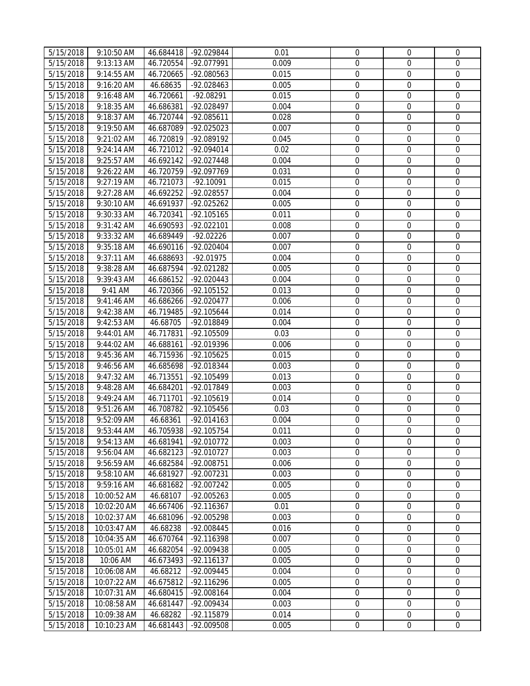| 5/15/2018<br>9:13:13 AM<br>46.720554<br>0.009<br>0<br>$\mathbf 0$<br>-92.077991<br>$\mathbf{0}$<br>5/15/2018<br>9:14:55 AM<br>46.720665<br>-92.080563<br>0.015<br>$\boldsymbol{0}$<br>$\mathbf 0$<br>$\mathbf 0$<br>$\mathbf 0$<br>$\mathbf 0$<br>5/15/2018<br>9:16:20 AM<br>46.68635<br>-92.028463<br>0.005<br>$\mathbf 0$<br>0.015<br>$\boldsymbol{0}$<br>5/15/2018<br>9:16:48 AM<br>46.720661<br>$-92.08291$<br>$\boldsymbol{0}$<br>$\mathbf 0$<br>$\boldsymbol{0}$<br>5/15/2018<br>9:18:35 AM<br>46.686381<br>-92.028497<br>0.004<br>$\mathbf 0$<br>$\mathbf 0$<br>0.028<br>$\mathbf 0$<br>$\mathbf 0$<br>$\mathbf 0$<br>5/15/2018<br>9:18:37 AM<br>46.720744<br>-92.085611<br>$\mathbf 0$<br>$\mathbf 0$<br>5/15/2018<br>9:19:50 AM<br>-92.025023<br>0.007<br>$\mathbf 0$<br>46.687089<br>$\boldsymbol{0}$<br>5/15/2018<br>9:21:02 AM<br>46.720819<br>0.045<br>$\mathbf 0$<br>$\mathbf 0$<br>-92.089192<br>0.02<br>$\mathbf 0$<br>$\mathbf 0$<br>$\mathbf 0$<br>5/15/2018<br>9:24:14 AM<br>46.721012<br>-92.094014<br>$\boldsymbol{0}$<br>$\mathbf 0$<br>5/15/2018<br>9:25:57 AM<br>46.692142<br>-92.027448<br>0.004<br>$\boldsymbol{0}$<br>5/15/2018<br>9:26:22 AM<br>46.720759<br>-92.097769<br>0.031<br>$\boldsymbol{0}$<br>$\boldsymbol{0}$<br>$\mathbf 0$<br>5/15/2018<br>9:27:19 AM<br>46.721073<br>0.015<br>$\boldsymbol{0}$<br>$\boldsymbol{0}$<br>$\mathbf 0$<br>$-92.10091$<br>5/15/2018<br>0<br>$\boldsymbol{0}$<br>$\boldsymbol{0}$<br>9:27:28 AM<br>46.692252<br>-92.028557<br>0.004<br>5/15/2018<br>9:30:10 AM<br>46.691937<br>-92.025262<br>0.005<br>0<br>$\boldsymbol{0}$<br>$\mathbf 0$<br>5/15/2018<br>9:30:33 AM<br>46.720341<br>$-92.105165$<br>0.011<br>0<br>$\boldsymbol{0}$<br>$\mathbf 0$<br>$\boldsymbol{0}$<br>$\boldsymbol{0}$<br>5/15/2018<br>9:31:42 AM<br>46.690593<br>$-92.022101$<br>0.008<br>$\boldsymbol{0}$<br>0<br>5/15/2018<br>9:33:32 AM<br>$-92.02226$<br>0.007<br>$\mathbf 0$<br>46.689449<br>$\boldsymbol{0}$<br>$\mathbf 0$<br>5/15/2018<br>9:35:18 AM<br>46.690116<br>-92.020404<br>0.007<br>$\mathbf 0$<br>$\mathbf 0$<br>$\mathbf 0$<br>$9:37:11$ AM<br>$\mathbf 0$<br>$\mathbf 0$<br>5/15/2018<br>46.688693<br>$-92.01975$<br>0.004<br>$\mathbf 0$<br>$\mathbf 0$<br>5/15/2018<br>9:38:28 AM<br>46.687594<br>-92.021282<br>0.005<br>$\mathbf 0$<br>$\boldsymbol{0}$<br>$\boldsymbol{0}$<br>5/15/2018<br>9:39:43 AM<br>46.686152<br>$-92.020443$<br>0.004<br>$\boldsymbol{0}$<br>$\boldsymbol{0}$<br>$\boldsymbol{0}$<br>9:41 AM<br>0.013<br>$\mathbf 0$<br>5/15/2018<br>46.720366<br>-92.105152<br>$\boldsymbol{0}$<br>5/15/2018<br>9:41:46 AM<br>46.686266<br>-92.020477<br>0.006<br>$\boldsymbol{0}$<br>$\mathbf 0$<br>$\boldsymbol{0}$<br>5/15/2018<br>9:42:38 AM<br>46.719485<br>-92.105644<br>0.014<br>$\boldsymbol{0}$<br>$\mathbf 0$<br>$\boldsymbol{0}$<br>$\boldsymbol{0}$<br>5/15/2018<br>9:42:53 AM<br>46.68705<br>$\mathbf 0$<br>-92.018849<br>0.004<br>$\boldsymbol{0}$<br>5/15/2018<br>9:44:01 AM<br>46.717831<br>-92.105509<br>0.03<br>$\boldsymbol{0}$<br>$\mathbf 0$<br>5/15/2018<br>9:44:02 AM<br>46.688161<br>-92.019396<br>0.006<br>$\boldsymbol{0}$<br>$\boldsymbol{0}$<br>$\mathbf{0}$<br>$\overline{5}/15/2018$<br>$\boldsymbol{0}$<br>$\mathbf 0$<br>9:45:36 AM<br>46.715936<br>-92.105625<br>0.015<br>$\boldsymbol{0}$<br>$\mathbf 0$<br>$\boldsymbol{0}$<br>5/15/2018<br>9:46:56 AM<br>46.685698<br>-92.018344<br>0.003<br>$\mathbf 0$<br>5/15/2018<br>46.713551<br>-92.105499<br>0.013<br>0<br>$\mathbf 0$<br>$\mathbf 0$<br>9:47:32 AM<br>0<br>$\mathbf 0$<br>$\boldsymbol{0}$<br>5/15/2018<br>-92.017849<br>0.003<br>9:48:28 AM<br>46.684201<br>0<br>$\boldsymbol{0}$<br>5/15/2018<br>9:49:24 AM<br>46.711701<br>-92.105619<br>0.014<br>$\mathbf 0$<br>$\boldsymbol{0}$<br>5/15/2018<br>9:51:26 AM<br>46.708782<br>-92.105456<br>0.03<br>$\boldsymbol{0}$<br>$\mathbf 0$<br>$\boldsymbol{0}$<br>5/15/2018<br>9:52:09 AM<br>46.68361<br>$-92.014163$<br>$\boldsymbol{0}$<br>$\mathbf 0$<br>0.004<br>5/15/2018<br>9:53:44 AM<br>0.011<br>$\overline{0}$<br>$\mathbf 0$<br>$\mathbf 0$<br>46.705938<br>-92.105754<br>5/15/2018<br>9:54:13 AM<br>$\mathbf 0$<br>46.681941<br>-92.010772<br>0.003<br>$\overline{0}$<br>$\mathbf{0}$<br>5/15/2018<br>0<br>$\mathbf 0$<br>9:56:04 AM<br>46.682123<br>-92.010727<br>0.003<br>$\mathbf{0}$<br>0.006<br>0<br>$\boldsymbol{0}$<br>5/15/2018<br>9:56:59 AM<br>46.682584<br>-92.008751<br>0<br>5/15/2018<br>9:58:10 AM<br>46.681927<br>-92.007231<br>0.003<br>0<br>$\boldsymbol{0}$<br>$\boldsymbol{0}$<br>$\mathbf 0$<br>$\mathbf 0$<br>5/15/2018<br>9:59:16 AM<br>46.681682<br>-92.007242<br>0.005<br>$\mathbf 0$<br>$\boldsymbol{0}$<br>5/15/2018<br>10:00:52 AM<br>46.68107<br>$-92.005263$<br>0.005<br>$\mathbf 0$<br>$\boldsymbol{0}$<br>$\boldsymbol{0}$<br>5/15/2018<br>10:02:20 AM<br>$-92.116367$<br>0.01<br>$\mathbf 0$<br>$\mathbf 0$<br>46.667406<br>$\mathbf 0$<br>5/15/2018<br>-92.005298<br>0.003<br>$\mathbf 0$<br>$\Omega$<br>10:02:37 AM<br>46.681096<br>0<br>$\mathbf 0$<br>5/15/2018<br>10:03:47 AM<br>46.68238<br>-92.008445<br>0.016<br>0<br>$\mathbf 0$<br>5/15/2018<br>10:04:35 AM<br>46.670764<br>-92.116398<br>0.007<br>$\mathbf 0$<br>$\mathbf 0$<br>$\mathbf 0$<br>$\mathbf 0$<br>$\boldsymbol{0}$<br>5/15/2018<br>0.005<br>10:05:01 AM<br>46.682054<br>-92.009438<br>$\boldsymbol{0}$<br>5/15/2018<br>10:06 AM<br>$-92.116137$<br>0.005<br>$\boldsymbol{0}$<br>$\mathbf 0$<br>46.673493<br>5/15/2018<br>10:06:08 AM<br>-92.009445<br>0.004<br>0<br>0<br>$\mathbf 0$<br>46.68212<br>5/15/2018<br>10:07:22 AM<br>-92.116296<br>0.005<br>0<br>$\boldsymbol{0}$<br>$\boldsymbol{0}$<br>46.675812<br>$\overline{5}/15/2018$<br>0<br>$\boldsymbol{0}$<br>$\mathbf 0$<br>10:07:31 AM<br>46.680415<br>$-92.008164$<br>0.004<br>5/15/2018<br>10:08:58 AM<br>46.681447<br>-92.009434<br>0.003<br>0<br>$\boldsymbol{0}$<br>$\boldsymbol{0}$<br>5/15/2018<br>10:09:38 AM<br>46.68282<br>-92.115879<br>0.014<br>$\boldsymbol{0}$<br>$\boldsymbol{0}$<br>$\mathbf 0$<br>46.681443<br>-92.009508<br>0.005<br>$\boldsymbol{0}$<br>$\boldsymbol{0}$<br>$\boldsymbol{0}$ | 5/15/2018 | 9:10:50 AM  | 46.684418 | -92.029844 | 0.01 | $\mathbf{0}$ | $\mathbf{0}$ | $\mathbf 0$ |
|---------------------------------------------------------------------------------------------------------------------------------------------------------------------------------------------------------------------------------------------------------------------------------------------------------------------------------------------------------------------------------------------------------------------------------------------------------------------------------------------------------------------------------------------------------------------------------------------------------------------------------------------------------------------------------------------------------------------------------------------------------------------------------------------------------------------------------------------------------------------------------------------------------------------------------------------------------------------------------------------------------------------------------------------------------------------------------------------------------------------------------------------------------------------------------------------------------------------------------------------------------------------------------------------------------------------------------------------------------------------------------------------------------------------------------------------------------------------------------------------------------------------------------------------------------------------------------------------------------------------------------------------------------------------------------------------------------------------------------------------------------------------------------------------------------------------------------------------------------------------------------------------------------------------------------------------------------------------------------------------------------------------------------------------------------------------------------------------------------------------------------------------------------------------------------------------------------------------------------------------------------------------------------------------------------------------------------------------------------------------------------------------------------------------------------------------------------------------------------------------------------------------------------------------------------------------------------------------------------------------------------------------------------------------------------------------------------------------------------------------------------------------------------------------------------------------------------------------------------------------------------------------------------------------------------------------------------------------------------------------------------------------------------------------------------------------------------------------------------------------------------------------------------------------------------------------------------------------------------------------------------------------------------------------------------------------------------------------------------------------------------------------------------------------------------------------------------------------------------------------------------------------------------------------------------------------------------------------------------------------------------------------------------------------------------------------------------------------------------------------------------------------------------------------------------------------------------------------------------------------------------------------------------------------------------------------------------------------------------------------------------------------------------------------------------------------------------------------------------------------------------------------------------------------------------------------------------------------------------------------------------------------------------------------------------------------------------------------------------------------------------------------------------------------------------------------------------------------------------------------------------------------------------------------------------------------------------------------------------------------------------------------------------------------------------------------------------------------------------------------------------------------------------------------------------------------------------------------------------------------------------------------------------------------------------------------------------------------------------------------------------------------------------------------------------------------------------------------------------------------------------------------------------------------------------------------------------------------------------------------------------------------------------------------------------------------------------------------------------------------------------------------------------------------------------------------------------------------------------------------------------------------------------------------------------------------------------------------------------------------------------------------------------------------------------------------------------------------------------------------------------------------------------------------------------------------------------------------------------------------------------------------------------------------------------------------------------------------------------------------------------------------------------------------------------------------------------------------------------|-----------|-------------|-----------|------------|------|--------------|--------------|-------------|
|                                                                                                                                                                                                                                                                                                                                                                                                                                                                                                                                                                                                                                                                                                                                                                                                                                                                                                                                                                                                                                                                                                                                                                                                                                                                                                                                                                                                                                                                                                                                                                                                                                                                                                                                                                                                                                                                                                                                                                                                                                                                                                                                                                                                                                                                                                                                                                                                                                                                                                                                                                                                                                                                                                                                                                                                                                                                                                                                                                                                                                                                                                                                                                                                                                                                                                                                                                                                                                                                                                                                                                                                                                                                                                                                                                                                                                                                                                                                                                                                                                                                                                                                                                                                                                                                                                                                                                                                                                                                                                                                                                                                                                                                                                                                                                                                                                                                                                                                                                                                                                                                                                                                                                                                                                                                                                                                                                                                                                                                                                                                                                                                                                                                                                                                                                                                                                                                                                                                                                                                                                                                                                         |           |             |           |            |      |              |              |             |
|                                                                                                                                                                                                                                                                                                                                                                                                                                                                                                                                                                                                                                                                                                                                                                                                                                                                                                                                                                                                                                                                                                                                                                                                                                                                                                                                                                                                                                                                                                                                                                                                                                                                                                                                                                                                                                                                                                                                                                                                                                                                                                                                                                                                                                                                                                                                                                                                                                                                                                                                                                                                                                                                                                                                                                                                                                                                                                                                                                                                                                                                                                                                                                                                                                                                                                                                                                                                                                                                                                                                                                                                                                                                                                                                                                                                                                                                                                                                                                                                                                                                                                                                                                                                                                                                                                                                                                                                                                                                                                                                                                                                                                                                                                                                                                                                                                                                                                                                                                                                                                                                                                                                                                                                                                                                                                                                                                                                                                                                                                                                                                                                                                                                                                                                                                                                                                                                                                                                                                                                                                                                                                         |           |             |           |            |      |              |              |             |
|                                                                                                                                                                                                                                                                                                                                                                                                                                                                                                                                                                                                                                                                                                                                                                                                                                                                                                                                                                                                                                                                                                                                                                                                                                                                                                                                                                                                                                                                                                                                                                                                                                                                                                                                                                                                                                                                                                                                                                                                                                                                                                                                                                                                                                                                                                                                                                                                                                                                                                                                                                                                                                                                                                                                                                                                                                                                                                                                                                                                                                                                                                                                                                                                                                                                                                                                                                                                                                                                                                                                                                                                                                                                                                                                                                                                                                                                                                                                                                                                                                                                                                                                                                                                                                                                                                                                                                                                                                                                                                                                                                                                                                                                                                                                                                                                                                                                                                                                                                                                                                                                                                                                                                                                                                                                                                                                                                                                                                                                                                                                                                                                                                                                                                                                                                                                                                                                                                                                                                                                                                                                                                         |           |             |           |            |      |              |              |             |
|                                                                                                                                                                                                                                                                                                                                                                                                                                                                                                                                                                                                                                                                                                                                                                                                                                                                                                                                                                                                                                                                                                                                                                                                                                                                                                                                                                                                                                                                                                                                                                                                                                                                                                                                                                                                                                                                                                                                                                                                                                                                                                                                                                                                                                                                                                                                                                                                                                                                                                                                                                                                                                                                                                                                                                                                                                                                                                                                                                                                                                                                                                                                                                                                                                                                                                                                                                                                                                                                                                                                                                                                                                                                                                                                                                                                                                                                                                                                                                                                                                                                                                                                                                                                                                                                                                                                                                                                                                                                                                                                                                                                                                                                                                                                                                                                                                                                                                                                                                                                                                                                                                                                                                                                                                                                                                                                                                                                                                                                                                                                                                                                                                                                                                                                                                                                                                                                                                                                                                                                                                                                                                         |           |             |           |            |      |              |              |             |
|                                                                                                                                                                                                                                                                                                                                                                                                                                                                                                                                                                                                                                                                                                                                                                                                                                                                                                                                                                                                                                                                                                                                                                                                                                                                                                                                                                                                                                                                                                                                                                                                                                                                                                                                                                                                                                                                                                                                                                                                                                                                                                                                                                                                                                                                                                                                                                                                                                                                                                                                                                                                                                                                                                                                                                                                                                                                                                                                                                                                                                                                                                                                                                                                                                                                                                                                                                                                                                                                                                                                                                                                                                                                                                                                                                                                                                                                                                                                                                                                                                                                                                                                                                                                                                                                                                                                                                                                                                                                                                                                                                                                                                                                                                                                                                                                                                                                                                                                                                                                                                                                                                                                                                                                                                                                                                                                                                                                                                                                                                                                                                                                                                                                                                                                                                                                                                                                                                                                                                                                                                                                                                         |           |             |           |            |      |              |              |             |
|                                                                                                                                                                                                                                                                                                                                                                                                                                                                                                                                                                                                                                                                                                                                                                                                                                                                                                                                                                                                                                                                                                                                                                                                                                                                                                                                                                                                                                                                                                                                                                                                                                                                                                                                                                                                                                                                                                                                                                                                                                                                                                                                                                                                                                                                                                                                                                                                                                                                                                                                                                                                                                                                                                                                                                                                                                                                                                                                                                                                                                                                                                                                                                                                                                                                                                                                                                                                                                                                                                                                                                                                                                                                                                                                                                                                                                                                                                                                                                                                                                                                                                                                                                                                                                                                                                                                                                                                                                                                                                                                                                                                                                                                                                                                                                                                                                                                                                                                                                                                                                                                                                                                                                                                                                                                                                                                                                                                                                                                                                                                                                                                                                                                                                                                                                                                                                                                                                                                                                                                                                                                                                         |           |             |           |            |      |              |              |             |
|                                                                                                                                                                                                                                                                                                                                                                                                                                                                                                                                                                                                                                                                                                                                                                                                                                                                                                                                                                                                                                                                                                                                                                                                                                                                                                                                                                                                                                                                                                                                                                                                                                                                                                                                                                                                                                                                                                                                                                                                                                                                                                                                                                                                                                                                                                                                                                                                                                                                                                                                                                                                                                                                                                                                                                                                                                                                                                                                                                                                                                                                                                                                                                                                                                                                                                                                                                                                                                                                                                                                                                                                                                                                                                                                                                                                                                                                                                                                                                                                                                                                                                                                                                                                                                                                                                                                                                                                                                                                                                                                                                                                                                                                                                                                                                                                                                                                                                                                                                                                                                                                                                                                                                                                                                                                                                                                                                                                                                                                                                                                                                                                                                                                                                                                                                                                                                                                                                                                                                                                                                                                                                         |           |             |           |            |      |              |              |             |
|                                                                                                                                                                                                                                                                                                                                                                                                                                                                                                                                                                                                                                                                                                                                                                                                                                                                                                                                                                                                                                                                                                                                                                                                                                                                                                                                                                                                                                                                                                                                                                                                                                                                                                                                                                                                                                                                                                                                                                                                                                                                                                                                                                                                                                                                                                                                                                                                                                                                                                                                                                                                                                                                                                                                                                                                                                                                                                                                                                                                                                                                                                                                                                                                                                                                                                                                                                                                                                                                                                                                                                                                                                                                                                                                                                                                                                                                                                                                                                                                                                                                                                                                                                                                                                                                                                                                                                                                                                                                                                                                                                                                                                                                                                                                                                                                                                                                                                                                                                                                                                                                                                                                                                                                                                                                                                                                                                                                                                                                                                                                                                                                                                                                                                                                                                                                                                                                                                                                                                                                                                                                                                         |           |             |           |            |      |              |              |             |
|                                                                                                                                                                                                                                                                                                                                                                                                                                                                                                                                                                                                                                                                                                                                                                                                                                                                                                                                                                                                                                                                                                                                                                                                                                                                                                                                                                                                                                                                                                                                                                                                                                                                                                                                                                                                                                                                                                                                                                                                                                                                                                                                                                                                                                                                                                                                                                                                                                                                                                                                                                                                                                                                                                                                                                                                                                                                                                                                                                                                                                                                                                                                                                                                                                                                                                                                                                                                                                                                                                                                                                                                                                                                                                                                                                                                                                                                                                                                                                                                                                                                                                                                                                                                                                                                                                                                                                                                                                                                                                                                                                                                                                                                                                                                                                                                                                                                                                                                                                                                                                                                                                                                                                                                                                                                                                                                                                                                                                                                                                                                                                                                                                                                                                                                                                                                                                                                                                                                                                                                                                                                                                         |           |             |           |            |      |              |              |             |
|                                                                                                                                                                                                                                                                                                                                                                                                                                                                                                                                                                                                                                                                                                                                                                                                                                                                                                                                                                                                                                                                                                                                                                                                                                                                                                                                                                                                                                                                                                                                                                                                                                                                                                                                                                                                                                                                                                                                                                                                                                                                                                                                                                                                                                                                                                                                                                                                                                                                                                                                                                                                                                                                                                                                                                                                                                                                                                                                                                                                                                                                                                                                                                                                                                                                                                                                                                                                                                                                                                                                                                                                                                                                                                                                                                                                                                                                                                                                                                                                                                                                                                                                                                                                                                                                                                                                                                                                                                                                                                                                                                                                                                                                                                                                                                                                                                                                                                                                                                                                                                                                                                                                                                                                                                                                                                                                                                                                                                                                                                                                                                                                                                                                                                                                                                                                                                                                                                                                                                                                                                                                                                         |           |             |           |            |      |              |              |             |
|                                                                                                                                                                                                                                                                                                                                                                                                                                                                                                                                                                                                                                                                                                                                                                                                                                                                                                                                                                                                                                                                                                                                                                                                                                                                                                                                                                                                                                                                                                                                                                                                                                                                                                                                                                                                                                                                                                                                                                                                                                                                                                                                                                                                                                                                                                                                                                                                                                                                                                                                                                                                                                                                                                                                                                                                                                                                                                                                                                                                                                                                                                                                                                                                                                                                                                                                                                                                                                                                                                                                                                                                                                                                                                                                                                                                                                                                                                                                                                                                                                                                                                                                                                                                                                                                                                                                                                                                                                                                                                                                                                                                                                                                                                                                                                                                                                                                                                                                                                                                                                                                                                                                                                                                                                                                                                                                                                                                                                                                                                                                                                                                                                                                                                                                                                                                                                                                                                                                                                                                                                                                                                         |           |             |           |            |      |              |              |             |
|                                                                                                                                                                                                                                                                                                                                                                                                                                                                                                                                                                                                                                                                                                                                                                                                                                                                                                                                                                                                                                                                                                                                                                                                                                                                                                                                                                                                                                                                                                                                                                                                                                                                                                                                                                                                                                                                                                                                                                                                                                                                                                                                                                                                                                                                                                                                                                                                                                                                                                                                                                                                                                                                                                                                                                                                                                                                                                                                                                                                                                                                                                                                                                                                                                                                                                                                                                                                                                                                                                                                                                                                                                                                                                                                                                                                                                                                                                                                                                                                                                                                                                                                                                                                                                                                                                                                                                                                                                                                                                                                                                                                                                                                                                                                                                                                                                                                                                                                                                                                                                                                                                                                                                                                                                                                                                                                                                                                                                                                                                                                                                                                                                                                                                                                                                                                                                                                                                                                                                                                                                                                                                         |           |             |           |            |      |              |              |             |
|                                                                                                                                                                                                                                                                                                                                                                                                                                                                                                                                                                                                                                                                                                                                                                                                                                                                                                                                                                                                                                                                                                                                                                                                                                                                                                                                                                                                                                                                                                                                                                                                                                                                                                                                                                                                                                                                                                                                                                                                                                                                                                                                                                                                                                                                                                                                                                                                                                                                                                                                                                                                                                                                                                                                                                                                                                                                                                                                                                                                                                                                                                                                                                                                                                                                                                                                                                                                                                                                                                                                                                                                                                                                                                                                                                                                                                                                                                                                                                                                                                                                                                                                                                                                                                                                                                                                                                                                                                                                                                                                                                                                                                                                                                                                                                                                                                                                                                                                                                                                                                                                                                                                                                                                                                                                                                                                                                                                                                                                                                                                                                                                                                                                                                                                                                                                                                                                                                                                                                                                                                                                                                         |           |             |           |            |      |              |              |             |
|                                                                                                                                                                                                                                                                                                                                                                                                                                                                                                                                                                                                                                                                                                                                                                                                                                                                                                                                                                                                                                                                                                                                                                                                                                                                                                                                                                                                                                                                                                                                                                                                                                                                                                                                                                                                                                                                                                                                                                                                                                                                                                                                                                                                                                                                                                                                                                                                                                                                                                                                                                                                                                                                                                                                                                                                                                                                                                                                                                                                                                                                                                                                                                                                                                                                                                                                                                                                                                                                                                                                                                                                                                                                                                                                                                                                                                                                                                                                                                                                                                                                                                                                                                                                                                                                                                                                                                                                                                                                                                                                                                                                                                                                                                                                                                                                                                                                                                                                                                                                                                                                                                                                                                                                                                                                                                                                                                                                                                                                                                                                                                                                                                                                                                                                                                                                                                                                                                                                                                                                                                                                                                         |           |             |           |            |      |              |              |             |
|                                                                                                                                                                                                                                                                                                                                                                                                                                                                                                                                                                                                                                                                                                                                                                                                                                                                                                                                                                                                                                                                                                                                                                                                                                                                                                                                                                                                                                                                                                                                                                                                                                                                                                                                                                                                                                                                                                                                                                                                                                                                                                                                                                                                                                                                                                                                                                                                                                                                                                                                                                                                                                                                                                                                                                                                                                                                                                                                                                                                                                                                                                                                                                                                                                                                                                                                                                                                                                                                                                                                                                                                                                                                                                                                                                                                                                                                                                                                                                                                                                                                                                                                                                                                                                                                                                                                                                                                                                                                                                                                                                                                                                                                                                                                                                                                                                                                                                                                                                                                                                                                                                                                                                                                                                                                                                                                                                                                                                                                                                                                                                                                                                                                                                                                                                                                                                                                                                                                                                                                                                                                                                         |           |             |           |            |      |              |              |             |
|                                                                                                                                                                                                                                                                                                                                                                                                                                                                                                                                                                                                                                                                                                                                                                                                                                                                                                                                                                                                                                                                                                                                                                                                                                                                                                                                                                                                                                                                                                                                                                                                                                                                                                                                                                                                                                                                                                                                                                                                                                                                                                                                                                                                                                                                                                                                                                                                                                                                                                                                                                                                                                                                                                                                                                                                                                                                                                                                                                                                                                                                                                                                                                                                                                                                                                                                                                                                                                                                                                                                                                                                                                                                                                                                                                                                                                                                                                                                                                                                                                                                                                                                                                                                                                                                                                                                                                                                                                                                                                                                                                                                                                                                                                                                                                                                                                                                                                                                                                                                                                                                                                                                                                                                                                                                                                                                                                                                                                                                                                                                                                                                                                                                                                                                                                                                                                                                                                                                                                                                                                                                                                         |           |             |           |            |      |              |              |             |
|                                                                                                                                                                                                                                                                                                                                                                                                                                                                                                                                                                                                                                                                                                                                                                                                                                                                                                                                                                                                                                                                                                                                                                                                                                                                                                                                                                                                                                                                                                                                                                                                                                                                                                                                                                                                                                                                                                                                                                                                                                                                                                                                                                                                                                                                                                                                                                                                                                                                                                                                                                                                                                                                                                                                                                                                                                                                                                                                                                                                                                                                                                                                                                                                                                                                                                                                                                                                                                                                                                                                                                                                                                                                                                                                                                                                                                                                                                                                                                                                                                                                                                                                                                                                                                                                                                                                                                                                                                                                                                                                                                                                                                                                                                                                                                                                                                                                                                                                                                                                                                                                                                                                                                                                                                                                                                                                                                                                                                                                                                                                                                                                                                                                                                                                                                                                                                                                                                                                                                                                                                                                                                         |           |             |           |            |      |              |              |             |
|                                                                                                                                                                                                                                                                                                                                                                                                                                                                                                                                                                                                                                                                                                                                                                                                                                                                                                                                                                                                                                                                                                                                                                                                                                                                                                                                                                                                                                                                                                                                                                                                                                                                                                                                                                                                                                                                                                                                                                                                                                                                                                                                                                                                                                                                                                                                                                                                                                                                                                                                                                                                                                                                                                                                                                                                                                                                                                                                                                                                                                                                                                                                                                                                                                                                                                                                                                                                                                                                                                                                                                                                                                                                                                                                                                                                                                                                                                                                                                                                                                                                                                                                                                                                                                                                                                                                                                                                                                                                                                                                                                                                                                                                                                                                                                                                                                                                                                                                                                                                                                                                                                                                                                                                                                                                                                                                                                                                                                                                                                                                                                                                                                                                                                                                                                                                                                                                                                                                                                                                                                                                                                         |           |             |           |            |      |              |              |             |
|                                                                                                                                                                                                                                                                                                                                                                                                                                                                                                                                                                                                                                                                                                                                                                                                                                                                                                                                                                                                                                                                                                                                                                                                                                                                                                                                                                                                                                                                                                                                                                                                                                                                                                                                                                                                                                                                                                                                                                                                                                                                                                                                                                                                                                                                                                                                                                                                                                                                                                                                                                                                                                                                                                                                                                                                                                                                                                                                                                                                                                                                                                                                                                                                                                                                                                                                                                                                                                                                                                                                                                                                                                                                                                                                                                                                                                                                                                                                                                                                                                                                                                                                                                                                                                                                                                                                                                                                                                                                                                                                                                                                                                                                                                                                                                                                                                                                                                                                                                                                                                                                                                                                                                                                                                                                                                                                                                                                                                                                                                                                                                                                                                                                                                                                                                                                                                                                                                                                                                                                                                                                                                         |           |             |           |            |      |              |              |             |
|                                                                                                                                                                                                                                                                                                                                                                                                                                                                                                                                                                                                                                                                                                                                                                                                                                                                                                                                                                                                                                                                                                                                                                                                                                                                                                                                                                                                                                                                                                                                                                                                                                                                                                                                                                                                                                                                                                                                                                                                                                                                                                                                                                                                                                                                                                                                                                                                                                                                                                                                                                                                                                                                                                                                                                                                                                                                                                                                                                                                                                                                                                                                                                                                                                                                                                                                                                                                                                                                                                                                                                                                                                                                                                                                                                                                                                                                                                                                                                                                                                                                                                                                                                                                                                                                                                                                                                                                                                                                                                                                                                                                                                                                                                                                                                                                                                                                                                                                                                                                                                                                                                                                                                                                                                                                                                                                                                                                                                                                                                                                                                                                                                                                                                                                                                                                                                                                                                                                                                                                                                                                                                         |           |             |           |            |      |              |              |             |
|                                                                                                                                                                                                                                                                                                                                                                                                                                                                                                                                                                                                                                                                                                                                                                                                                                                                                                                                                                                                                                                                                                                                                                                                                                                                                                                                                                                                                                                                                                                                                                                                                                                                                                                                                                                                                                                                                                                                                                                                                                                                                                                                                                                                                                                                                                                                                                                                                                                                                                                                                                                                                                                                                                                                                                                                                                                                                                                                                                                                                                                                                                                                                                                                                                                                                                                                                                                                                                                                                                                                                                                                                                                                                                                                                                                                                                                                                                                                                                                                                                                                                                                                                                                                                                                                                                                                                                                                                                                                                                                                                                                                                                                                                                                                                                                                                                                                                                                                                                                                                                                                                                                                                                                                                                                                                                                                                                                                                                                                                                                                                                                                                                                                                                                                                                                                                                                                                                                                                                                                                                                                                                         |           |             |           |            |      |              |              |             |
|                                                                                                                                                                                                                                                                                                                                                                                                                                                                                                                                                                                                                                                                                                                                                                                                                                                                                                                                                                                                                                                                                                                                                                                                                                                                                                                                                                                                                                                                                                                                                                                                                                                                                                                                                                                                                                                                                                                                                                                                                                                                                                                                                                                                                                                                                                                                                                                                                                                                                                                                                                                                                                                                                                                                                                                                                                                                                                                                                                                                                                                                                                                                                                                                                                                                                                                                                                                                                                                                                                                                                                                                                                                                                                                                                                                                                                                                                                                                                                                                                                                                                                                                                                                                                                                                                                                                                                                                                                                                                                                                                                                                                                                                                                                                                                                                                                                                                                                                                                                                                                                                                                                                                                                                                                                                                                                                                                                                                                                                                                                                                                                                                                                                                                                                                                                                                                                                                                                                                                                                                                                                                                         |           |             |           |            |      |              |              |             |
|                                                                                                                                                                                                                                                                                                                                                                                                                                                                                                                                                                                                                                                                                                                                                                                                                                                                                                                                                                                                                                                                                                                                                                                                                                                                                                                                                                                                                                                                                                                                                                                                                                                                                                                                                                                                                                                                                                                                                                                                                                                                                                                                                                                                                                                                                                                                                                                                                                                                                                                                                                                                                                                                                                                                                                                                                                                                                                                                                                                                                                                                                                                                                                                                                                                                                                                                                                                                                                                                                                                                                                                                                                                                                                                                                                                                                                                                                                                                                                                                                                                                                                                                                                                                                                                                                                                                                                                                                                                                                                                                                                                                                                                                                                                                                                                                                                                                                                                                                                                                                                                                                                                                                                                                                                                                                                                                                                                                                                                                                                                                                                                                                                                                                                                                                                                                                                                                                                                                                                                                                                                                                                         |           |             |           |            |      |              |              |             |
|                                                                                                                                                                                                                                                                                                                                                                                                                                                                                                                                                                                                                                                                                                                                                                                                                                                                                                                                                                                                                                                                                                                                                                                                                                                                                                                                                                                                                                                                                                                                                                                                                                                                                                                                                                                                                                                                                                                                                                                                                                                                                                                                                                                                                                                                                                                                                                                                                                                                                                                                                                                                                                                                                                                                                                                                                                                                                                                                                                                                                                                                                                                                                                                                                                                                                                                                                                                                                                                                                                                                                                                                                                                                                                                                                                                                                                                                                                                                                                                                                                                                                                                                                                                                                                                                                                                                                                                                                                                                                                                                                                                                                                                                                                                                                                                                                                                                                                                                                                                                                                                                                                                                                                                                                                                                                                                                                                                                                                                                                                                                                                                                                                                                                                                                                                                                                                                                                                                                                                                                                                                                                                         |           |             |           |            |      |              |              |             |
|                                                                                                                                                                                                                                                                                                                                                                                                                                                                                                                                                                                                                                                                                                                                                                                                                                                                                                                                                                                                                                                                                                                                                                                                                                                                                                                                                                                                                                                                                                                                                                                                                                                                                                                                                                                                                                                                                                                                                                                                                                                                                                                                                                                                                                                                                                                                                                                                                                                                                                                                                                                                                                                                                                                                                                                                                                                                                                                                                                                                                                                                                                                                                                                                                                                                                                                                                                                                                                                                                                                                                                                                                                                                                                                                                                                                                                                                                                                                                                                                                                                                                                                                                                                                                                                                                                                                                                                                                                                                                                                                                                                                                                                                                                                                                                                                                                                                                                                                                                                                                                                                                                                                                                                                                                                                                                                                                                                                                                                                                                                                                                                                                                                                                                                                                                                                                                                                                                                                                                                                                                                                                                         |           |             |           |            |      |              |              |             |
|                                                                                                                                                                                                                                                                                                                                                                                                                                                                                                                                                                                                                                                                                                                                                                                                                                                                                                                                                                                                                                                                                                                                                                                                                                                                                                                                                                                                                                                                                                                                                                                                                                                                                                                                                                                                                                                                                                                                                                                                                                                                                                                                                                                                                                                                                                                                                                                                                                                                                                                                                                                                                                                                                                                                                                                                                                                                                                                                                                                                                                                                                                                                                                                                                                                                                                                                                                                                                                                                                                                                                                                                                                                                                                                                                                                                                                                                                                                                                                                                                                                                                                                                                                                                                                                                                                                                                                                                                                                                                                                                                                                                                                                                                                                                                                                                                                                                                                                                                                                                                                                                                                                                                                                                                                                                                                                                                                                                                                                                                                                                                                                                                                                                                                                                                                                                                                                                                                                                                                                                                                                                                                         |           |             |           |            |      |              |              |             |
|                                                                                                                                                                                                                                                                                                                                                                                                                                                                                                                                                                                                                                                                                                                                                                                                                                                                                                                                                                                                                                                                                                                                                                                                                                                                                                                                                                                                                                                                                                                                                                                                                                                                                                                                                                                                                                                                                                                                                                                                                                                                                                                                                                                                                                                                                                                                                                                                                                                                                                                                                                                                                                                                                                                                                                                                                                                                                                                                                                                                                                                                                                                                                                                                                                                                                                                                                                                                                                                                                                                                                                                                                                                                                                                                                                                                                                                                                                                                                                                                                                                                                                                                                                                                                                                                                                                                                                                                                                                                                                                                                                                                                                                                                                                                                                                                                                                                                                                                                                                                                                                                                                                                                                                                                                                                                                                                                                                                                                                                                                                                                                                                                                                                                                                                                                                                                                                                                                                                                                                                                                                                                                         |           |             |           |            |      |              |              |             |
|                                                                                                                                                                                                                                                                                                                                                                                                                                                                                                                                                                                                                                                                                                                                                                                                                                                                                                                                                                                                                                                                                                                                                                                                                                                                                                                                                                                                                                                                                                                                                                                                                                                                                                                                                                                                                                                                                                                                                                                                                                                                                                                                                                                                                                                                                                                                                                                                                                                                                                                                                                                                                                                                                                                                                                                                                                                                                                                                                                                                                                                                                                                                                                                                                                                                                                                                                                                                                                                                                                                                                                                                                                                                                                                                                                                                                                                                                                                                                                                                                                                                                                                                                                                                                                                                                                                                                                                                                                                                                                                                                                                                                                                                                                                                                                                                                                                                                                                                                                                                                                                                                                                                                                                                                                                                                                                                                                                                                                                                                                                                                                                                                                                                                                                                                                                                                                                                                                                                                                                                                                                                                                         |           |             |           |            |      |              |              |             |
|                                                                                                                                                                                                                                                                                                                                                                                                                                                                                                                                                                                                                                                                                                                                                                                                                                                                                                                                                                                                                                                                                                                                                                                                                                                                                                                                                                                                                                                                                                                                                                                                                                                                                                                                                                                                                                                                                                                                                                                                                                                                                                                                                                                                                                                                                                                                                                                                                                                                                                                                                                                                                                                                                                                                                                                                                                                                                                                                                                                                                                                                                                                                                                                                                                                                                                                                                                                                                                                                                                                                                                                                                                                                                                                                                                                                                                                                                                                                                                                                                                                                                                                                                                                                                                                                                                                                                                                                                                                                                                                                                                                                                                                                                                                                                                                                                                                                                                                                                                                                                                                                                                                                                                                                                                                                                                                                                                                                                                                                                                                                                                                                                                                                                                                                                                                                                                                                                                                                                                                                                                                                                                         |           |             |           |            |      |              |              |             |
|                                                                                                                                                                                                                                                                                                                                                                                                                                                                                                                                                                                                                                                                                                                                                                                                                                                                                                                                                                                                                                                                                                                                                                                                                                                                                                                                                                                                                                                                                                                                                                                                                                                                                                                                                                                                                                                                                                                                                                                                                                                                                                                                                                                                                                                                                                                                                                                                                                                                                                                                                                                                                                                                                                                                                                                                                                                                                                                                                                                                                                                                                                                                                                                                                                                                                                                                                                                                                                                                                                                                                                                                                                                                                                                                                                                                                                                                                                                                                                                                                                                                                                                                                                                                                                                                                                                                                                                                                                                                                                                                                                                                                                                                                                                                                                                                                                                                                                                                                                                                                                                                                                                                                                                                                                                                                                                                                                                                                                                                                                                                                                                                                                                                                                                                                                                                                                                                                                                                                                                                                                                                                                         |           |             |           |            |      |              |              |             |
|                                                                                                                                                                                                                                                                                                                                                                                                                                                                                                                                                                                                                                                                                                                                                                                                                                                                                                                                                                                                                                                                                                                                                                                                                                                                                                                                                                                                                                                                                                                                                                                                                                                                                                                                                                                                                                                                                                                                                                                                                                                                                                                                                                                                                                                                                                                                                                                                                                                                                                                                                                                                                                                                                                                                                                                                                                                                                                                                                                                                                                                                                                                                                                                                                                                                                                                                                                                                                                                                                                                                                                                                                                                                                                                                                                                                                                                                                                                                                                                                                                                                                                                                                                                                                                                                                                                                                                                                                                                                                                                                                                                                                                                                                                                                                                                                                                                                                                                                                                                                                                                                                                                                                                                                                                                                                                                                                                                                                                                                                                                                                                                                                                                                                                                                                                                                                                                                                                                                                                                                                                                                                                         |           |             |           |            |      |              |              |             |
|                                                                                                                                                                                                                                                                                                                                                                                                                                                                                                                                                                                                                                                                                                                                                                                                                                                                                                                                                                                                                                                                                                                                                                                                                                                                                                                                                                                                                                                                                                                                                                                                                                                                                                                                                                                                                                                                                                                                                                                                                                                                                                                                                                                                                                                                                                                                                                                                                                                                                                                                                                                                                                                                                                                                                                                                                                                                                                                                                                                                                                                                                                                                                                                                                                                                                                                                                                                                                                                                                                                                                                                                                                                                                                                                                                                                                                                                                                                                                                                                                                                                                                                                                                                                                                                                                                                                                                                                                                                                                                                                                                                                                                                                                                                                                                                                                                                                                                                                                                                                                                                                                                                                                                                                                                                                                                                                                                                                                                                                                                                                                                                                                                                                                                                                                                                                                                                                                                                                                                                                                                                                                                         |           |             |           |            |      |              |              |             |
|                                                                                                                                                                                                                                                                                                                                                                                                                                                                                                                                                                                                                                                                                                                                                                                                                                                                                                                                                                                                                                                                                                                                                                                                                                                                                                                                                                                                                                                                                                                                                                                                                                                                                                                                                                                                                                                                                                                                                                                                                                                                                                                                                                                                                                                                                                                                                                                                                                                                                                                                                                                                                                                                                                                                                                                                                                                                                                                                                                                                                                                                                                                                                                                                                                                                                                                                                                                                                                                                                                                                                                                                                                                                                                                                                                                                                                                                                                                                                                                                                                                                                                                                                                                                                                                                                                                                                                                                                                                                                                                                                                                                                                                                                                                                                                                                                                                                                                                                                                                                                                                                                                                                                                                                                                                                                                                                                                                                                                                                                                                                                                                                                                                                                                                                                                                                                                                                                                                                                                                                                                                                                                         |           |             |           |            |      |              |              |             |
|                                                                                                                                                                                                                                                                                                                                                                                                                                                                                                                                                                                                                                                                                                                                                                                                                                                                                                                                                                                                                                                                                                                                                                                                                                                                                                                                                                                                                                                                                                                                                                                                                                                                                                                                                                                                                                                                                                                                                                                                                                                                                                                                                                                                                                                                                                                                                                                                                                                                                                                                                                                                                                                                                                                                                                                                                                                                                                                                                                                                                                                                                                                                                                                                                                                                                                                                                                                                                                                                                                                                                                                                                                                                                                                                                                                                                                                                                                                                                                                                                                                                                                                                                                                                                                                                                                                                                                                                                                                                                                                                                                                                                                                                                                                                                                                                                                                                                                                                                                                                                                                                                                                                                                                                                                                                                                                                                                                                                                                                                                                                                                                                                                                                                                                                                                                                                                                                                                                                                                                                                                                                                                         |           |             |           |            |      |              |              |             |
|                                                                                                                                                                                                                                                                                                                                                                                                                                                                                                                                                                                                                                                                                                                                                                                                                                                                                                                                                                                                                                                                                                                                                                                                                                                                                                                                                                                                                                                                                                                                                                                                                                                                                                                                                                                                                                                                                                                                                                                                                                                                                                                                                                                                                                                                                                                                                                                                                                                                                                                                                                                                                                                                                                                                                                                                                                                                                                                                                                                                                                                                                                                                                                                                                                                                                                                                                                                                                                                                                                                                                                                                                                                                                                                                                                                                                                                                                                                                                                                                                                                                                                                                                                                                                                                                                                                                                                                                                                                                                                                                                                                                                                                                                                                                                                                                                                                                                                                                                                                                                                                                                                                                                                                                                                                                                                                                                                                                                                                                                                                                                                                                                                                                                                                                                                                                                                                                                                                                                                                                                                                                                                         |           |             |           |            |      |              |              |             |
|                                                                                                                                                                                                                                                                                                                                                                                                                                                                                                                                                                                                                                                                                                                                                                                                                                                                                                                                                                                                                                                                                                                                                                                                                                                                                                                                                                                                                                                                                                                                                                                                                                                                                                                                                                                                                                                                                                                                                                                                                                                                                                                                                                                                                                                                                                                                                                                                                                                                                                                                                                                                                                                                                                                                                                                                                                                                                                                                                                                                                                                                                                                                                                                                                                                                                                                                                                                                                                                                                                                                                                                                                                                                                                                                                                                                                                                                                                                                                                                                                                                                                                                                                                                                                                                                                                                                                                                                                                                                                                                                                                                                                                                                                                                                                                                                                                                                                                                                                                                                                                                                                                                                                                                                                                                                                                                                                                                                                                                                                                                                                                                                                                                                                                                                                                                                                                                                                                                                                                                                                                                                                                         |           |             |           |            |      |              |              |             |
|                                                                                                                                                                                                                                                                                                                                                                                                                                                                                                                                                                                                                                                                                                                                                                                                                                                                                                                                                                                                                                                                                                                                                                                                                                                                                                                                                                                                                                                                                                                                                                                                                                                                                                                                                                                                                                                                                                                                                                                                                                                                                                                                                                                                                                                                                                                                                                                                                                                                                                                                                                                                                                                                                                                                                                                                                                                                                                                                                                                                                                                                                                                                                                                                                                                                                                                                                                                                                                                                                                                                                                                                                                                                                                                                                                                                                                                                                                                                                                                                                                                                                                                                                                                                                                                                                                                                                                                                                                                                                                                                                                                                                                                                                                                                                                                                                                                                                                                                                                                                                                                                                                                                                                                                                                                                                                                                                                                                                                                                                                                                                                                                                                                                                                                                                                                                                                                                                                                                                                                                                                                                                                         |           |             |           |            |      |              |              |             |
|                                                                                                                                                                                                                                                                                                                                                                                                                                                                                                                                                                                                                                                                                                                                                                                                                                                                                                                                                                                                                                                                                                                                                                                                                                                                                                                                                                                                                                                                                                                                                                                                                                                                                                                                                                                                                                                                                                                                                                                                                                                                                                                                                                                                                                                                                                                                                                                                                                                                                                                                                                                                                                                                                                                                                                                                                                                                                                                                                                                                                                                                                                                                                                                                                                                                                                                                                                                                                                                                                                                                                                                                                                                                                                                                                                                                                                                                                                                                                                                                                                                                                                                                                                                                                                                                                                                                                                                                                                                                                                                                                                                                                                                                                                                                                                                                                                                                                                                                                                                                                                                                                                                                                                                                                                                                                                                                                                                                                                                                                                                                                                                                                                                                                                                                                                                                                                                                                                                                                                                                                                                                                                         |           |             |           |            |      |              |              |             |
|                                                                                                                                                                                                                                                                                                                                                                                                                                                                                                                                                                                                                                                                                                                                                                                                                                                                                                                                                                                                                                                                                                                                                                                                                                                                                                                                                                                                                                                                                                                                                                                                                                                                                                                                                                                                                                                                                                                                                                                                                                                                                                                                                                                                                                                                                                                                                                                                                                                                                                                                                                                                                                                                                                                                                                                                                                                                                                                                                                                                                                                                                                                                                                                                                                                                                                                                                                                                                                                                                                                                                                                                                                                                                                                                                                                                                                                                                                                                                                                                                                                                                                                                                                                                                                                                                                                                                                                                                                                                                                                                                                                                                                                                                                                                                                                                                                                                                                                                                                                                                                                                                                                                                                                                                                                                                                                                                                                                                                                                                                                                                                                                                                                                                                                                                                                                                                                                                                                                                                                                                                                                                                         |           |             |           |            |      |              |              |             |
|                                                                                                                                                                                                                                                                                                                                                                                                                                                                                                                                                                                                                                                                                                                                                                                                                                                                                                                                                                                                                                                                                                                                                                                                                                                                                                                                                                                                                                                                                                                                                                                                                                                                                                                                                                                                                                                                                                                                                                                                                                                                                                                                                                                                                                                                                                                                                                                                                                                                                                                                                                                                                                                                                                                                                                                                                                                                                                                                                                                                                                                                                                                                                                                                                                                                                                                                                                                                                                                                                                                                                                                                                                                                                                                                                                                                                                                                                                                                                                                                                                                                                                                                                                                                                                                                                                                                                                                                                                                                                                                                                                                                                                                                                                                                                                                                                                                                                                                                                                                                                                                                                                                                                                                                                                                                                                                                                                                                                                                                                                                                                                                                                                                                                                                                                                                                                                                                                                                                                                                                                                                                                                         |           |             |           |            |      |              |              |             |
|                                                                                                                                                                                                                                                                                                                                                                                                                                                                                                                                                                                                                                                                                                                                                                                                                                                                                                                                                                                                                                                                                                                                                                                                                                                                                                                                                                                                                                                                                                                                                                                                                                                                                                                                                                                                                                                                                                                                                                                                                                                                                                                                                                                                                                                                                                                                                                                                                                                                                                                                                                                                                                                                                                                                                                                                                                                                                                                                                                                                                                                                                                                                                                                                                                                                                                                                                                                                                                                                                                                                                                                                                                                                                                                                                                                                                                                                                                                                                                                                                                                                                                                                                                                                                                                                                                                                                                                                                                                                                                                                                                                                                                                                                                                                                                                                                                                                                                                                                                                                                                                                                                                                                                                                                                                                                                                                                                                                                                                                                                                                                                                                                                                                                                                                                                                                                                                                                                                                                                                                                                                                                                         |           |             |           |            |      |              |              |             |
|                                                                                                                                                                                                                                                                                                                                                                                                                                                                                                                                                                                                                                                                                                                                                                                                                                                                                                                                                                                                                                                                                                                                                                                                                                                                                                                                                                                                                                                                                                                                                                                                                                                                                                                                                                                                                                                                                                                                                                                                                                                                                                                                                                                                                                                                                                                                                                                                                                                                                                                                                                                                                                                                                                                                                                                                                                                                                                                                                                                                                                                                                                                                                                                                                                                                                                                                                                                                                                                                                                                                                                                                                                                                                                                                                                                                                                                                                                                                                                                                                                                                                                                                                                                                                                                                                                                                                                                                                                                                                                                                                                                                                                                                                                                                                                                                                                                                                                                                                                                                                                                                                                                                                                                                                                                                                                                                                                                                                                                                                                                                                                                                                                                                                                                                                                                                                                                                                                                                                                                                                                                                                                         |           |             |           |            |      |              |              |             |
|                                                                                                                                                                                                                                                                                                                                                                                                                                                                                                                                                                                                                                                                                                                                                                                                                                                                                                                                                                                                                                                                                                                                                                                                                                                                                                                                                                                                                                                                                                                                                                                                                                                                                                                                                                                                                                                                                                                                                                                                                                                                                                                                                                                                                                                                                                                                                                                                                                                                                                                                                                                                                                                                                                                                                                                                                                                                                                                                                                                                                                                                                                                                                                                                                                                                                                                                                                                                                                                                                                                                                                                                                                                                                                                                                                                                                                                                                                                                                                                                                                                                                                                                                                                                                                                                                                                                                                                                                                                                                                                                                                                                                                                                                                                                                                                                                                                                                                                                                                                                                                                                                                                                                                                                                                                                                                                                                                                                                                                                                                                                                                                                                                                                                                                                                                                                                                                                                                                                                                                                                                                                                                         |           |             |           |            |      |              |              |             |
|                                                                                                                                                                                                                                                                                                                                                                                                                                                                                                                                                                                                                                                                                                                                                                                                                                                                                                                                                                                                                                                                                                                                                                                                                                                                                                                                                                                                                                                                                                                                                                                                                                                                                                                                                                                                                                                                                                                                                                                                                                                                                                                                                                                                                                                                                                                                                                                                                                                                                                                                                                                                                                                                                                                                                                                                                                                                                                                                                                                                                                                                                                                                                                                                                                                                                                                                                                                                                                                                                                                                                                                                                                                                                                                                                                                                                                                                                                                                                                                                                                                                                                                                                                                                                                                                                                                                                                                                                                                                                                                                                                                                                                                                                                                                                                                                                                                                                                                                                                                                                                                                                                                                                                                                                                                                                                                                                                                                                                                                                                                                                                                                                                                                                                                                                                                                                                                                                                                                                                                                                                                                                                         |           |             |           |            |      |              |              |             |
|                                                                                                                                                                                                                                                                                                                                                                                                                                                                                                                                                                                                                                                                                                                                                                                                                                                                                                                                                                                                                                                                                                                                                                                                                                                                                                                                                                                                                                                                                                                                                                                                                                                                                                                                                                                                                                                                                                                                                                                                                                                                                                                                                                                                                                                                                                                                                                                                                                                                                                                                                                                                                                                                                                                                                                                                                                                                                                                                                                                                                                                                                                                                                                                                                                                                                                                                                                                                                                                                                                                                                                                                                                                                                                                                                                                                                                                                                                                                                                                                                                                                                                                                                                                                                                                                                                                                                                                                                                                                                                                                                                                                                                                                                                                                                                                                                                                                                                                                                                                                                                                                                                                                                                                                                                                                                                                                                                                                                                                                                                                                                                                                                                                                                                                                                                                                                                                                                                                                                                                                                                                                                                         |           |             |           |            |      |              |              |             |
|                                                                                                                                                                                                                                                                                                                                                                                                                                                                                                                                                                                                                                                                                                                                                                                                                                                                                                                                                                                                                                                                                                                                                                                                                                                                                                                                                                                                                                                                                                                                                                                                                                                                                                                                                                                                                                                                                                                                                                                                                                                                                                                                                                                                                                                                                                                                                                                                                                                                                                                                                                                                                                                                                                                                                                                                                                                                                                                                                                                                                                                                                                                                                                                                                                                                                                                                                                                                                                                                                                                                                                                                                                                                                                                                                                                                                                                                                                                                                                                                                                                                                                                                                                                                                                                                                                                                                                                                                                                                                                                                                                                                                                                                                                                                                                                                                                                                                                                                                                                                                                                                                                                                                                                                                                                                                                                                                                                                                                                                                                                                                                                                                                                                                                                                                                                                                                                                                                                                                                                                                                                                                                         |           |             |           |            |      |              |              |             |
|                                                                                                                                                                                                                                                                                                                                                                                                                                                                                                                                                                                                                                                                                                                                                                                                                                                                                                                                                                                                                                                                                                                                                                                                                                                                                                                                                                                                                                                                                                                                                                                                                                                                                                                                                                                                                                                                                                                                                                                                                                                                                                                                                                                                                                                                                                                                                                                                                                                                                                                                                                                                                                                                                                                                                                                                                                                                                                                                                                                                                                                                                                                                                                                                                                                                                                                                                                                                                                                                                                                                                                                                                                                                                                                                                                                                                                                                                                                                                                                                                                                                                                                                                                                                                                                                                                                                                                                                                                                                                                                                                                                                                                                                                                                                                                                                                                                                                                                                                                                                                                                                                                                                                                                                                                                                                                                                                                                                                                                                                                                                                                                                                                                                                                                                                                                                                                                                                                                                                                                                                                                                                                         |           |             |           |            |      |              |              |             |
|                                                                                                                                                                                                                                                                                                                                                                                                                                                                                                                                                                                                                                                                                                                                                                                                                                                                                                                                                                                                                                                                                                                                                                                                                                                                                                                                                                                                                                                                                                                                                                                                                                                                                                                                                                                                                                                                                                                                                                                                                                                                                                                                                                                                                                                                                                                                                                                                                                                                                                                                                                                                                                                                                                                                                                                                                                                                                                                                                                                                                                                                                                                                                                                                                                                                                                                                                                                                                                                                                                                                                                                                                                                                                                                                                                                                                                                                                                                                                                                                                                                                                                                                                                                                                                                                                                                                                                                                                                                                                                                                                                                                                                                                                                                                                                                                                                                                                                                                                                                                                                                                                                                                                                                                                                                                                                                                                                                                                                                                                                                                                                                                                                                                                                                                                                                                                                                                                                                                                                                                                                                                                                         |           |             |           |            |      |              |              |             |
|                                                                                                                                                                                                                                                                                                                                                                                                                                                                                                                                                                                                                                                                                                                                                                                                                                                                                                                                                                                                                                                                                                                                                                                                                                                                                                                                                                                                                                                                                                                                                                                                                                                                                                                                                                                                                                                                                                                                                                                                                                                                                                                                                                                                                                                                                                                                                                                                                                                                                                                                                                                                                                                                                                                                                                                                                                                                                                                                                                                                                                                                                                                                                                                                                                                                                                                                                                                                                                                                                                                                                                                                                                                                                                                                                                                                                                                                                                                                                                                                                                                                                                                                                                                                                                                                                                                                                                                                                                                                                                                                                                                                                                                                                                                                                                                                                                                                                                                                                                                                                                                                                                                                                                                                                                                                                                                                                                                                                                                                                                                                                                                                                                                                                                                                                                                                                                                                                                                                                                                                                                                                                                         |           |             |           |            |      |              |              |             |
|                                                                                                                                                                                                                                                                                                                                                                                                                                                                                                                                                                                                                                                                                                                                                                                                                                                                                                                                                                                                                                                                                                                                                                                                                                                                                                                                                                                                                                                                                                                                                                                                                                                                                                                                                                                                                                                                                                                                                                                                                                                                                                                                                                                                                                                                                                                                                                                                                                                                                                                                                                                                                                                                                                                                                                                                                                                                                                                                                                                                                                                                                                                                                                                                                                                                                                                                                                                                                                                                                                                                                                                                                                                                                                                                                                                                                                                                                                                                                                                                                                                                                                                                                                                                                                                                                                                                                                                                                                                                                                                                                                                                                                                                                                                                                                                                                                                                                                                                                                                                                                                                                                                                                                                                                                                                                                                                                                                                                                                                                                                                                                                                                                                                                                                                                                                                                                                                                                                                                                                                                                                                                                         |           |             |           |            |      |              |              |             |
|                                                                                                                                                                                                                                                                                                                                                                                                                                                                                                                                                                                                                                                                                                                                                                                                                                                                                                                                                                                                                                                                                                                                                                                                                                                                                                                                                                                                                                                                                                                                                                                                                                                                                                                                                                                                                                                                                                                                                                                                                                                                                                                                                                                                                                                                                                                                                                                                                                                                                                                                                                                                                                                                                                                                                                                                                                                                                                                                                                                                                                                                                                                                                                                                                                                                                                                                                                                                                                                                                                                                                                                                                                                                                                                                                                                                                                                                                                                                                                                                                                                                                                                                                                                                                                                                                                                                                                                                                                                                                                                                                                                                                                                                                                                                                                                                                                                                                                                                                                                                                                                                                                                                                                                                                                                                                                                                                                                                                                                                                                                                                                                                                                                                                                                                                                                                                                                                                                                                                                                                                                                                                                         |           |             |           |            |      |              |              |             |
|                                                                                                                                                                                                                                                                                                                                                                                                                                                                                                                                                                                                                                                                                                                                                                                                                                                                                                                                                                                                                                                                                                                                                                                                                                                                                                                                                                                                                                                                                                                                                                                                                                                                                                                                                                                                                                                                                                                                                                                                                                                                                                                                                                                                                                                                                                                                                                                                                                                                                                                                                                                                                                                                                                                                                                                                                                                                                                                                                                                                                                                                                                                                                                                                                                                                                                                                                                                                                                                                                                                                                                                                                                                                                                                                                                                                                                                                                                                                                                                                                                                                                                                                                                                                                                                                                                                                                                                                                                                                                                                                                                                                                                                                                                                                                                                                                                                                                                                                                                                                                                                                                                                                                                                                                                                                                                                                                                                                                                                                                                                                                                                                                                                                                                                                                                                                                                                                                                                                                                                                                                                                                                         |           |             |           |            |      |              |              |             |
|                                                                                                                                                                                                                                                                                                                                                                                                                                                                                                                                                                                                                                                                                                                                                                                                                                                                                                                                                                                                                                                                                                                                                                                                                                                                                                                                                                                                                                                                                                                                                                                                                                                                                                                                                                                                                                                                                                                                                                                                                                                                                                                                                                                                                                                                                                                                                                                                                                                                                                                                                                                                                                                                                                                                                                                                                                                                                                                                                                                                                                                                                                                                                                                                                                                                                                                                                                                                                                                                                                                                                                                                                                                                                                                                                                                                                                                                                                                                                                                                                                                                                                                                                                                                                                                                                                                                                                                                                                                                                                                                                                                                                                                                                                                                                                                                                                                                                                                                                                                                                                                                                                                                                                                                                                                                                                                                                                                                                                                                                                                                                                                                                                                                                                                                                                                                                                                                                                                                                                                                                                                                                                         |           |             |           |            |      |              |              |             |
|                                                                                                                                                                                                                                                                                                                                                                                                                                                                                                                                                                                                                                                                                                                                                                                                                                                                                                                                                                                                                                                                                                                                                                                                                                                                                                                                                                                                                                                                                                                                                                                                                                                                                                                                                                                                                                                                                                                                                                                                                                                                                                                                                                                                                                                                                                                                                                                                                                                                                                                                                                                                                                                                                                                                                                                                                                                                                                                                                                                                                                                                                                                                                                                                                                                                                                                                                                                                                                                                                                                                                                                                                                                                                                                                                                                                                                                                                                                                                                                                                                                                                                                                                                                                                                                                                                                                                                                                                                                                                                                                                                                                                                                                                                                                                                                                                                                                                                                                                                                                                                                                                                                                                                                                                                                                                                                                                                                                                                                                                                                                                                                                                                                                                                                                                                                                                                                                                                                                                                                                                                                                                                         | 5/15/2018 | 10:10:23 AM |           |            |      |              |              |             |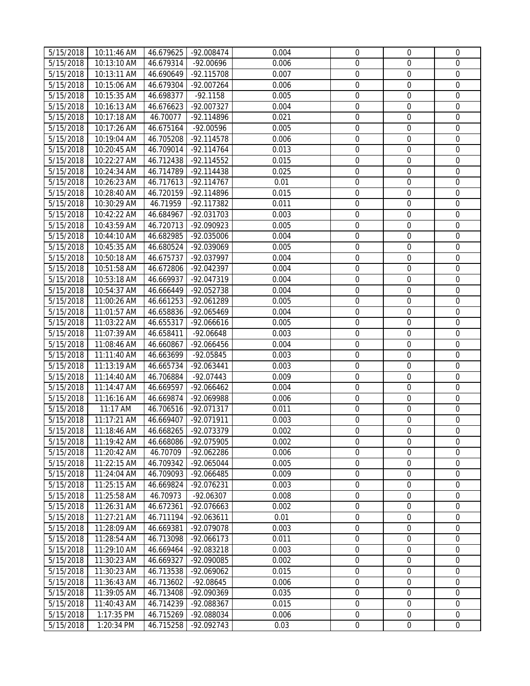| 5/15/2018              | 10:11:46 AM | 46.679625 | -92.008474   | 0.004 | $\mathbf 0$      | $\mathbf{0}$     | $\mathbf 0$      |
|------------------------|-------------|-----------|--------------|-------|------------------|------------------|------------------|
| 5/15/2018              | 10:13:10 AM | 46.679314 | $-92.00696$  | 0.006 | 0                | $\mathbf 0$      | $\mathbf{0}$     |
| 5/15/2018              | 10:13:11 AM | 46.690649 | -92.115708   | 0.007 | $\boldsymbol{0}$ | $\mathbf 0$      | $\mathbf 0$      |
| $\frac{1}{5/15/2018}$  | 10:15:06 AM | 46.679304 | -92.007264   | 0.006 | $\mathbf 0$      | $\mathbf 0$      | $\mathbf 0$      |
| $\overline{5}/15/2018$ | 10:15:35 AM | 46.698377 | $-92.1158$   | 0.005 | $\boldsymbol{0}$ | $\boldsymbol{0}$ | $\mathbf 0$      |
| 5/15/2018              | 10:16:13 AM | 46.676623 | -92.007327   | 0.004 | $\boldsymbol{0}$ | $\mathbf 0$      | $\mathbf 0$      |
| 5/15/2018              | 10:17:18 AM | 46.70077  | -92.114896   | 0.021 | $\mathbf 0$      | $\mathbf 0$      | $\mathbf 0$      |
| 5/15/2018              | 10:17:26 AM | 46.675164 | -92.00596    | 0.005 | $\mathbf 0$      | $\mathbf 0$      | $\mathbf 0$      |
| 5/15/2018              | 10:19:04 AM | 46.705208 | -92.114578   | 0.006 | $\boldsymbol{0}$ | $\mathbf 0$      | $\mathbf 0$      |
| 5/15/2018              | 10:20:45 AM | 46.709014 | -92.114764   | 0.013 | $\mathbf 0$      | $\mathbf 0$      | $\mathbf 0$      |
| 5/15/2018              | 10:22:27 AM | 46.712438 | -92.114552   | 0.015 | $\boldsymbol{0}$ | $\boldsymbol{0}$ | $\mathbf 0$      |
| 5/15/2018              | 10:24:34 AM | 46.714789 | $-92.114438$ | 0.025 | $\boldsymbol{0}$ | $\boldsymbol{0}$ | $\boldsymbol{0}$ |
| 5/15/2018              | 10:26:23 AM | 46.717613 | $-92.114767$ | 0.01  | $\boldsymbol{0}$ | $\boldsymbol{0}$ | $\mathbf 0$      |
|                        |             |           |              |       |                  | $\boldsymbol{0}$ | $\boldsymbol{0}$ |
| 5/15/2018              | 10:28:40 AM | 46.720159 | -92.114896   | 0.015 | 0                |                  |                  |
| 5/15/2018              | 10:30:29 AM | 46.71959  | -92.117382   | 0.011 | 0                | $\boldsymbol{0}$ | $\mathbf 0$      |
| 5/15/2018              | 10:42:22 AM | 46.684967 | -92.031703   | 0.003 | 0                | $\boldsymbol{0}$ | $\mathbf 0$      |
| 5/15/2018              | 10:43:59 AM | 46.720713 | -92.090923   | 0.005 | $\boldsymbol{0}$ | $\boldsymbol{0}$ | $\boldsymbol{0}$ |
| 5/15/2018              | 10:44:10 AM | 46.682985 | -92.035006   | 0.004 | 0                | $\boldsymbol{0}$ | $\mathbf 0$      |
| 5/15/2018              | 10:45:35 AM | 46.680524 | -92.039069   | 0.005 | $\mathbf 0$      | $\mathbf 0$      | $\mathbf 0$      |
| 5/15/2018              | 10:50:18 AM | 46.675737 | -92.037997   | 0.004 | $\mathbf 0$      | $\mathbf 0$      | $\mathbf 0$      |
| 5/15/2018              | 10:51:58 AM | 46.672806 | -92.042397   | 0.004 | $\mathbf 0$      | $\mathbf 0$      | $\mathbf 0$      |
| 5/15/2018              | 10:53:18 AM | 46.669937 | -92.047319   | 0.004 | $\boldsymbol{0}$ | $\mathbf 0$      | $\mathbf 0$      |
| 5/15/2018              | 10:54:37 AM | 46.666449 | -92.052738   | 0.004 | $\mathbf 0$      | $\boldsymbol{0}$ | $\mathbf 0$      |
| 5/15/2018              | 11:00:26 AM | 46.661253 | $-92.061289$ | 0.005 | $\boldsymbol{0}$ | $\boldsymbol{0}$ | $\mathbf 0$      |
| 5/15/2018              | 11:01:57 AM | 46.658836 | -92.065469   | 0.004 | $\boldsymbol{0}$ | $\boldsymbol{0}$ | $\mathbf 0$      |
| 5/15/2018              | 11:03:22 AM | 46.655317 | $-92.066616$ | 0.005 | $\boldsymbol{0}$ | $\boldsymbol{0}$ | $\mathbf 0$      |
| 5/15/2018              | 11:07:39 AM | 46.658411 | $-92.06648$  | 0.003 | $\boldsymbol{0}$ | $\boldsymbol{0}$ | $\mathbf 0$      |
| 5/15/2018              | 11:08:46 AM | 46.660867 | -92.066456   | 0.004 | $\boldsymbol{0}$ | $\mathbf 0$      | $\mathbf 0$      |
| $\overline{5}/15/2018$ | 11:11:40 AM | 46.663699 | $-92.05845$  | 0.003 | $\boldsymbol{0}$ | $\boldsymbol{0}$ | $\boldsymbol{0}$ |
| 5/15/2018              | 11:13:19 AM | 46.665734 | -92.063441   | 0.003 | $\mathbf 0$      | $\mathbf 0$      | $\boldsymbol{0}$ |
| 5/15/2018              | 11:14:40 AM | 46.706884 | $-92.07443$  | 0.009 | 0                | $\mathbf 0$      | $\mathbf 0$      |
| $\overline{5}/15/2018$ | 11:14:47 AM | 46.669597 | -92.066462   | 0.004 | 0                | $\mathbf 0$      | $\boldsymbol{0}$ |
| 5/15/2018              | 11:16:16 AM | 46.669874 | -92.069988   | 0.006 | 0                | $\mathbf 0$      | $\mathbf 0$      |
| 5/15/2018              | 11:17 AM    | 46.706516 | -92.071317   | 0.011 | $\boldsymbol{0}$ | $\boldsymbol{0}$ | $\mathbf 0$      |
| 5/15/2018              | 11:17:21 AM | 46.669407 | -92.071911   | 0.003 | $\boldsymbol{0}$ | $\boldsymbol{0}$ | $\mathbf 0$      |
| 5/15/2018              | 11:18:46 AM | 46.668265 | -92.073379   | 0.002 | $\overline{0}$   | $\mathbf 0$      | $\mathbf 0$      |
| 5/15/2018              | 11:19:42 AM | 46.668086 | -92.075905   | 0.002 | 0                | $\mathbf{0}$     | $\mathbf 0$      |
| 5/15/2018              | 11:20:42 AM | 46.70709  | -92.062286   | 0.006 | 0                | $\mathbf 0$      | 0                |
| 5/15/2018              | 11:22:15 AM | 46.709342 | -92.065044   | 0.005 | 0                | $\boldsymbol{0}$ | 0                |
| 5/15/2018              | 11:24:04 AM | 46.709093 | $-92.066485$ | 0.009 | 0                | $\boldsymbol{0}$ | $\boldsymbol{0}$ |
| 5/15/2018              | 11:25:15 AM | 46.669824 | -92.076231   | 0.003 | $\mathbf 0$      | $\mathbf 0$      | $\mathbf 0$      |
| 5/15/2018              | 11:25:58 AM | 46.70973  | $-92.06307$  | 0.008 | $\boldsymbol{0}$ | $\boldsymbol{0}$ | $\mathbf 0$      |
| 5/15/2018              | 11:26:31 AM | 46.672361 | -92.076663   | 0.002 | $\boldsymbol{0}$ | $\mathbf 0$      | $\mathbf 0$      |
| 5/15/2018              | 11:27:21 AM | 46.711194 | -92.063611   | 0.01  | $\mathbf 0$      | $\mathbf 0$      | $\mathbf 0$      |
| 5/15/2018              | 11:28:09 AM | 46.669381 | -92.079078   | 0.003 | 0                | 0                | $\mathbf 0$      |
| 5/15/2018              | 11:28:54 AM | 46.713098 | -92.066173   | 0.011 | $\mathbf 0$      | $\mathbf 0$      | $\mathbf 0$      |
| 5/15/2018              | 11:29:10 AM | 46.669464 | -92.083218   | 0.003 | $\mathbf 0$      | $\mathbf 0$      | $\boldsymbol{0}$ |
| 5/15/2018              | 11:30:23 AM | 46.669327 | -92.090085   | 0.002 | $\boldsymbol{0}$ | $\boldsymbol{0}$ | $\mathbf 0$      |
| 5/15/2018              | 11:30:23 AM | 46.713538 | -92.069062   | 0.015 | 0                | 0                | $\mathbf 0$      |
| 5/15/2018              | 11:36:43 AM | 46.713602 | $-92.08645$  | 0.006 | 0                | $\boldsymbol{0}$ | $\boldsymbol{0}$ |
| $\overline{5}/15/2018$ | 11:39:05 AM | 46.713408 | -92.090369   | 0.035 | 0                | $\boldsymbol{0}$ | $\mathbf 0$      |
| 5/15/2018              | 11:40:43 AM | 46.714239 | -92.088367   | 0.015 | 0                | $\boldsymbol{0}$ | $\boldsymbol{0}$ |
| 5/15/2018              | 1:17:35 PM  | 46.715269 | -92.088034   | 0.006 | $\boldsymbol{0}$ | $\boldsymbol{0}$ | $\mathbf 0$      |
| 5/15/2018              | 1:20:34 PM  | 46.715258 | -92.092743   | 0.03  | $\boldsymbol{0}$ | $\boldsymbol{0}$ | $\boldsymbol{0}$ |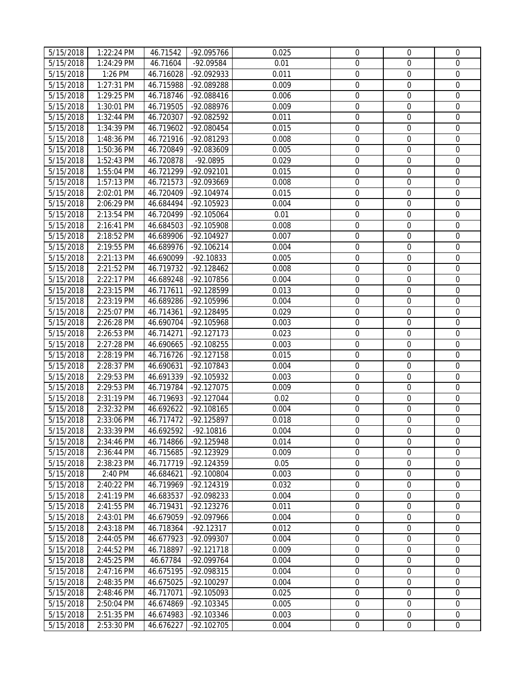| 5/15/2018<br>$\mathbf 0$<br>$\mathbf 0$<br>1:24:29 PM<br>46.71604<br>-92.09584<br>0.01<br>5/15/2018<br>1:26 PM<br>46.716028<br>-92.092933<br>0.011<br>$\boldsymbol{0}$<br>$\mathbf 0$ | $\mathbf{0}$<br>$\mathbf{0}$ |
|---------------------------------------------------------------------------------------------------------------------------------------------------------------------------------------|------------------------------|
|                                                                                                                                                                                       |                              |
|                                                                                                                                                                                       |                              |
| $\mathbf 0$<br>$\mathbf 0$<br>5/15/2018<br>1:27:31 PM<br>46.715988<br>-92.089288<br>0.009                                                                                             | $\mathbf 0$                  |
| $\boldsymbol{0}$<br>5/15/2018<br>1:29:25 PM<br>46.718746<br>-92.088416<br>0.006<br>$\boldsymbol{0}$                                                                                   | $\mathbf 0$                  |
| $\boldsymbol{0}$<br>5/15/2018<br>1:30:01 PM<br>46.719505<br>-92.088976<br>0.009<br>$\mathbf 0$                                                                                        | $\mathbf 0$                  |
| $\mathbf 0$<br>$\mathbf 0$<br>5/15/2018<br>1:32:44 PM<br>46.720307<br>-92.082592<br>0.011                                                                                             | $\mathbf 0$                  |
| $\mathbf 0$<br>5/15/2018<br>46.719602<br>-92.080454<br>0.015<br>$\mathbf 0$<br>1:34:39 PM                                                                                             | $\mathbf 0$                  |
| $\boldsymbol{0}$<br>5/15/2018<br>46.721916<br>-92.081293<br>0.008<br>$\mathbf 0$<br>1:48:36 PM                                                                                        | $\mathbf 0$                  |
| 0.005<br>$\mathbf 0$<br>$\mathbf 0$<br>5/15/2018<br>1:50:36 PM<br>46.720849<br>-92.083609                                                                                             | $\mathbf 0$                  |
| $\boldsymbol{0}$<br>5/15/2018<br>1:52:43 PM<br>46.720878<br>-92.0895<br>0.029<br>$\boldsymbol{0}$                                                                                     | $\mathbf 0$                  |
| $\boldsymbol{0}$<br>5/15/2018<br>1:55:04 PM<br>46.721299<br>-92.092101<br>0.015<br>$\boldsymbol{0}$                                                                                   | $\boldsymbol{0}$             |
| 5/15/2018<br>1:57:13 PM<br>46.721573<br>-92.093669<br>0.008<br>$\boldsymbol{0}$<br>$\boldsymbol{0}$                                                                                   | $\mathbf 0$                  |
| $\overline{5}/15/2018$<br>0<br>$\boldsymbol{0}$<br>2:02:01 PM<br>46.720409<br>$-92.104974$<br>0.015                                                                                   | $\boldsymbol{0}$             |
| 5/15/2018<br>2:06:29 PM<br>46.684494<br>-92.105923<br>0.004<br>0<br>$\boldsymbol{0}$                                                                                                  | $\mathbf 0$                  |
| 5/15/2018<br>2:13:54 PM<br>46.720499<br>-92.105064<br>0.01<br>$\boldsymbol{0}$<br>$\boldsymbol{0}$                                                                                    | $\mathbf 0$                  |
| $\boldsymbol{0}$<br>5/15/2018<br>46.684503<br>-92.105908<br>0.008<br>$\boldsymbol{0}$<br>2:16:41 PM                                                                                   | $\boldsymbol{0}$             |
| 0<br>5/15/2018<br>-92.104927<br>0.007<br>2:18:52 PM<br>46.689906<br>$\mathbf 0$                                                                                                       | $\mathbf 0$                  |
| $\mathbf 0$<br>5/15/2018<br>2:19:55 PM<br>46.689976<br>$-92.106214$<br>0.004<br>$\mathbf 0$                                                                                           | $\mathbf 0$                  |
| $\mathbf 0$<br>$\mathbf 0$<br>5/15/2018<br>2:21:13 PM<br>46.690099<br>$-92.10833$<br>0.005                                                                                            | $\mathbf 0$                  |
| $\mathbf 0$<br>5/15/2018<br>2:21:52 PM<br>46.719732<br>-92.128462<br>0.008<br>$\mathbf 0$                                                                                             | $\mathbf 0$                  |
| $\boldsymbol{0}$<br>$\boldsymbol{0}$<br>5/15/2018<br>2:22:17 PM<br>46.689248<br>-92.107856<br>0.004                                                                                   | $\boldsymbol{0}$             |
| $\boldsymbol{0}$<br>$\boldsymbol{0}$<br>0.013<br>5/15/2018<br>2:23:15 PM<br>46.717611<br>-92.128599                                                                                   | $\mathbf 0$                  |
| $\boldsymbol{0}$<br>5/15/2018<br>2:23:19 PM<br>46.689286<br>-92.105996<br>0.004<br>$\boldsymbol{0}$                                                                                   | $\mathbf 0$                  |
| $\boldsymbol{0}$<br>5/15/2018<br>2:25:07 PM<br>46.714361<br>-92.128495<br>0.029<br>$\boldsymbol{0}$                                                                                   | $\mathbf 0$                  |
| $\boldsymbol{0}$<br>$\boldsymbol{0}$<br>5/15/2018<br>2:26:28 PM<br>46.690704<br>-92.105968<br>0.003                                                                                   | $\mathbf 0$                  |
| 0.023<br>$\boldsymbol{0}$<br>5/15/2018<br>2:26:53 PM<br>46.714271<br>$-92.127173$<br>$\boldsymbol{0}$                                                                                 | $\mathbf 0$                  |
| 5/15/2018<br>2:27:28 PM<br>46.690665<br>-92.108255<br>0.003<br>$\boldsymbol{0}$<br>$\boldsymbol{0}$                                                                                   | $\mathbf{0}$                 |
| $\overline{5}/15/2018$<br>$\boldsymbol{0}$<br>2:28:19 PM<br>46.716726<br>$-92.127158$<br>0.015<br>$\boldsymbol{0}$                                                                    | $\boldsymbol{0}$             |
| $\mathbf 0$<br>5/15/2018<br>2:28:37 PM<br>46.690631<br>-92.107843<br>0.004<br>$\mathbf 0$                                                                                             | $\boldsymbol{0}$             |
| 5/15/2018<br>2:29:53 PM<br>46.691339<br>-92.105932<br>0.003<br>0<br>$\mathbf 0$                                                                                                       | $\mathbf 0$                  |
| $\boldsymbol{0}$<br>$\boldsymbol{0}$<br>5/15/2018<br>2:29:53 PM<br>-92.127075<br>0.009<br>46.719784                                                                                   | $\boldsymbol{0}$             |
| $\mathbf 0$<br>5/15/2018<br>46.719693<br>-92.127044<br>0.02<br>$\mathbf 0$<br>2:31:19 PM                                                                                              | $\mathbf 0$                  |
| $\boldsymbol{0}$<br>5/15/2018<br>2:32:32 PM<br>46.692622<br>-92.108165<br>0.004<br>$\boldsymbol{0}$                                                                                   | $\mathbf 0$                  |
| $\boldsymbol{0}$<br>5/15/2018<br>2:33:06 PM<br>46.717472<br>-92.125897<br>$\boldsymbol{0}$<br>0.018                                                                                   | $\mathbf 0$                  |
| 5/15/2018<br>$\overline{0}$<br>$\mathbf 0$<br>2:33:39 PM<br>46.692592<br>$-92.10816$<br>0.004                                                                                         | $\mathbf 0$                  |
| 5/15/2018<br>2:34:46 PM<br>46.714866<br>0.014<br>-92.125948<br>$\overline{0}$<br>$\mathbf{0}$                                                                                         | $\mathbf 0$                  |
| 5/15/2018<br>0.009<br>0<br>$\mathbf 0$<br>2:36:44 PM<br>46.715685<br>-92.123929                                                                                                       | $\mathbf{0}$                 |
| 0<br>$\boldsymbol{0}$<br>5/15/2018<br>2:38:23 PM<br>46.717719<br>-92.124359<br>0.05                                                                                                   | 0                            |
| $\overline{5}/15/2018$<br>46.684621<br>-92.100804<br>0.003<br>0<br>$\boldsymbol{0}$<br>2:40 PM                                                                                        | $\boldsymbol{0}$             |
| $\mathbf 0$<br>$\mathbf 0$<br>5/15/2018<br>2:40:22 PM<br>46.719969<br>-92.124319<br>0.032                                                                                             | $\mathbf 0$                  |
| $\boldsymbol{0}$<br>5/15/2018<br>2:41:19 PM<br>-92.098233<br>0.004<br>46.683537<br>$\boldsymbol{0}$                                                                                   | $\mathbf 0$                  |
| $\boldsymbol{0}$<br>5/15/2018<br>2:41:55 PM<br>$-92.123276$<br>0.011<br>$\mathbf 0$<br>46.719431                                                                                      | $\mathbf 0$                  |
| $\mathbf 0$<br>5/15/2018<br>0.004<br>$\mathbf 0$<br>2:43:01 PM<br>46.679059<br>-92.097966                                                                                             | $\Omega$                     |
| 0.012<br>0<br>5/15/2018<br>2:43:18 PM<br>46.718364<br>$-92.12317$<br>0                                                                                                                | $\mathbf 0$                  |
| $\mathbf 0$<br>5/15/2018<br>0.004<br>$\mathbf 0$<br>2:44:05 PM<br>46.677923<br>-92.099307                                                                                             | $\mathbf 0$                  |
| 0<br>5/15/2018<br>2:44:52 PM<br>$-92.121718$<br>0.009<br>$\mathbf 0$<br>46.718897                                                                                                     | $\mathbf 0$                  |
| $\boldsymbol{0}$<br>5/15/2018<br>0.004<br>$\boldsymbol{0}$<br>2:45:25 PM<br>46.67784<br>-92.099764                                                                                    | $\mathbf 0$                  |
| 5/15/2018<br>2:47:16 PM<br>46.675195<br>-92.098315<br>0.004<br>0<br>0                                                                                                                 | $\mathbf 0$                  |
| 5/15/2018<br>2:48:35 PM<br>$-92.100297$<br>0.004<br>0<br>$\boldsymbol{0}$<br>46.675025                                                                                                | $\boldsymbol{0}$             |
| 5/15/2018<br>0.025<br>0<br>$\boldsymbol{0}$<br>2:48:46 PM<br>46.717071<br>-92.105093                                                                                                  | $\mathbf 0$                  |
| 5/15/2018<br>46.674869<br>-92.103345<br>0.005<br>$\boldsymbol{0}$<br>$\boldsymbol{0}$<br>2:50:04 PM                                                                                   | $\mathbf 0$                  |
| 5/15/2018<br>2:51:35 PM<br>46.674983<br>-92.103346<br>0.003<br>$\boldsymbol{0}$<br>$\boldsymbol{0}$                                                                                   | $\mathbf 0$                  |
| 5/15/2018<br>2:53:30 PM<br>$-92.102705$<br>0.004<br>$\boldsymbol{0}$<br>$\boldsymbol{0}$<br>46.676227                                                                                 | $\mathbf 0$                  |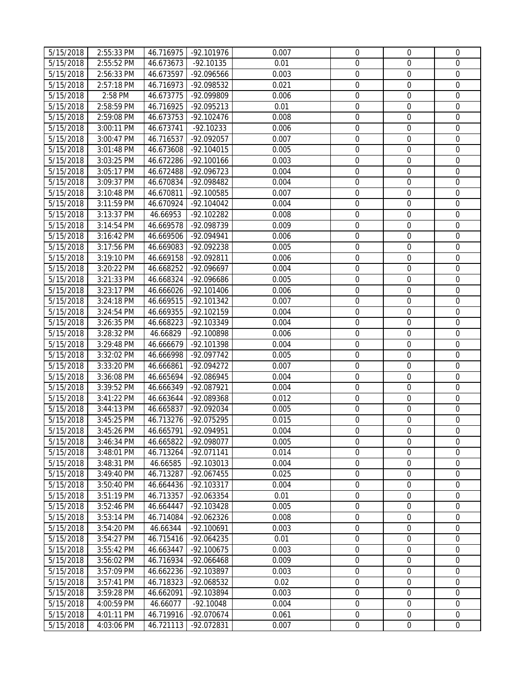| 5/15/2018              | 2:55:33 PM | 46.716975 | -92.101976   | 0.007 | $\overline{0}$                       | $\overline{0}$   | $\mathbf 0$                     |
|------------------------|------------|-----------|--------------|-------|--------------------------------------|------------------|---------------------------------|
| 5/15/2018              | 2:55:52 PM | 46.673673 | $-92.10135$  | 0.01  | $\mathbf 0$                          | $\overline{0}$   | $\mathbf 0$                     |
| 5/15/2018              | 2:56:33 PM | 46.673597 | $-92.096566$ | 0.003 | $\boldsymbol{0}$                     | $\overline{0}$   | $\mathbf 0$                     |
| 5/15/2018              | 2:57:18 PM | 46.716973 | -92.098532   | 0.021 | $\mathbf 0$                          | $\mathbf 0$      | $\mathbf 0$                     |
| 5/15/2018              | 2:58 PM    | 46.673775 | -92.099809   | 0.006 | $\boldsymbol{0}$                     | $\boldsymbol{0}$ | $\mathbf 0$                     |
| 5/15/2018              | 2:58:59 PM | 46.716925 | -92.095213   | 0.01  | $\boldsymbol{0}$                     | $\mathbf 0$      | $\mathbf 0$                     |
| 5/15/2018              | 2:59:08 PM | 46.673753 | $-92.102476$ | 0.008 | $\overline{0}$                       | $\mathbf 0$      | $\mathbf 0$                     |
| 5/15/2018              | 3:00:11 PM | 46.673741 | $-92.10233$  | 0.006 | $\mathbf 0$                          | $\mathbf 0$      | $\mathbf 0$                     |
| 5/15/2018              | 3:00:47 PM | 46.716537 | -92.092057   | 0.007 | $\boldsymbol{0}$                     | $\mathbf 0$      | $\mathbf 0$                     |
| 5/15/2018              | 3:01:48 PM | 46.673608 | $-92.104015$ | 0.005 | $\mathbf 0$                          | $\mathbf 0$      | $\mathbf 0$                     |
| 5/15/2018              | 3:03:25 PM | 46.672286 | $-92.100166$ | 0.003 | $\boldsymbol{0}$                     | $\boldsymbol{0}$ | $\mathbf 0$                     |
| 5/15/2018              | 3:05:17 PM | 46.672488 | -92.096723   | 0.004 | $\boldsymbol{0}$                     | $\boldsymbol{0}$ | $\boldsymbol{0}$                |
| 5/15/2018              | 3:09:37 PM | 46.670834 | -92.098482   | 0.004 | $\boldsymbol{0}$                     | $\boldsymbol{0}$ | $\mathbf 0$                     |
| 5/15/2018              | 3:10:48 PM | 46.670811 | -92.100585   | 0.007 | 0                                    | $\boldsymbol{0}$ | $\boldsymbol{0}$                |
| 5/15/2018              | 3:11:59 PM | 46.670924 | -92.104042   | 0.004 | $\boldsymbol{0}$                     | $\boldsymbol{0}$ | $\mathbf 0$                     |
| 5/15/2018              | 3:13:37 PM | 46.66953  | -92.102282   | 0.008 | 0                                    | $\boldsymbol{0}$ | $\mathbf 0$                     |
| 5/15/2018              | 3:14:54 PM | 46.669578 | -92.098739   | 0.009 | $\boldsymbol{0}$                     | $\boldsymbol{0}$ | $\boldsymbol{0}$                |
| 5/15/2018              | 3:16:42 PM | 46.669506 | -92.094941   | 0.006 | 0                                    | $\boldsymbol{0}$ | $\mathbf 0$                     |
| 5/15/2018              | 3:17:56 PM | 46.669083 | -92.092238   | 0.005 | $\mathbf 0$                          | $\mathbf 0$      | $\mathbf 0$                     |
| 5/15/2018              | 3:19:10 PM | 46.669158 | -92.092811   | 0.006 | $\mathbf 0$                          | $\mathbf 0$      | $\mathbf 0$                     |
| 5/15/2018              | 3:20:22 PM | 46.668252 | -92.096697   | 0.004 | $\mathbf 0$                          | $\mathbf 0$      | $\mathbf 0$                     |
|                        |            |           | -92.096686   | 0.005 |                                      | $\boldsymbol{0}$ |                                 |
| 5/15/2018              | 3:21:33 PM | 46.668324 |              | 0.006 | $\boldsymbol{0}$<br>$\boldsymbol{0}$ | $\boldsymbol{0}$ | $\boldsymbol{0}$<br>$\mathbf 0$ |
| 5/15/2018              | 3:23:17 PM | 46.666026 | $-92.101406$ |       |                                      |                  | $\mathbf 0$                     |
| 5/15/2018              | 3:24:18 PM | 46.669515 | -92.101342   | 0.007 | $\boldsymbol{0}$                     | $\boldsymbol{0}$ |                                 |
| 5/15/2018              | 3:24:54 PM | 46.669355 | -92.102159   | 0.004 | $\boldsymbol{0}$                     | $\boldsymbol{0}$ | $\mathbf 0$                     |
| 5/15/2018              | 3:26:35 PM | 46.668223 | -92.103349   | 0.004 | $\boldsymbol{0}$                     | $\boldsymbol{0}$ | $\mathbf 0$                     |
| 5/15/2018              | 3:28:32 PM | 46.66829  | -92.100898   | 0.006 | $\boldsymbol{0}$                     | $\boldsymbol{0}$ | $\mathbf 0$                     |
| 5/15/2018              | 3:29:48 PM | 46.666679 | -92.101398   | 0.004 | $\boldsymbol{0}$                     | $\boldsymbol{0}$ | $\mathbf 0$                     |
| $\overline{5}/15/2018$ | 3:32:02 PM | 46.666998 | -92.097742   | 0.005 | $\boldsymbol{0}$                     | $\boldsymbol{0}$ | $\boldsymbol{0}$                |
| 5/15/2018              | 3:33:20 PM | 46.666861 | -92.094272   | 0.007 | $\mathbf 0$                          | $\mathbf 0$      | $\boldsymbol{0}$                |
| 5/15/2018              | 3:36:08 PM | 46.665694 | $-92.086945$ | 0.004 | $\boldsymbol{0}$                     | $\mathbf 0$      | $\mathbf 0$                     |
| 5/15/2018              | 3:39:52 PM | 46.666349 | -92.087921   | 0.004 | $\boldsymbol{0}$                     | $\mathbf 0$      | $\boldsymbol{0}$                |
| 5/15/2018              | 3:41:22 PM | 46.663644 | -92.089368   | 0.012 | $\mathbf 0$                          | $\mathbf 0$      | $\boldsymbol{0}$                |
| 5/15/2018              | 3:44:13 PM | 46.665837 | -92.092034   | 0.005 | $\boldsymbol{0}$                     | $\boldsymbol{0}$ | $\mathbf 0$                     |
| 5/15/2018              | 3:45:25 PM | 46.713276 | -92.075295   | 0.015 | $\boldsymbol{0}$                     | $\boldsymbol{0}$ | $\mathbf 0$                     |
| 5/15/2018              | 3:45:26 PM | 46.665791 | -92.094951   | 0.004 | $\overline{0}$                       | $\mathbf 0$      | $\mathbf 0$                     |
| 5/15/2018              | 3:46:34 PM | 46.665822 | -92.098077   | 0.005 | $\mathbf{0}$                         | $\mathbf{0}$     | $\mathbf 0$                     |
| 5/15/2018              | 3:48:01 PM | 46.713264 | -92.071141   | 0.014 | 0                                    | $\mathbf 0$      | $\mathbf{0}$                    |
| 5/15/2018              | 3:48:31 PM | 46.66585  | -92.103013   | 0.004 | 0                                    | $\boldsymbol{0}$ | $\mathbf{0}$                    |
| $\overline{5}/15/2018$ | 3:49:40 PM | 46.713287 | -92.067455   | 0.025 | 0                                    | $\boldsymbol{0}$ | $\boldsymbol{0}$                |
| 5/15/2018              | 3:50:40 PM | 46.664436 | -92.103317   | 0.004 | $\mathbf 0$                          | $\mathbf 0$      | $\mathbf 0$                     |
| 5/15/2018              | 3:51:19 PM | 46.713357 | -92.063354   | 0.01  | $\boldsymbol{0}$                     | $\boldsymbol{0}$ | $\mathbf 0$                     |
| 5/15/2018              | 3:52:46 PM | 46.664447 | -92.103428   | 0.005 | $\boldsymbol{0}$                     | $\mathbf 0$      | $\mathbf 0$                     |
| 5/15/2018              | 3:53:14 PM | 46.714084 | $-92.062326$ | 0.008 | $\mathbf 0$                          | $\mathbf 0$      | $\Omega$                        |
| 5/15/2018              | 3:54:20 PM | 46.66344  | $-92.100691$ | 0.003 | $\boldsymbol{0}$                     | 0                | $\mathbf 0$                     |
| 5/15/2018              | 3:54:27 PM | 46.715416 | -92.064235   | 0.01  | $\mathbf 0$                          | $\mathbf 0$      | $\mathbf 0$                     |
| 5/15/2018              | 3:55:42 PM | 46.663447 | $-92.100675$ | 0.003 | 0                                    | $\mathbf 0$      | $\mathbf 0$                     |
| 5/15/2018              | 3:56:02 PM | 46.716934 | -92.066468   | 0.009 | $\boldsymbol{0}$                     | $\boldsymbol{0}$ | $\mathbf 0$                     |
| 5/15/2018              | 3:57:09 PM | 46.662236 | -92.103897   | 0.003 | 0                                    | $\boldsymbol{0}$ | $\mathbf 0$                     |
| 5/15/2018              | 3:57:41 PM | 46.718323 | -92.068532   | 0.02  | 0                                    | $\boldsymbol{0}$ | $\mathbf 0$                     |
| 5/15/2018              | 3:59:28 PM | 46.662091 | -92.103894   | 0.003 | 0                                    | $\boldsymbol{0}$ | $\mathbf 0$                     |
| 5/15/2018              | 4:00:59 PM | 46.66077  | $-92.10048$  | 0.004 | $\boldsymbol{0}$                     | $\boldsymbol{0}$ | $\mathbf{0}$                    |
| 5/15/2018              | 4:01:11 PM | 46.719916 | -92.070674   | 0.061 | $\boldsymbol{0}$                     | $\boldsymbol{0}$ | $\mathbf 0$                     |
| 5/15/2018              | 4:03:06 PM | 46.721113 | -92.072831   | 0.007 | $\boldsymbol{0}$                     | $\boldsymbol{0}$ | $\boldsymbol{0}$                |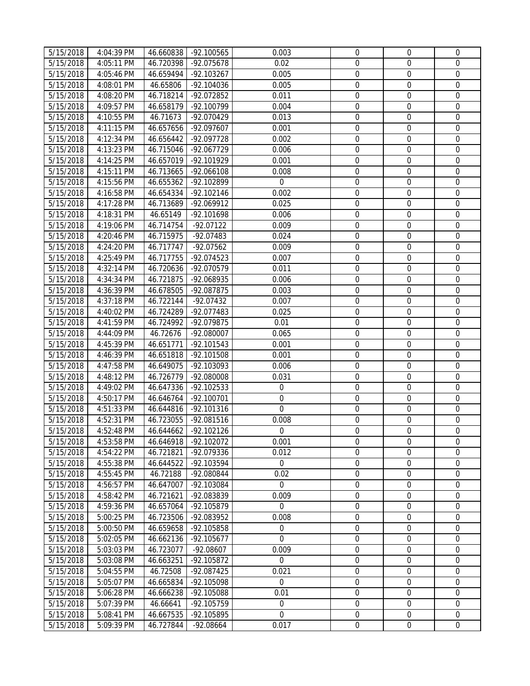| 5/15/2018              | 4:04:39 PM | 46.660838 | -92.100565   | 0.003            | $\mathbf 0$      | $\mathbf{0}$     | $\mathbf 0$      |
|------------------------|------------|-----------|--------------|------------------|------------------|------------------|------------------|
| 5/15/2018              | 4:05:11 PM | 46.720398 | -92.075678   | 0.02             | $\mathbf 0$      | $\mathbf 0$      | $\mathbf 0$      |
| 5/15/2018              | 4:05:46 PM | 46.659494 | $-92.103267$ | 0.005            | $\boldsymbol{0}$ | $\mathbf 0$      | $\mathbf 0$      |
| 5/15/2018              | 4:08:01 PM | 46.65806  | -92.104036   | 0.005            | $\mathbf 0$      | $\mathbf 0$      | $\mathbf 0$      |
| 5/15/2018              | 4:08:20 PM | 46.718214 | -92.072852   | 0.011            | $\boldsymbol{0}$ | $\boldsymbol{0}$ | $\mathbf 0$      |
| 5/15/2018              | 4:09:57 PM | 46.658179 | -92.100799   | 0.004            | $\boldsymbol{0}$ | $\mathbf 0$      | $\mathbf 0$      |
| 5/15/2018              | 4:10:55 PM | 46.71673  | -92.070429   | 0.013            | $\mathbf 0$      | $\mathbf 0$      | $\mathbf 0$      |
| 5/15/2018              | 4:11:15 PM | 46.657656 | -92.097607   | 0.001            | $\mathbf 0$      | $\mathbf 0$      | $\mathbf 0$      |
| 5/15/2018              | 4:12:34 PM | 46.656442 | -92.097728   | 0.002            | $\boldsymbol{0}$ | $\mathbf 0$      | $\mathbf 0$      |
| 5/15/2018              | 4:13:23 PM | 46.715046 | -92.067729   | 0.006            | $\mathbf 0$      | $\mathbf 0$      | $\mathbf 0$      |
| 5/15/2018              | 4:14:25 PM | 46.657019 | -92.101929   | 0.001            | $\boldsymbol{0}$ | $\boldsymbol{0}$ | $\mathbf 0$      |
| 5/15/2018              | 4:15:11 PM | 46.713665 | $-92.066108$ | 0.008            | $\boldsymbol{0}$ | $\boldsymbol{0}$ | $\mathbf 0$      |
| 5/15/2018              | 4:15:56 PM | 46.655362 | -92.102899   | $\boldsymbol{0}$ | $\boldsymbol{0}$ | $\boldsymbol{0}$ | $\mathbf 0$      |
| 5/15/2018              | 4:16:58 PM | 46.654334 | -92.102146   | 0.002            | 0                | $\boldsymbol{0}$ | $\boldsymbol{0}$ |
| 5/15/2018              | 4:17:28 PM |           | -92.069912   | 0.025            |                  | $\boldsymbol{0}$ | $\mathbf 0$      |
|                        | 4:18:31 PM | 46.713689 | -92.101698   | 0.006            | 0                | $\boldsymbol{0}$ | $\mathbf 0$      |
| 5/15/2018              |            | 46.65149  |              |                  | 0                |                  | $\boldsymbol{0}$ |
| 5/15/2018              | 4:19:06 PM | 46.714754 | $-92.07122$  | 0.009            | $\boldsymbol{0}$ | $\boldsymbol{0}$ |                  |
| 5/15/2018              | 4:20:46 PM | 46.715975 | $-92.07483$  | 0.024            | 0                | $\boldsymbol{0}$ | $\mathbf 0$      |
| 5/15/2018              | 4:24:20 PM | 46.717747 | $-92.07562$  | 0.009            | $\mathbf 0$      | $\mathbf 0$      | $\mathbf 0$      |
| 5/15/2018              | 4:25:49 PM | 46.717755 | -92.074523   | 0.007            | $\mathbf 0$      | $\mathbf 0$      | $\mathbf 0$      |
| 5/15/2018              | 4:32:14 PM | 46.720636 | -92.070579   | 0.011            | $\mathbf 0$      | $\mathbf 0$      | $\mathbf 0$      |
| 5/15/2018              | 4:34:34 PM | 46.721875 | -92.068935   | 0.006            | $\boldsymbol{0}$ | $\boldsymbol{0}$ | $\mathbf 0$      |
| 5/15/2018              | 4:36:39 PM | 46.678505 | -92.087875   | 0.003            | $\mathbf 0$      | $\boldsymbol{0}$ | $\mathbf 0$      |
| 5/15/2018              | 4:37:18 PM | 46.722144 | $-92.07432$  | 0.007            | $\boldsymbol{0}$ | $\boldsymbol{0}$ | $\mathbf 0$      |
| 5/15/2018              | 4:40:02 PM | 46.724289 | -92.077483   | 0.025            | $\boldsymbol{0}$ | $\boldsymbol{0}$ | $\mathbf 0$      |
| 5/15/2018              | 4:41:59 PM | 46.724992 | -92.079875   | 0.01             | $\boldsymbol{0}$ | $\boldsymbol{0}$ | $\mathbf 0$      |
| 5/15/2018              | 4:44:09 PM | 46.72676  | -92.080007   | 0.065            | $\boldsymbol{0}$ | $\boldsymbol{0}$ | $\mathbf 0$      |
| 5/15/2018              | 4:45:39 PM | 46.651771 | -92.101543   | 0.001            | $\boldsymbol{0}$ | $\boldsymbol{0}$ | $\mathbf 0$      |
| $\overline{5}/15/2018$ | 4:46:39 PM | 46.651818 | -92.101508   | 0.001            | $\boldsymbol{0}$ | $\boldsymbol{0}$ | $\mathbf 0$      |
| 5/15/2018              | 4:47:58 PM | 46.649075 | -92.103093   | 0.006            | $\mathbf 0$      | $\mathbf 0$      | $\boldsymbol{0}$ |
| 5/15/2018              | 4:48:12 PM | 46.726779 | -92.080008   | 0.031            | $\boldsymbol{0}$ | $\mathbf 0$      | $\mathbf 0$      |
| 5/15/2018              | 4:49:02 PM | 46.647336 | -92.102533   | 0                | $\boldsymbol{0}$ | $\mathbf 0$      | $\boldsymbol{0}$ |
| 5/15/2018              | 4:50:17 PM | 46.646764 | $-92.100701$ | $\boldsymbol{0}$ | $\mathbf 0$      | $\mathbf 0$      | $\boldsymbol{0}$ |
| 5/15/2018              | 4:51:33 PM | 46.644816 | -92.101316   | $\overline{0}$   | 0                | $\boldsymbol{0}$ | $\mathbf 0$      |
| 5/15/2018              | 4:52:31 PM | 46.723055 | $-92.081516$ | 0.008            | $\boldsymbol{0}$ | $\boldsymbol{0}$ | $\mathbf 0$      |
| 5/15/2018              | 4:52:48 PM | 46.644662 | -92.102126   | $\mathbf 0$      | $\overline{0}$   | $\mathbf 0$      | $\mathbf 0$      |
| 5/15/2018              | 4:53:58 PM | 46.646918 | -92.102072   | 0.001            | $\mathbf{0}$     | $\mathbf{0}$     | $\mathbf 0$      |
| 5/15/2018              | 4:54:22 PM | 46.721821 | -92.079336   | 0.012            | 0                | $\mathbf 0$      | $\mathbf{0}$     |
| 5/15/2018              | 4:55:38 PM | 46.644522 | -92.103594   | $\Omega$         | 0                | $\boldsymbol{0}$ | 0                |
| 5/15/2018              | 4:55:45 PM | 46.72188  | -92.080844   | 0.02             | 0                | $\boldsymbol{0}$ | $\boldsymbol{0}$ |
| 5/15/2018              | 4:56:57 PM | 46.647007 | -92.103084   | $\Omega$         | $\mathbf 0$      | $\mathbf 0$      | $\mathbf 0$      |
| 5/15/2018              | 4:58:42 PM | 46.721621 | -92.083839   | 0.009            | $\boldsymbol{0}$ | $\boldsymbol{0}$ | $\mathbf 0$      |
| 5/15/2018              | 4:59:36 PM | 46.657064 | -92.105879   | $\Omega$         | $\boldsymbol{0}$ | $\mathbf 0$      | $\mathbf 0$      |
| 5/15/2018              | 5:00:25 PM | 46.723506 | $-92.083952$ | 0.008            | $\mathbf 0$      | $\mathbf 0$      | $\mathbf 0$      |
| 5/15/2018              | 5:00:50 PM | 46.659658 | -92.105858   | $\boldsymbol{0}$ | 0                | $\mathbf{0}$     | $\mathbf 0$      |
| 5/15/2018              | 5:02:05 PM | 46.662136 | -92.105677   | $\overline{0}$   | $\mathbf 0$      | $\mathbf 0$      | $\mathbf 0$      |
| 5/15/2018              | 5:03:03 PM | 46.723077 | $-92.08607$  | 0.009            | 0                | $\mathbf 0$      | $\boldsymbol{0}$ |
| 5/15/2018              | 5:03:08 PM | 46.663251 | -92.105872   | $\mathbf{0}$     | $\boldsymbol{0}$ | $\boldsymbol{0}$ | $\mathbf 0$      |
| 5/15/2018              | 5:04:55 PM | 46.72508  | -92.087425   | 0.021            | 0                | $\boldsymbol{0}$ | $\mathbf 0$      |
| 5/15/2018              | 5:05:07 PM | 46.665834 | -92.105098   | $\mathbf{0}$     | 0                | $\boldsymbol{0}$ | $\boldsymbol{0}$ |
| $\overline{5}/15/2018$ | 5:06:28 PM | 46.666238 | -92.105088   | 0.01             | 0                | $\boldsymbol{0}$ | $\mathbf 0$      |
| 5/15/2018              | 5:07:39 PM | 46.66641  | -92.105759   | $\mathbf{0}$     | $\boldsymbol{0}$ | $\boldsymbol{0}$ | $\mathbf{0}$     |
| 5/15/2018              | 5:08:41 PM | 46.667535 | -92.105895   | $\Omega$         | $\boldsymbol{0}$ | $\boldsymbol{0}$ | $\mathbf 0$      |
| 5/15/2018              | 5:09:39 PM | 46.727844 | $-92.08664$  | 0.017            | $\boldsymbol{0}$ | $\boldsymbol{0}$ | $\mathbf 0$      |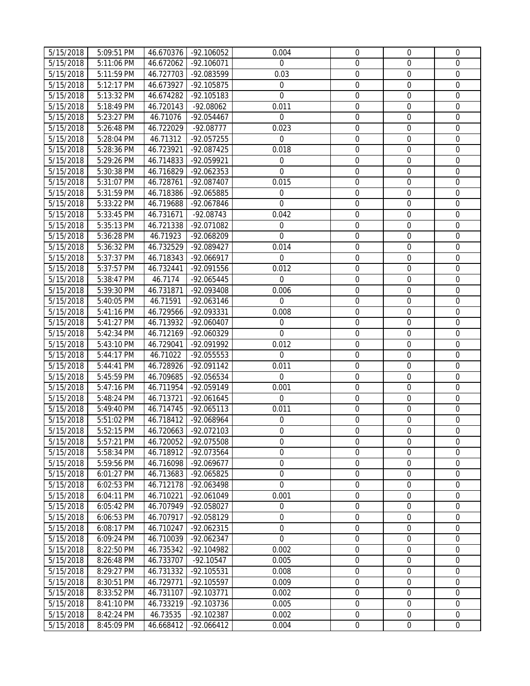| 5/15/2018<br>5:11:06 PM<br>46.672062<br>$-92.106071$<br>0<br>$\mathbf 0$<br>$\mathbf 0$<br>$\Omega$<br>5/15/2018<br>5:11:59 PM<br>46.727703<br>-92.083599<br>0.03<br>$\boldsymbol{0}$<br>$\mathbf 0$<br>$\mathbf 0$<br>$\frac{1}{5/15/2018}$<br>$\mathbf 0$<br>$\mathbf 0$<br>5:12:17 PM<br>46.673927<br>-92.105875<br>$\mathbf 0$<br>$\mathbf 0$<br>$\overline{5}/15/2018$<br>$\mathbf 0$<br>$\boldsymbol{0}$<br>5:13:32 PM<br>46.674282<br>$-92.105183$<br>$\boldsymbol{0}$<br>$\mathbf 0$<br>0.011<br>$\boldsymbol{0}$<br>5/15/2018<br>5:18:49 PM<br>46.720143<br>$-92.08062$<br>$\mathbf 0$<br>$\mathbf 0$<br>$\mathbf 0$<br>$\mathbf 0$<br>$\mathbf 0$<br>5/15/2018<br>5:23:27 PM<br>46.71076<br>-92.054467<br>$\Omega$<br>0.023<br>$\mathbf 0$<br>$\mathbf 0$<br>5/15/2018<br>5:26:48 PM<br>46.722029<br>$-92.08777$<br>$\mathbf 0$<br>$\boldsymbol{0}$<br>5/15/2018<br>46.71312<br>-92.057255<br>$\mathbf 0$<br>$\mathbf 0$<br>$\mathbf 0$<br>5:28:04 PM<br>$\mathbf 0$<br>$\overline{0}$<br>0.018<br>$\mathbf 0$<br>5/15/2018<br>5:28:36 PM<br>46.723921<br>$-92.087425$<br>$\boldsymbol{0}$<br>$\mathbf 0$<br>5/15/2018<br>5:29:26 PM<br>46.714833<br>$-92.059921$<br>$\boldsymbol{0}$<br>$\boldsymbol{0}$<br>$\mathbf 0$<br>$\boldsymbol{0}$<br>5/15/2018<br>5:30:38 PM<br>46.716829<br>-92.062353<br>$\boldsymbol{0}$<br>$\mathbf 0$<br>5/15/2018<br>5:31:07 PM<br>46.728761<br>-92.087407<br>0.015<br>$\boldsymbol{0}$<br>$\boldsymbol{0}$<br>$\mathbf 0$<br>5/15/2018<br>0<br>$\boldsymbol{0}$<br>$\boldsymbol{0}$<br>5:31:59 PM<br>46.718386<br>-92.065885<br>0<br>5/15/2018<br>5:33:22 PM<br>46.719688<br>-92.067846<br>$\mathbf 0$<br>0<br>$\boldsymbol{0}$<br>$\boldsymbol{0}$<br>5/15/2018<br>5:33:45 PM<br>46.731671<br>$-92.08743$<br>0.042<br>$\boldsymbol{0}$<br>$\boldsymbol{0}$<br>$\mathbf 0$<br>$\boldsymbol{0}$<br>$\boldsymbol{0}$<br>5/15/2018<br>5:35:13 PM<br>46.721338<br>-92.071082<br>$\boldsymbol{0}$<br>$\boldsymbol{0}$<br>$\overline{0}$<br>0<br>5/15/2018<br>46.71923<br>-92.068209<br>$\boldsymbol{0}$<br>5:36:28 PM<br>$\boldsymbol{0}$<br>0.014<br>$\mathbf 0$<br>5/15/2018<br>5:36:32 PM<br>46.732529<br>-92.089427<br>$\mathbf 0$<br>$\mathbf 0$<br>$\mathbf 0$<br>$\mathbf 0$<br>$\mathbf 0$<br>$\mathbf 0$<br>5/15/2018<br>5:37:37 PM<br>46.718343<br>-92.066917<br>0.012<br>$\mathbf 0$<br>$\mathbf 0$<br>5/15/2018<br>5:37:57 PM<br>46.732441<br>-92.091556<br>$\mathbf 0$<br>-92.065445<br>$\mathbf 0$<br>$\boldsymbol{0}$<br>$\boldsymbol{0}$<br>5/15/2018<br>5:38:47 PM<br>46.7174<br>$\boldsymbol{0}$<br>$\mathbf 0$<br>$\boldsymbol{0}$<br>0.006<br>$\mathbf 0$<br>5/15/2018<br>5:39:30 PM<br>46.731871<br>-92.093408<br>$\mathbf 0$<br>$\boldsymbol{0}$<br>$\mathbf 0$<br>5/15/2018<br>5:40:05 PM<br>46.71591<br>-92.063146<br>$\boldsymbol{0}$<br>5/15/2018<br>0.008<br>$\boldsymbol{0}$<br>5:41:16 PM<br>46.729566<br>-92.093331<br>$\boldsymbol{0}$<br>$\mathbf 0$<br>$\boldsymbol{0}$<br>$\boldsymbol{0}$<br>5/15/2018<br>46.713932<br>$\mathbf 0$<br>5:41:27 PM<br>-92.060407<br>$\overline{0}$<br>$\Omega$<br>$\boldsymbol{0}$<br>5/15/2018<br>5:42:34 PM<br>46.712169<br>-92.060329<br>$\boldsymbol{0}$<br>$\mathbf 0$<br>5/15/2018<br>5:43:10 PM<br>46.729041<br>-92.091992<br>0.012<br>$\boldsymbol{0}$<br>$\boldsymbol{0}$<br>$\mathbf{0}$<br>$\frac{1}{5/15/2018}$<br>$\boldsymbol{0}$<br>$\mathbf 0$<br>5:44:17 PM<br>46.71022<br>-92.055553<br>$\mathbf 0$<br>$\boldsymbol{0}$<br>0.011<br>$\mathbf 0$<br>$\mathbf 0$<br>5/15/2018<br>5:44:41 PM<br>46.728926<br>-92.091142<br>$\mathbf 0$<br>$\boldsymbol{0}$<br>5/15/2018<br>5:45:59 PM<br>46.709685<br>$-92.056534$<br>$\mathbf 0$<br>$\mathbf 0$<br>$\boldsymbol{0}$<br>$\overline{5}/15/2018$<br>0<br>$\mathbf 0$<br>$\boldsymbol{0}$<br>5:47:16 PM<br>46.711954<br>-92.059149<br>0.001<br>0<br>$\boldsymbol{0}$<br>5/15/2018<br>5:48:24 PM<br>46.713721<br>$-92.061645$<br>$\mathbf 0$<br>$\mathbf 0$<br>0<br>5/15/2018<br>5:49:40 PM<br>46.714745<br>$-92.065113$<br>0.011<br>$\mathbf 0$<br>$\boldsymbol{0}$<br>$\boldsymbol{0}$<br>$\boldsymbol{0}$<br>5/15/2018<br>5:51:02 PM<br>46.718412<br>-92.068964<br>$\boldsymbol{0}$<br>$\mathbf 0$<br>$\mathbf 0$<br>5/15/2018<br>5:52:15 PM<br>-92.072103<br>$\overline{0}$<br>$\overline{0}$<br>$\mathbf 0$<br>46.720663<br>5/15/2018<br>46.720052<br>$\mathbf 0$<br>$\mathbf 0$<br>5:57:21 PM<br>-92.075508<br>$\mathbf{0}$<br>$\mathbf{0}$<br>5/15/2018<br>$\mathbf 0$<br>0<br>$\mathbf 0$<br>5:58:34 PM<br>46.718912<br>-92.073564<br>$\mathbf{0}$<br>$\boldsymbol{0}$<br>0<br>$\boldsymbol{0}$<br>5/15/2018<br>5:59:56 PM<br>46.716098<br>-92.069677<br>0<br>5/15/2018<br>6:01:27 PM<br>46.713683<br>-92.065825<br>$\boldsymbol{0}$<br>0<br>$\boldsymbol{0}$<br>$\boldsymbol{0}$<br>$\mathbf 0$<br>$\mathbf 0$<br>5/15/2018<br>6:02:53 PM<br>46.712178<br>-92.063498<br>$\Omega$<br>$\mathbf 0$<br>$\boldsymbol{0}$<br>5/15/2018<br>6:04:11 PM<br>46.710221<br>-92.061049<br>0.001<br>$\mathbf 0$<br>$\boldsymbol{0}$<br>$\mathbf 0$<br>5/15/2018<br>6:05:42 PM<br>46.707949<br>-92.058027<br>$\mathbf 0$<br>$\mathbf 0$<br>$\mathbf 0$<br>$\mathbf 0$<br>$\mathbf 0$<br>5/15/2018<br>-92.058129<br>$\mathbf 0$<br>$\Omega$<br>6:06:53 PM<br>46.707917<br>$\boldsymbol{0}$<br>$\boldsymbol{0}$<br>$\mathbf 0$<br>5/15/2018<br>6:08:17 PM<br>46.710247<br>-92.062315<br>0<br>$\overline{0}$<br>$\mathbf 0$<br>5/15/2018<br>6:09:24 PM<br>46.710039<br>-92.062347<br>$\mathbf 0$<br>$\mathbf 0$<br>$\mathbf 0$<br>$\mathbf 0$<br>$\boldsymbol{0}$<br>5/15/2018<br>8:22:50 PM<br>46.735342<br>-92.104982<br>0.002<br>$\boldsymbol{0}$<br>5/15/2018<br>46.733707<br>0.005<br>$\boldsymbol{0}$<br>$\mathbf 0$<br>8:26:48 PM<br>$-92.10547$<br>5/15/2018<br>8:29:27 PM<br>46.731332<br>$-92.105531$<br>0.008<br>0<br>$\boldsymbol{0}$<br>$\mathbf 0$<br>5/15/2018<br>46.729771<br>-92.105597<br>0.009<br>0<br>$\boldsymbol{0}$<br>$\mathbf 0$<br>8:30:51 PM<br>5/15/2018<br>8:33:52 PM<br>0<br>$\boldsymbol{0}$<br>$\mathbf 0$<br>46.731107<br>$-92.103771$<br>0.002<br>5/15/2018<br>8:41:10 PM<br>46.733219<br>-92.103736<br>0.005<br>$\boldsymbol{0}$<br>$\mathbf 0$<br>$\mathbf{0}$<br>5/15/2018<br>8:42:24 PM<br>46.73535<br>-92.102387<br>0.002<br>$\boldsymbol{0}$<br>$\boldsymbol{0}$<br>$\mathbf 0$<br>5/15/2018<br>$-92.066412$<br>0.004<br>$\boldsymbol{0}$<br>$\boldsymbol{0}$<br>$\mathbf 0$<br>8:45:09 PM<br>46.668412 | 5/15/2018 | 5:09:51 PM | 46.670376 | -92.106052 | 0.004 | $\mathbf 0$ | $\mathbf{0}$ | $\mathbf 0$ |
|-----------------------------------------------------------------------------------------------------------------------------------------------------------------------------------------------------------------------------------------------------------------------------------------------------------------------------------------------------------------------------------------------------------------------------------------------------------------------------------------------------------------------------------------------------------------------------------------------------------------------------------------------------------------------------------------------------------------------------------------------------------------------------------------------------------------------------------------------------------------------------------------------------------------------------------------------------------------------------------------------------------------------------------------------------------------------------------------------------------------------------------------------------------------------------------------------------------------------------------------------------------------------------------------------------------------------------------------------------------------------------------------------------------------------------------------------------------------------------------------------------------------------------------------------------------------------------------------------------------------------------------------------------------------------------------------------------------------------------------------------------------------------------------------------------------------------------------------------------------------------------------------------------------------------------------------------------------------------------------------------------------------------------------------------------------------------------------------------------------------------------------------------------------------------------------------------------------------------------------------------------------------------------------------------------------------------------------------------------------------------------------------------------------------------------------------------------------------------------------------------------------------------------------------------------------------------------------------------------------------------------------------------------------------------------------------------------------------------------------------------------------------------------------------------------------------------------------------------------------------------------------------------------------------------------------------------------------------------------------------------------------------------------------------------------------------------------------------------------------------------------------------------------------------------------------------------------------------------------------------------------------------------------------------------------------------------------------------------------------------------------------------------------------------------------------------------------------------------------------------------------------------------------------------------------------------------------------------------------------------------------------------------------------------------------------------------------------------------------------------------------------------------------------------------------------------------------------------------------------------------------------------------------------------------------------------------------------------------------------------------------------------------------------------------------------------------------------------------------------------------------------------------------------------------------------------------------------------------------------------------------------------------------------------------------------------------------------------------------------------------------------------------------------------------------------------------------------------------------------------------------------------------------------------------------------------------------------------------------------------------------------------------------------------------------------------------------------------------------------------------------------------------------------------------------------------------------------------------------------------------------------------------------------------------------------------------------------------------------------------------------------------------------------------------------------------------------------------------------------------------------------------------------------------------------------------------------------------------------------------------------------------------------------------------------------------------------------------------------------------------------------------------------------------------------------------------------------------------------------------------------------------------------------------------------------------------------------------------------------------------------------------------------------------------------------------------------------------------------------------------------------------------------------------------------------------------------------------------------------------------------------------------------------------------------------------------------------------------------------------------------------------------------------------------------------------------------------------------------------------------------------------------------------------------------------------------------------------------------------------------------------------------------------------------------------------------------------------------------------------------------------------------------------|-----------|------------|-----------|------------|-------|-------------|--------------|-------------|
|                                                                                                                                                                                                                                                                                                                                                                                                                                                                                                                                                                                                                                                                                                                                                                                                                                                                                                                                                                                                                                                                                                                                                                                                                                                                                                                                                                                                                                                                                                                                                                                                                                                                                                                                                                                                                                                                                                                                                                                                                                                                                                                                                                                                                                                                                                                                                                                                                                                                                                                                                                                                                                                                                                                                                                                                                                                                                                                                                                                                                                                                                                                                                                                                                                                                                                                                                                                                                                                                                                                                                                                                                                                                                                                                                                                                                                                                                                                                                                                                                                                                                                                                                                                                                                                                                                                                                                                                                                                                                                                                                                                                                                                                                                                                                                                                                                                                                                                                                                                                                                                                                                                                                                                                                                                                                                                                                                                                                                                                                                                                                                                                                                                                                                                                                                                                                                                                                                                                                                                                                                                                                                                                                                                                                                                                                                                                                                                                           |           |            |           |            |       |             |              |             |
|                                                                                                                                                                                                                                                                                                                                                                                                                                                                                                                                                                                                                                                                                                                                                                                                                                                                                                                                                                                                                                                                                                                                                                                                                                                                                                                                                                                                                                                                                                                                                                                                                                                                                                                                                                                                                                                                                                                                                                                                                                                                                                                                                                                                                                                                                                                                                                                                                                                                                                                                                                                                                                                                                                                                                                                                                                                                                                                                                                                                                                                                                                                                                                                                                                                                                                                                                                                                                                                                                                                                                                                                                                                                                                                                                                                                                                                                                                                                                                                                                                                                                                                                                                                                                                                                                                                                                                                                                                                                                                                                                                                                                                                                                                                                                                                                                                                                                                                                                                                                                                                                                                                                                                                                                                                                                                                                                                                                                                                                                                                                                                                                                                                                                                                                                                                                                                                                                                                                                                                                                                                                                                                                                                                                                                                                                                                                                                                                           |           |            |           |            |       |             |              |             |
|                                                                                                                                                                                                                                                                                                                                                                                                                                                                                                                                                                                                                                                                                                                                                                                                                                                                                                                                                                                                                                                                                                                                                                                                                                                                                                                                                                                                                                                                                                                                                                                                                                                                                                                                                                                                                                                                                                                                                                                                                                                                                                                                                                                                                                                                                                                                                                                                                                                                                                                                                                                                                                                                                                                                                                                                                                                                                                                                                                                                                                                                                                                                                                                                                                                                                                                                                                                                                                                                                                                                                                                                                                                                                                                                                                                                                                                                                                                                                                                                                                                                                                                                                                                                                                                                                                                                                                                                                                                                                                                                                                                                                                                                                                                                                                                                                                                                                                                                                                                                                                                                                                                                                                                                                                                                                                                                                                                                                                                                                                                                                                                                                                                                                                                                                                                                                                                                                                                                                                                                                                                                                                                                                                                                                                                                                                                                                                                                           |           |            |           |            |       |             |              |             |
|                                                                                                                                                                                                                                                                                                                                                                                                                                                                                                                                                                                                                                                                                                                                                                                                                                                                                                                                                                                                                                                                                                                                                                                                                                                                                                                                                                                                                                                                                                                                                                                                                                                                                                                                                                                                                                                                                                                                                                                                                                                                                                                                                                                                                                                                                                                                                                                                                                                                                                                                                                                                                                                                                                                                                                                                                                                                                                                                                                                                                                                                                                                                                                                                                                                                                                                                                                                                                                                                                                                                                                                                                                                                                                                                                                                                                                                                                                                                                                                                                                                                                                                                                                                                                                                                                                                                                                                                                                                                                                                                                                                                                                                                                                                                                                                                                                                                                                                                                                                                                                                                                                                                                                                                                                                                                                                                                                                                                                                                                                                                                                                                                                                                                                                                                                                                                                                                                                                                                                                                                                                                                                                                                                                                                                                                                                                                                                                                           |           |            |           |            |       |             |              |             |
|                                                                                                                                                                                                                                                                                                                                                                                                                                                                                                                                                                                                                                                                                                                                                                                                                                                                                                                                                                                                                                                                                                                                                                                                                                                                                                                                                                                                                                                                                                                                                                                                                                                                                                                                                                                                                                                                                                                                                                                                                                                                                                                                                                                                                                                                                                                                                                                                                                                                                                                                                                                                                                                                                                                                                                                                                                                                                                                                                                                                                                                                                                                                                                                                                                                                                                                                                                                                                                                                                                                                                                                                                                                                                                                                                                                                                                                                                                                                                                                                                                                                                                                                                                                                                                                                                                                                                                                                                                                                                                                                                                                                                                                                                                                                                                                                                                                                                                                                                                                                                                                                                                                                                                                                                                                                                                                                                                                                                                                                                                                                                                                                                                                                                                                                                                                                                                                                                                                                                                                                                                                                                                                                                                                                                                                                                                                                                                                                           |           |            |           |            |       |             |              |             |
|                                                                                                                                                                                                                                                                                                                                                                                                                                                                                                                                                                                                                                                                                                                                                                                                                                                                                                                                                                                                                                                                                                                                                                                                                                                                                                                                                                                                                                                                                                                                                                                                                                                                                                                                                                                                                                                                                                                                                                                                                                                                                                                                                                                                                                                                                                                                                                                                                                                                                                                                                                                                                                                                                                                                                                                                                                                                                                                                                                                                                                                                                                                                                                                                                                                                                                                                                                                                                                                                                                                                                                                                                                                                                                                                                                                                                                                                                                                                                                                                                                                                                                                                                                                                                                                                                                                                                                                                                                                                                                                                                                                                                                                                                                                                                                                                                                                                                                                                                                                                                                                                                                                                                                                                                                                                                                                                                                                                                                                                                                                                                                                                                                                                                                                                                                                                                                                                                                                                                                                                                                                                                                                                                                                                                                                                                                                                                                                                           |           |            |           |            |       |             |              |             |
|                                                                                                                                                                                                                                                                                                                                                                                                                                                                                                                                                                                                                                                                                                                                                                                                                                                                                                                                                                                                                                                                                                                                                                                                                                                                                                                                                                                                                                                                                                                                                                                                                                                                                                                                                                                                                                                                                                                                                                                                                                                                                                                                                                                                                                                                                                                                                                                                                                                                                                                                                                                                                                                                                                                                                                                                                                                                                                                                                                                                                                                                                                                                                                                                                                                                                                                                                                                                                                                                                                                                                                                                                                                                                                                                                                                                                                                                                                                                                                                                                                                                                                                                                                                                                                                                                                                                                                                                                                                                                                                                                                                                                                                                                                                                                                                                                                                                                                                                                                                                                                                                                                                                                                                                                                                                                                                                                                                                                                                                                                                                                                                                                                                                                                                                                                                                                                                                                                                                                                                                                                                                                                                                                                                                                                                                                                                                                                                                           |           |            |           |            |       |             |              |             |
|                                                                                                                                                                                                                                                                                                                                                                                                                                                                                                                                                                                                                                                                                                                                                                                                                                                                                                                                                                                                                                                                                                                                                                                                                                                                                                                                                                                                                                                                                                                                                                                                                                                                                                                                                                                                                                                                                                                                                                                                                                                                                                                                                                                                                                                                                                                                                                                                                                                                                                                                                                                                                                                                                                                                                                                                                                                                                                                                                                                                                                                                                                                                                                                                                                                                                                                                                                                                                                                                                                                                                                                                                                                                                                                                                                                                                                                                                                                                                                                                                                                                                                                                                                                                                                                                                                                                                                                                                                                                                                                                                                                                                                                                                                                                                                                                                                                                                                                                                                                                                                                                                                                                                                                                                                                                                                                                                                                                                                                                                                                                                                                                                                                                                                                                                                                                                                                                                                                                                                                                                                                                                                                                                                                                                                                                                                                                                                                                           |           |            |           |            |       |             |              |             |
|                                                                                                                                                                                                                                                                                                                                                                                                                                                                                                                                                                                                                                                                                                                                                                                                                                                                                                                                                                                                                                                                                                                                                                                                                                                                                                                                                                                                                                                                                                                                                                                                                                                                                                                                                                                                                                                                                                                                                                                                                                                                                                                                                                                                                                                                                                                                                                                                                                                                                                                                                                                                                                                                                                                                                                                                                                                                                                                                                                                                                                                                                                                                                                                                                                                                                                                                                                                                                                                                                                                                                                                                                                                                                                                                                                                                                                                                                                                                                                                                                                                                                                                                                                                                                                                                                                                                                                                                                                                                                                                                                                                                                                                                                                                                                                                                                                                                                                                                                                                                                                                                                                                                                                                                                                                                                                                                                                                                                                                                                                                                                                                                                                                                                                                                                                                                                                                                                                                                                                                                                                                                                                                                                                                                                                                                                                                                                                                                           |           |            |           |            |       |             |              |             |
|                                                                                                                                                                                                                                                                                                                                                                                                                                                                                                                                                                                                                                                                                                                                                                                                                                                                                                                                                                                                                                                                                                                                                                                                                                                                                                                                                                                                                                                                                                                                                                                                                                                                                                                                                                                                                                                                                                                                                                                                                                                                                                                                                                                                                                                                                                                                                                                                                                                                                                                                                                                                                                                                                                                                                                                                                                                                                                                                                                                                                                                                                                                                                                                                                                                                                                                                                                                                                                                                                                                                                                                                                                                                                                                                                                                                                                                                                                                                                                                                                                                                                                                                                                                                                                                                                                                                                                                                                                                                                                                                                                                                                                                                                                                                                                                                                                                                                                                                                                                                                                                                                                                                                                                                                                                                                                                                                                                                                                                                                                                                                                                                                                                                                                                                                                                                                                                                                                                                                                                                                                                                                                                                                                                                                                                                                                                                                                                                           |           |            |           |            |       |             |              |             |
|                                                                                                                                                                                                                                                                                                                                                                                                                                                                                                                                                                                                                                                                                                                                                                                                                                                                                                                                                                                                                                                                                                                                                                                                                                                                                                                                                                                                                                                                                                                                                                                                                                                                                                                                                                                                                                                                                                                                                                                                                                                                                                                                                                                                                                                                                                                                                                                                                                                                                                                                                                                                                                                                                                                                                                                                                                                                                                                                                                                                                                                                                                                                                                                                                                                                                                                                                                                                                                                                                                                                                                                                                                                                                                                                                                                                                                                                                                                                                                                                                                                                                                                                                                                                                                                                                                                                                                                                                                                                                                                                                                                                                                                                                                                                                                                                                                                                                                                                                                                                                                                                                                                                                                                                                                                                                                                                                                                                                                                                                                                                                                                                                                                                                                                                                                                                                                                                                                                                                                                                                                                                                                                                                                                                                                                                                                                                                                                                           |           |            |           |            |       |             |              |             |
|                                                                                                                                                                                                                                                                                                                                                                                                                                                                                                                                                                                                                                                                                                                                                                                                                                                                                                                                                                                                                                                                                                                                                                                                                                                                                                                                                                                                                                                                                                                                                                                                                                                                                                                                                                                                                                                                                                                                                                                                                                                                                                                                                                                                                                                                                                                                                                                                                                                                                                                                                                                                                                                                                                                                                                                                                                                                                                                                                                                                                                                                                                                                                                                                                                                                                                                                                                                                                                                                                                                                                                                                                                                                                                                                                                                                                                                                                                                                                                                                                                                                                                                                                                                                                                                                                                                                                                                                                                                                                                                                                                                                                                                                                                                                                                                                                                                                                                                                                                                                                                                                                                                                                                                                                                                                                                                                                                                                                                                                                                                                                                                                                                                                                                                                                                                                                                                                                                                                                                                                                                                                                                                                                                                                                                                                                                                                                                                                           |           |            |           |            |       |             |              |             |
|                                                                                                                                                                                                                                                                                                                                                                                                                                                                                                                                                                                                                                                                                                                                                                                                                                                                                                                                                                                                                                                                                                                                                                                                                                                                                                                                                                                                                                                                                                                                                                                                                                                                                                                                                                                                                                                                                                                                                                                                                                                                                                                                                                                                                                                                                                                                                                                                                                                                                                                                                                                                                                                                                                                                                                                                                                                                                                                                                                                                                                                                                                                                                                                                                                                                                                                                                                                                                                                                                                                                                                                                                                                                                                                                                                                                                                                                                                                                                                                                                                                                                                                                                                                                                                                                                                                                                                                                                                                                                                                                                                                                                                                                                                                                                                                                                                                                                                                                                                                                                                                                                                                                                                                                                                                                                                                                                                                                                                                                                                                                                                                                                                                                                                                                                                                                                                                                                                                                                                                                                                                                                                                                                                                                                                                                                                                                                                                                           |           |            |           |            |       |             |              |             |
|                                                                                                                                                                                                                                                                                                                                                                                                                                                                                                                                                                                                                                                                                                                                                                                                                                                                                                                                                                                                                                                                                                                                                                                                                                                                                                                                                                                                                                                                                                                                                                                                                                                                                                                                                                                                                                                                                                                                                                                                                                                                                                                                                                                                                                                                                                                                                                                                                                                                                                                                                                                                                                                                                                                                                                                                                                                                                                                                                                                                                                                                                                                                                                                                                                                                                                                                                                                                                                                                                                                                                                                                                                                                                                                                                                                                                                                                                                                                                                                                                                                                                                                                                                                                                                                                                                                                                                                                                                                                                                                                                                                                                                                                                                                                                                                                                                                                                                                                                                                                                                                                                                                                                                                                                                                                                                                                                                                                                                                                                                                                                                                                                                                                                                                                                                                                                                                                                                                                                                                                                                                                                                                                                                                                                                                                                                                                                                                                           |           |            |           |            |       |             |              |             |
|                                                                                                                                                                                                                                                                                                                                                                                                                                                                                                                                                                                                                                                                                                                                                                                                                                                                                                                                                                                                                                                                                                                                                                                                                                                                                                                                                                                                                                                                                                                                                                                                                                                                                                                                                                                                                                                                                                                                                                                                                                                                                                                                                                                                                                                                                                                                                                                                                                                                                                                                                                                                                                                                                                                                                                                                                                                                                                                                                                                                                                                                                                                                                                                                                                                                                                                                                                                                                                                                                                                                                                                                                                                                                                                                                                                                                                                                                                                                                                                                                                                                                                                                                                                                                                                                                                                                                                                                                                                                                                                                                                                                                                                                                                                                                                                                                                                                                                                                                                                                                                                                                                                                                                                                                                                                                                                                                                                                                                                                                                                                                                                                                                                                                                                                                                                                                                                                                                                                                                                                                                                                                                                                                                                                                                                                                                                                                                                                           |           |            |           |            |       |             |              |             |
|                                                                                                                                                                                                                                                                                                                                                                                                                                                                                                                                                                                                                                                                                                                                                                                                                                                                                                                                                                                                                                                                                                                                                                                                                                                                                                                                                                                                                                                                                                                                                                                                                                                                                                                                                                                                                                                                                                                                                                                                                                                                                                                                                                                                                                                                                                                                                                                                                                                                                                                                                                                                                                                                                                                                                                                                                                                                                                                                                                                                                                                                                                                                                                                                                                                                                                                                                                                                                                                                                                                                                                                                                                                                                                                                                                                                                                                                                                                                                                                                                                                                                                                                                                                                                                                                                                                                                                                                                                                                                                                                                                                                                                                                                                                                                                                                                                                                                                                                                                                                                                                                                                                                                                                                                                                                                                                                                                                                                                                                                                                                                                                                                                                                                                                                                                                                                                                                                                                                                                                                                                                                                                                                                                                                                                                                                                                                                                                                           |           |            |           |            |       |             |              |             |
|                                                                                                                                                                                                                                                                                                                                                                                                                                                                                                                                                                                                                                                                                                                                                                                                                                                                                                                                                                                                                                                                                                                                                                                                                                                                                                                                                                                                                                                                                                                                                                                                                                                                                                                                                                                                                                                                                                                                                                                                                                                                                                                                                                                                                                                                                                                                                                                                                                                                                                                                                                                                                                                                                                                                                                                                                                                                                                                                                                                                                                                                                                                                                                                                                                                                                                                                                                                                                                                                                                                                                                                                                                                                                                                                                                                                                                                                                                                                                                                                                                                                                                                                                                                                                                                                                                                                                                                                                                                                                                                                                                                                                                                                                                                                                                                                                                                                                                                                                                                                                                                                                                                                                                                                                                                                                                                                                                                                                                                                                                                                                                                                                                                                                                                                                                                                                                                                                                                                                                                                                                                                                                                                                                                                                                                                                                                                                                                                           |           |            |           |            |       |             |              |             |
|                                                                                                                                                                                                                                                                                                                                                                                                                                                                                                                                                                                                                                                                                                                                                                                                                                                                                                                                                                                                                                                                                                                                                                                                                                                                                                                                                                                                                                                                                                                                                                                                                                                                                                                                                                                                                                                                                                                                                                                                                                                                                                                                                                                                                                                                                                                                                                                                                                                                                                                                                                                                                                                                                                                                                                                                                                                                                                                                                                                                                                                                                                                                                                                                                                                                                                                                                                                                                                                                                                                                                                                                                                                                                                                                                                                                                                                                                                                                                                                                                                                                                                                                                                                                                                                                                                                                                                                                                                                                                                                                                                                                                                                                                                                                                                                                                                                                                                                                                                                                                                                                                                                                                                                                                                                                                                                                                                                                                                                                                                                                                                                                                                                                                                                                                                                                                                                                                                                                                                                                                                                                                                                                                                                                                                                                                                                                                                                                           |           |            |           |            |       |             |              |             |
|                                                                                                                                                                                                                                                                                                                                                                                                                                                                                                                                                                                                                                                                                                                                                                                                                                                                                                                                                                                                                                                                                                                                                                                                                                                                                                                                                                                                                                                                                                                                                                                                                                                                                                                                                                                                                                                                                                                                                                                                                                                                                                                                                                                                                                                                                                                                                                                                                                                                                                                                                                                                                                                                                                                                                                                                                                                                                                                                                                                                                                                                                                                                                                                                                                                                                                                                                                                                                                                                                                                                                                                                                                                                                                                                                                                                                                                                                                                                                                                                                                                                                                                                                                                                                                                                                                                                                                                                                                                                                                                                                                                                                                                                                                                                                                                                                                                                                                                                                                                                                                                                                                                                                                                                                                                                                                                                                                                                                                                                                                                                                                                                                                                                                                                                                                                                                                                                                                                                                                                                                                                                                                                                                                                                                                                                                                                                                                                                           |           |            |           |            |       |             |              |             |
|                                                                                                                                                                                                                                                                                                                                                                                                                                                                                                                                                                                                                                                                                                                                                                                                                                                                                                                                                                                                                                                                                                                                                                                                                                                                                                                                                                                                                                                                                                                                                                                                                                                                                                                                                                                                                                                                                                                                                                                                                                                                                                                                                                                                                                                                                                                                                                                                                                                                                                                                                                                                                                                                                                                                                                                                                                                                                                                                                                                                                                                                                                                                                                                                                                                                                                                                                                                                                                                                                                                                                                                                                                                                                                                                                                                                                                                                                                                                                                                                                                                                                                                                                                                                                                                                                                                                                                                                                                                                                                                                                                                                                                                                                                                                                                                                                                                                                                                                                                                                                                                                                                                                                                                                                                                                                                                                                                                                                                                                                                                                                                                                                                                                                                                                                                                                                                                                                                                                                                                                                                                                                                                                                                                                                                                                                                                                                                                                           |           |            |           |            |       |             |              |             |
|                                                                                                                                                                                                                                                                                                                                                                                                                                                                                                                                                                                                                                                                                                                                                                                                                                                                                                                                                                                                                                                                                                                                                                                                                                                                                                                                                                                                                                                                                                                                                                                                                                                                                                                                                                                                                                                                                                                                                                                                                                                                                                                                                                                                                                                                                                                                                                                                                                                                                                                                                                                                                                                                                                                                                                                                                                                                                                                                                                                                                                                                                                                                                                                                                                                                                                                                                                                                                                                                                                                                                                                                                                                                                                                                                                                                                                                                                                                                                                                                                                                                                                                                                                                                                                                                                                                                                                                                                                                                                                                                                                                                                                                                                                                                                                                                                                                                                                                                                                                                                                                                                                                                                                                                                                                                                                                                                                                                                                                                                                                                                                                                                                                                                                                                                                                                                                                                                                                                                                                                                                                                                                                                                                                                                                                                                                                                                                                                           |           |            |           |            |       |             |              |             |
|                                                                                                                                                                                                                                                                                                                                                                                                                                                                                                                                                                                                                                                                                                                                                                                                                                                                                                                                                                                                                                                                                                                                                                                                                                                                                                                                                                                                                                                                                                                                                                                                                                                                                                                                                                                                                                                                                                                                                                                                                                                                                                                                                                                                                                                                                                                                                                                                                                                                                                                                                                                                                                                                                                                                                                                                                                                                                                                                                                                                                                                                                                                                                                                                                                                                                                                                                                                                                                                                                                                                                                                                                                                                                                                                                                                                                                                                                                                                                                                                                                                                                                                                                                                                                                                                                                                                                                                                                                                                                                                                                                                                                                                                                                                                                                                                                                                                                                                                                                                                                                                                                                                                                                                                                                                                                                                                                                                                                                                                                                                                                                                                                                                                                                                                                                                                                                                                                                                                                                                                                                                                                                                                                                                                                                                                                                                                                                                                           |           |            |           |            |       |             |              |             |
|                                                                                                                                                                                                                                                                                                                                                                                                                                                                                                                                                                                                                                                                                                                                                                                                                                                                                                                                                                                                                                                                                                                                                                                                                                                                                                                                                                                                                                                                                                                                                                                                                                                                                                                                                                                                                                                                                                                                                                                                                                                                                                                                                                                                                                                                                                                                                                                                                                                                                                                                                                                                                                                                                                                                                                                                                                                                                                                                                                                                                                                                                                                                                                                                                                                                                                                                                                                                                                                                                                                                                                                                                                                                                                                                                                                                                                                                                                                                                                                                                                                                                                                                                                                                                                                                                                                                                                                                                                                                                                                                                                                                                                                                                                                                                                                                                                                                                                                                                                                                                                                                                                                                                                                                                                                                                                                                                                                                                                                                                                                                                                                                                                                                                                                                                                                                                                                                                                                                                                                                                                                                                                                                                                                                                                                                                                                                                                                                           |           |            |           |            |       |             |              |             |
|                                                                                                                                                                                                                                                                                                                                                                                                                                                                                                                                                                                                                                                                                                                                                                                                                                                                                                                                                                                                                                                                                                                                                                                                                                                                                                                                                                                                                                                                                                                                                                                                                                                                                                                                                                                                                                                                                                                                                                                                                                                                                                                                                                                                                                                                                                                                                                                                                                                                                                                                                                                                                                                                                                                                                                                                                                                                                                                                                                                                                                                                                                                                                                                                                                                                                                                                                                                                                                                                                                                                                                                                                                                                                                                                                                                                                                                                                                                                                                                                                                                                                                                                                                                                                                                                                                                                                                                                                                                                                                                                                                                                                                                                                                                                                                                                                                                                                                                                                                                                                                                                                                                                                                                                                                                                                                                                                                                                                                                                                                                                                                                                                                                                                                                                                                                                                                                                                                                                                                                                                                                                                                                                                                                                                                                                                                                                                                                                           |           |            |           |            |       |             |              |             |
|                                                                                                                                                                                                                                                                                                                                                                                                                                                                                                                                                                                                                                                                                                                                                                                                                                                                                                                                                                                                                                                                                                                                                                                                                                                                                                                                                                                                                                                                                                                                                                                                                                                                                                                                                                                                                                                                                                                                                                                                                                                                                                                                                                                                                                                                                                                                                                                                                                                                                                                                                                                                                                                                                                                                                                                                                                                                                                                                                                                                                                                                                                                                                                                                                                                                                                                                                                                                                                                                                                                                                                                                                                                                                                                                                                                                                                                                                                                                                                                                                                                                                                                                                                                                                                                                                                                                                                                                                                                                                                                                                                                                                                                                                                                                                                                                                                                                                                                                                                                                                                                                                                                                                                                                                                                                                                                                                                                                                                                                                                                                                                                                                                                                                                                                                                                                                                                                                                                                                                                                                                                                                                                                                                                                                                                                                                                                                                                                           |           |            |           |            |       |             |              |             |
|                                                                                                                                                                                                                                                                                                                                                                                                                                                                                                                                                                                                                                                                                                                                                                                                                                                                                                                                                                                                                                                                                                                                                                                                                                                                                                                                                                                                                                                                                                                                                                                                                                                                                                                                                                                                                                                                                                                                                                                                                                                                                                                                                                                                                                                                                                                                                                                                                                                                                                                                                                                                                                                                                                                                                                                                                                                                                                                                                                                                                                                                                                                                                                                                                                                                                                                                                                                                                                                                                                                                                                                                                                                                                                                                                                                                                                                                                                                                                                                                                                                                                                                                                                                                                                                                                                                                                                                                                                                                                                                                                                                                                                                                                                                                                                                                                                                                                                                                                                                                                                                                                                                                                                                                                                                                                                                                                                                                                                                                                                                                                                                                                                                                                                                                                                                                                                                                                                                                                                                                                                                                                                                                                                                                                                                                                                                                                                                                           |           |            |           |            |       |             |              |             |
|                                                                                                                                                                                                                                                                                                                                                                                                                                                                                                                                                                                                                                                                                                                                                                                                                                                                                                                                                                                                                                                                                                                                                                                                                                                                                                                                                                                                                                                                                                                                                                                                                                                                                                                                                                                                                                                                                                                                                                                                                                                                                                                                                                                                                                                                                                                                                                                                                                                                                                                                                                                                                                                                                                                                                                                                                                                                                                                                                                                                                                                                                                                                                                                                                                                                                                                                                                                                                                                                                                                                                                                                                                                                                                                                                                                                                                                                                                                                                                                                                                                                                                                                                                                                                                                                                                                                                                                                                                                                                                                                                                                                                                                                                                                                                                                                                                                                                                                                                                                                                                                                                                                                                                                                                                                                                                                                                                                                                                                                                                                                                                                                                                                                                                                                                                                                                                                                                                                                                                                                                                                                                                                                                                                                                                                                                                                                                                                                           |           |            |           |            |       |             |              |             |
|                                                                                                                                                                                                                                                                                                                                                                                                                                                                                                                                                                                                                                                                                                                                                                                                                                                                                                                                                                                                                                                                                                                                                                                                                                                                                                                                                                                                                                                                                                                                                                                                                                                                                                                                                                                                                                                                                                                                                                                                                                                                                                                                                                                                                                                                                                                                                                                                                                                                                                                                                                                                                                                                                                                                                                                                                                                                                                                                                                                                                                                                                                                                                                                                                                                                                                                                                                                                                                                                                                                                                                                                                                                                                                                                                                                                                                                                                                                                                                                                                                                                                                                                                                                                                                                                                                                                                                                                                                                                                                                                                                                                                                                                                                                                                                                                                                                                                                                                                                                                                                                                                                                                                                                                                                                                                                                                                                                                                                                                                                                                                                                                                                                                                                                                                                                                                                                                                                                                                                                                                                                                                                                                                                                                                                                                                                                                                                                                           |           |            |           |            |       |             |              |             |
|                                                                                                                                                                                                                                                                                                                                                                                                                                                                                                                                                                                                                                                                                                                                                                                                                                                                                                                                                                                                                                                                                                                                                                                                                                                                                                                                                                                                                                                                                                                                                                                                                                                                                                                                                                                                                                                                                                                                                                                                                                                                                                                                                                                                                                                                                                                                                                                                                                                                                                                                                                                                                                                                                                                                                                                                                                                                                                                                                                                                                                                                                                                                                                                                                                                                                                                                                                                                                                                                                                                                                                                                                                                                                                                                                                                                                                                                                                                                                                                                                                                                                                                                                                                                                                                                                                                                                                                                                                                                                                                                                                                                                                                                                                                                                                                                                                                                                                                                                                                                                                                                                                                                                                                                                                                                                                                                                                                                                                                                                                                                                                                                                                                                                                                                                                                                                                                                                                                                                                                                                                                                                                                                                                                                                                                                                                                                                                                                           |           |            |           |            |       |             |              |             |
|                                                                                                                                                                                                                                                                                                                                                                                                                                                                                                                                                                                                                                                                                                                                                                                                                                                                                                                                                                                                                                                                                                                                                                                                                                                                                                                                                                                                                                                                                                                                                                                                                                                                                                                                                                                                                                                                                                                                                                                                                                                                                                                                                                                                                                                                                                                                                                                                                                                                                                                                                                                                                                                                                                                                                                                                                                                                                                                                                                                                                                                                                                                                                                                                                                                                                                                                                                                                                                                                                                                                                                                                                                                                                                                                                                                                                                                                                                                                                                                                                                                                                                                                                                                                                                                                                                                                                                                                                                                                                                                                                                                                                                                                                                                                                                                                                                                                                                                                                                                                                                                                                                                                                                                                                                                                                                                                                                                                                                                                                                                                                                                                                                                                                                                                                                                                                                                                                                                                                                                                                                                                                                                                                                                                                                                                                                                                                                                                           |           |            |           |            |       |             |              |             |
|                                                                                                                                                                                                                                                                                                                                                                                                                                                                                                                                                                                                                                                                                                                                                                                                                                                                                                                                                                                                                                                                                                                                                                                                                                                                                                                                                                                                                                                                                                                                                                                                                                                                                                                                                                                                                                                                                                                                                                                                                                                                                                                                                                                                                                                                                                                                                                                                                                                                                                                                                                                                                                                                                                                                                                                                                                                                                                                                                                                                                                                                                                                                                                                                                                                                                                                                                                                                                                                                                                                                                                                                                                                                                                                                                                                                                                                                                                                                                                                                                                                                                                                                                                                                                                                                                                                                                                                                                                                                                                                                                                                                                                                                                                                                                                                                                                                                                                                                                                                                                                                                                                                                                                                                                                                                                                                                                                                                                                                                                                                                                                                                                                                                                                                                                                                                                                                                                                                                                                                                                                                                                                                                                                                                                                                                                                                                                                                                           |           |            |           |            |       |             |              |             |
|                                                                                                                                                                                                                                                                                                                                                                                                                                                                                                                                                                                                                                                                                                                                                                                                                                                                                                                                                                                                                                                                                                                                                                                                                                                                                                                                                                                                                                                                                                                                                                                                                                                                                                                                                                                                                                                                                                                                                                                                                                                                                                                                                                                                                                                                                                                                                                                                                                                                                                                                                                                                                                                                                                                                                                                                                                                                                                                                                                                                                                                                                                                                                                                                                                                                                                                                                                                                                                                                                                                                                                                                                                                                                                                                                                                                                                                                                                                                                                                                                                                                                                                                                                                                                                                                                                                                                                                                                                                                                                                                                                                                                                                                                                                                                                                                                                                                                                                                                                                                                                                                                                                                                                                                                                                                                                                                                                                                                                                                                                                                                                                                                                                                                                                                                                                                                                                                                                                                                                                                                                                                                                                                                                                                                                                                                                                                                                                                           |           |            |           |            |       |             |              |             |
|                                                                                                                                                                                                                                                                                                                                                                                                                                                                                                                                                                                                                                                                                                                                                                                                                                                                                                                                                                                                                                                                                                                                                                                                                                                                                                                                                                                                                                                                                                                                                                                                                                                                                                                                                                                                                                                                                                                                                                                                                                                                                                                                                                                                                                                                                                                                                                                                                                                                                                                                                                                                                                                                                                                                                                                                                                                                                                                                                                                                                                                                                                                                                                                                                                                                                                                                                                                                                                                                                                                                                                                                                                                                                                                                                                                                                                                                                                                                                                                                                                                                                                                                                                                                                                                                                                                                                                                                                                                                                                                                                                                                                                                                                                                                                                                                                                                                                                                                                                                                                                                                                                                                                                                                                                                                                                                                                                                                                                                                                                                                                                                                                                                                                                                                                                                                                                                                                                                                                                                                                                                                                                                                                                                                                                                                                                                                                                                                           |           |            |           |            |       |             |              |             |
|                                                                                                                                                                                                                                                                                                                                                                                                                                                                                                                                                                                                                                                                                                                                                                                                                                                                                                                                                                                                                                                                                                                                                                                                                                                                                                                                                                                                                                                                                                                                                                                                                                                                                                                                                                                                                                                                                                                                                                                                                                                                                                                                                                                                                                                                                                                                                                                                                                                                                                                                                                                                                                                                                                                                                                                                                                                                                                                                                                                                                                                                                                                                                                                                                                                                                                                                                                                                                                                                                                                                                                                                                                                                                                                                                                                                                                                                                                                                                                                                                                                                                                                                                                                                                                                                                                                                                                                                                                                                                                                                                                                                                                                                                                                                                                                                                                                                                                                                                                                                                                                                                                                                                                                                                                                                                                                                                                                                                                                                                                                                                                                                                                                                                                                                                                                                                                                                                                                                                                                                                                                                                                                                                                                                                                                                                                                                                                                                           |           |            |           |            |       |             |              |             |
|                                                                                                                                                                                                                                                                                                                                                                                                                                                                                                                                                                                                                                                                                                                                                                                                                                                                                                                                                                                                                                                                                                                                                                                                                                                                                                                                                                                                                                                                                                                                                                                                                                                                                                                                                                                                                                                                                                                                                                                                                                                                                                                                                                                                                                                                                                                                                                                                                                                                                                                                                                                                                                                                                                                                                                                                                                                                                                                                                                                                                                                                                                                                                                                                                                                                                                                                                                                                                                                                                                                                                                                                                                                                                                                                                                                                                                                                                                                                                                                                                                                                                                                                                                                                                                                                                                                                                                                                                                                                                                                                                                                                                                                                                                                                                                                                                                                                                                                                                                                                                                                                                                                                                                                                                                                                                                                                                                                                                                                                                                                                                                                                                                                                                                                                                                                                                                                                                                                                                                                                                                                                                                                                                                                                                                                                                                                                                                                                           |           |            |           |            |       |             |              |             |
|                                                                                                                                                                                                                                                                                                                                                                                                                                                                                                                                                                                                                                                                                                                                                                                                                                                                                                                                                                                                                                                                                                                                                                                                                                                                                                                                                                                                                                                                                                                                                                                                                                                                                                                                                                                                                                                                                                                                                                                                                                                                                                                                                                                                                                                                                                                                                                                                                                                                                                                                                                                                                                                                                                                                                                                                                                                                                                                                                                                                                                                                                                                                                                                                                                                                                                                                                                                                                                                                                                                                                                                                                                                                                                                                                                                                                                                                                                                                                                                                                                                                                                                                                                                                                                                                                                                                                                                                                                                                                                                                                                                                                                                                                                                                                                                                                                                                                                                                                                                                                                                                                                                                                                                                                                                                                                                                                                                                                                                                                                                                                                                                                                                                                                                                                                                                                                                                                                                                                                                                                                                                                                                                                                                                                                                                                                                                                                                                           |           |            |           |            |       |             |              |             |
|                                                                                                                                                                                                                                                                                                                                                                                                                                                                                                                                                                                                                                                                                                                                                                                                                                                                                                                                                                                                                                                                                                                                                                                                                                                                                                                                                                                                                                                                                                                                                                                                                                                                                                                                                                                                                                                                                                                                                                                                                                                                                                                                                                                                                                                                                                                                                                                                                                                                                                                                                                                                                                                                                                                                                                                                                                                                                                                                                                                                                                                                                                                                                                                                                                                                                                                                                                                                                                                                                                                                                                                                                                                                                                                                                                                                                                                                                                                                                                                                                                                                                                                                                                                                                                                                                                                                                                                                                                                                                                                                                                                                                                                                                                                                                                                                                                                                                                                                                                                                                                                                                                                                                                                                                                                                                                                                                                                                                                                                                                                                                                                                                                                                                                                                                                                                                                                                                                                                                                                                                                                                                                                                                                                                                                                                                                                                                                                                           |           |            |           |            |       |             |              |             |
|                                                                                                                                                                                                                                                                                                                                                                                                                                                                                                                                                                                                                                                                                                                                                                                                                                                                                                                                                                                                                                                                                                                                                                                                                                                                                                                                                                                                                                                                                                                                                                                                                                                                                                                                                                                                                                                                                                                                                                                                                                                                                                                                                                                                                                                                                                                                                                                                                                                                                                                                                                                                                                                                                                                                                                                                                                                                                                                                                                                                                                                                                                                                                                                                                                                                                                                                                                                                                                                                                                                                                                                                                                                                                                                                                                                                                                                                                                                                                                                                                                                                                                                                                                                                                                                                                                                                                                                                                                                                                                                                                                                                                                                                                                                                                                                                                                                                                                                                                                                                                                                                                                                                                                                                                                                                                                                                                                                                                                                                                                                                                                                                                                                                                                                                                                                                                                                                                                                                                                                                                                                                                                                                                                                                                                                                                                                                                                                                           |           |            |           |            |       |             |              |             |
|                                                                                                                                                                                                                                                                                                                                                                                                                                                                                                                                                                                                                                                                                                                                                                                                                                                                                                                                                                                                                                                                                                                                                                                                                                                                                                                                                                                                                                                                                                                                                                                                                                                                                                                                                                                                                                                                                                                                                                                                                                                                                                                                                                                                                                                                                                                                                                                                                                                                                                                                                                                                                                                                                                                                                                                                                                                                                                                                                                                                                                                                                                                                                                                                                                                                                                                                                                                                                                                                                                                                                                                                                                                                                                                                                                                                                                                                                                                                                                                                                                                                                                                                                                                                                                                                                                                                                                                                                                                                                                                                                                                                                                                                                                                                                                                                                                                                                                                                                                                                                                                                                                                                                                                                                                                                                                                                                                                                                                                                                                                                                                                                                                                                                                                                                                                                                                                                                                                                                                                                                                                                                                                                                                                                                                                                                                                                                                                                           |           |            |           |            |       |             |              |             |
|                                                                                                                                                                                                                                                                                                                                                                                                                                                                                                                                                                                                                                                                                                                                                                                                                                                                                                                                                                                                                                                                                                                                                                                                                                                                                                                                                                                                                                                                                                                                                                                                                                                                                                                                                                                                                                                                                                                                                                                                                                                                                                                                                                                                                                                                                                                                                                                                                                                                                                                                                                                                                                                                                                                                                                                                                                                                                                                                                                                                                                                                                                                                                                                                                                                                                                                                                                                                                                                                                                                                                                                                                                                                                                                                                                                                                                                                                                                                                                                                                                                                                                                                                                                                                                                                                                                                                                                                                                                                                                                                                                                                                                                                                                                                                                                                                                                                                                                                                                                                                                                                                                                                                                                                                                                                                                                                                                                                                                                                                                                                                                                                                                                                                                                                                                                                                                                                                                                                                                                                                                                                                                                                                                                                                                                                                                                                                                                                           |           |            |           |            |       |             |              |             |
|                                                                                                                                                                                                                                                                                                                                                                                                                                                                                                                                                                                                                                                                                                                                                                                                                                                                                                                                                                                                                                                                                                                                                                                                                                                                                                                                                                                                                                                                                                                                                                                                                                                                                                                                                                                                                                                                                                                                                                                                                                                                                                                                                                                                                                                                                                                                                                                                                                                                                                                                                                                                                                                                                                                                                                                                                                                                                                                                                                                                                                                                                                                                                                                                                                                                                                                                                                                                                                                                                                                                                                                                                                                                                                                                                                                                                                                                                                                                                                                                                                                                                                                                                                                                                                                                                                                                                                                                                                                                                                                                                                                                                                                                                                                                                                                                                                                                                                                                                                                                                                                                                                                                                                                                                                                                                                                                                                                                                                                                                                                                                                                                                                                                                                                                                                                                                                                                                                                                                                                                                                                                                                                                                                                                                                                                                                                                                                                                           |           |            |           |            |       |             |              |             |
|                                                                                                                                                                                                                                                                                                                                                                                                                                                                                                                                                                                                                                                                                                                                                                                                                                                                                                                                                                                                                                                                                                                                                                                                                                                                                                                                                                                                                                                                                                                                                                                                                                                                                                                                                                                                                                                                                                                                                                                                                                                                                                                                                                                                                                                                                                                                                                                                                                                                                                                                                                                                                                                                                                                                                                                                                                                                                                                                                                                                                                                                                                                                                                                                                                                                                                                                                                                                                                                                                                                                                                                                                                                                                                                                                                                                                                                                                                                                                                                                                                                                                                                                                                                                                                                                                                                                                                                                                                                                                                                                                                                                                                                                                                                                                                                                                                                                                                                                                                                                                                                                                                                                                                                                                                                                                                                                                                                                                                                                                                                                                                                                                                                                                                                                                                                                                                                                                                                                                                                                                                                                                                                                                                                                                                                                                                                                                                                                           |           |            |           |            |       |             |              |             |
|                                                                                                                                                                                                                                                                                                                                                                                                                                                                                                                                                                                                                                                                                                                                                                                                                                                                                                                                                                                                                                                                                                                                                                                                                                                                                                                                                                                                                                                                                                                                                                                                                                                                                                                                                                                                                                                                                                                                                                                                                                                                                                                                                                                                                                                                                                                                                                                                                                                                                                                                                                                                                                                                                                                                                                                                                                                                                                                                                                                                                                                                                                                                                                                                                                                                                                                                                                                                                                                                                                                                                                                                                                                                                                                                                                                                                                                                                                                                                                                                                                                                                                                                                                                                                                                                                                                                                                                                                                                                                                                                                                                                                                                                                                                                                                                                                                                                                                                                                                                                                                                                                                                                                                                                                                                                                                                                                                                                                                                                                                                                                                                                                                                                                                                                                                                                                                                                                                                                                                                                                                                                                                                                                                                                                                                                                                                                                                                                           |           |            |           |            |       |             |              |             |
|                                                                                                                                                                                                                                                                                                                                                                                                                                                                                                                                                                                                                                                                                                                                                                                                                                                                                                                                                                                                                                                                                                                                                                                                                                                                                                                                                                                                                                                                                                                                                                                                                                                                                                                                                                                                                                                                                                                                                                                                                                                                                                                                                                                                                                                                                                                                                                                                                                                                                                                                                                                                                                                                                                                                                                                                                                                                                                                                                                                                                                                                                                                                                                                                                                                                                                                                                                                                                                                                                                                                                                                                                                                                                                                                                                                                                                                                                                                                                                                                                                                                                                                                                                                                                                                                                                                                                                                                                                                                                                                                                                                                                                                                                                                                                                                                                                                                                                                                                                                                                                                                                                                                                                                                                                                                                                                                                                                                                                                                                                                                                                                                                                                                                                                                                                                                                                                                                                                                                                                                                                                                                                                                                                                                                                                                                                                                                                                                           |           |            |           |            |       |             |              |             |
|                                                                                                                                                                                                                                                                                                                                                                                                                                                                                                                                                                                                                                                                                                                                                                                                                                                                                                                                                                                                                                                                                                                                                                                                                                                                                                                                                                                                                                                                                                                                                                                                                                                                                                                                                                                                                                                                                                                                                                                                                                                                                                                                                                                                                                                                                                                                                                                                                                                                                                                                                                                                                                                                                                                                                                                                                                                                                                                                                                                                                                                                                                                                                                                                                                                                                                                                                                                                                                                                                                                                                                                                                                                                                                                                                                                                                                                                                                                                                                                                                                                                                                                                                                                                                                                                                                                                                                                                                                                                                                                                                                                                                                                                                                                                                                                                                                                                                                                                                                                                                                                                                                                                                                                                                                                                                                                                                                                                                                                                                                                                                                                                                                                                                                                                                                                                                                                                                                                                                                                                                                                                                                                                                                                                                                                                                                                                                                                                           |           |            |           |            |       |             |              |             |
|                                                                                                                                                                                                                                                                                                                                                                                                                                                                                                                                                                                                                                                                                                                                                                                                                                                                                                                                                                                                                                                                                                                                                                                                                                                                                                                                                                                                                                                                                                                                                                                                                                                                                                                                                                                                                                                                                                                                                                                                                                                                                                                                                                                                                                                                                                                                                                                                                                                                                                                                                                                                                                                                                                                                                                                                                                                                                                                                                                                                                                                                                                                                                                                                                                                                                                                                                                                                                                                                                                                                                                                                                                                                                                                                                                                                                                                                                                                                                                                                                                                                                                                                                                                                                                                                                                                                                                                                                                                                                                                                                                                                                                                                                                                                                                                                                                                                                                                                                                                                                                                                                                                                                                                                                                                                                                                                                                                                                                                                                                                                                                                                                                                                                                                                                                                                                                                                                                                                                                                                                                                                                                                                                                                                                                                                                                                                                                                                           |           |            |           |            |       |             |              |             |
|                                                                                                                                                                                                                                                                                                                                                                                                                                                                                                                                                                                                                                                                                                                                                                                                                                                                                                                                                                                                                                                                                                                                                                                                                                                                                                                                                                                                                                                                                                                                                                                                                                                                                                                                                                                                                                                                                                                                                                                                                                                                                                                                                                                                                                                                                                                                                                                                                                                                                                                                                                                                                                                                                                                                                                                                                                                                                                                                                                                                                                                                                                                                                                                                                                                                                                                                                                                                                                                                                                                                                                                                                                                                                                                                                                                                                                                                                                                                                                                                                                                                                                                                                                                                                                                                                                                                                                                                                                                                                                                                                                                                                                                                                                                                                                                                                                                                                                                                                                                                                                                                                                                                                                                                                                                                                                                                                                                                                                                                                                                                                                                                                                                                                                                                                                                                                                                                                                                                                                                                                                                                                                                                                                                                                                                                                                                                                                                                           |           |            |           |            |       |             |              |             |
|                                                                                                                                                                                                                                                                                                                                                                                                                                                                                                                                                                                                                                                                                                                                                                                                                                                                                                                                                                                                                                                                                                                                                                                                                                                                                                                                                                                                                                                                                                                                                                                                                                                                                                                                                                                                                                                                                                                                                                                                                                                                                                                                                                                                                                                                                                                                                                                                                                                                                                                                                                                                                                                                                                                                                                                                                                                                                                                                                                                                                                                                                                                                                                                                                                                                                                                                                                                                                                                                                                                                                                                                                                                                                                                                                                                                                                                                                                                                                                                                                                                                                                                                                                                                                                                                                                                                                                                                                                                                                                                                                                                                                                                                                                                                                                                                                                                                                                                                                                                                                                                                                                                                                                                                                                                                                                                                                                                                                                                                                                                                                                                                                                                                                                                                                                                                                                                                                                                                                                                                                                                                                                                                                                                                                                                                                                                                                                                                           |           |            |           |            |       |             |              |             |
|                                                                                                                                                                                                                                                                                                                                                                                                                                                                                                                                                                                                                                                                                                                                                                                                                                                                                                                                                                                                                                                                                                                                                                                                                                                                                                                                                                                                                                                                                                                                                                                                                                                                                                                                                                                                                                                                                                                                                                                                                                                                                                                                                                                                                                                                                                                                                                                                                                                                                                                                                                                                                                                                                                                                                                                                                                                                                                                                                                                                                                                                                                                                                                                                                                                                                                                                                                                                                                                                                                                                                                                                                                                                                                                                                                                                                                                                                                                                                                                                                                                                                                                                                                                                                                                                                                                                                                                                                                                                                                                                                                                                                                                                                                                                                                                                                                                                                                                                                                                                                                                                                                                                                                                                                                                                                                                                                                                                                                                                                                                                                                                                                                                                                                                                                                                                                                                                                                                                                                                                                                                                                                                                                                                                                                                                                                                                                                                                           |           |            |           |            |       |             |              |             |
|                                                                                                                                                                                                                                                                                                                                                                                                                                                                                                                                                                                                                                                                                                                                                                                                                                                                                                                                                                                                                                                                                                                                                                                                                                                                                                                                                                                                                                                                                                                                                                                                                                                                                                                                                                                                                                                                                                                                                                                                                                                                                                                                                                                                                                                                                                                                                                                                                                                                                                                                                                                                                                                                                                                                                                                                                                                                                                                                                                                                                                                                                                                                                                                                                                                                                                                                                                                                                                                                                                                                                                                                                                                                                                                                                                                                                                                                                                                                                                                                                                                                                                                                                                                                                                                                                                                                                                                                                                                                                                                                                                                                                                                                                                                                                                                                                                                                                                                                                                                                                                                                                                                                                                                                                                                                                                                                                                                                                                                                                                                                                                                                                                                                                                                                                                                                                                                                                                                                                                                                                                                                                                                                                                                                                                                                                                                                                                                                           |           |            |           |            |       |             |              |             |
|                                                                                                                                                                                                                                                                                                                                                                                                                                                                                                                                                                                                                                                                                                                                                                                                                                                                                                                                                                                                                                                                                                                                                                                                                                                                                                                                                                                                                                                                                                                                                                                                                                                                                                                                                                                                                                                                                                                                                                                                                                                                                                                                                                                                                                                                                                                                                                                                                                                                                                                                                                                                                                                                                                                                                                                                                                                                                                                                                                                                                                                                                                                                                                                                                                                                                                                                                                                                                                                                                                                                                                                                                                                                                                                                                                                                                                                                                                                                                                                                                                                                                                                                                                                                                                                                                                                                                                                                                                                                                                                                                                                                                                                                                                                                                                                                                                                                                                                                                                                                                                                                                                                                                                                                                                                                                                                                                                                                                                                                                                                                                                                                                                                                                                                                                                                                                                                                                                                                                                                                                                                                                                                                                                                                                                                                                                                                                                                                           |           |            |           |            |       |             |              |             |
|                                                                                                                                                                                                                                                                                                                                                                                                                                                                                                                                                                                                                                                                                                                                                                                                                                                                                                                                                                                                                                                                                                                                                                                                                                                                                                                                                                                                                                                                                                                                                                                                                                                                                                                                                                                                                                                                                                                                                                                                                                                                                                                                                                                                                                                                                                                                                                                                                                                                                                                                                                                                                                                                                                                                                                                                                                                                                                                                                                                                                                                                                                                                                                                                                                                                                                                                                                                                                                                                                                                                                                                                                                                                                                                                                                                                                                                                                                                                                                                                                                                                                                                                                                                                                                                                                                                                                                                                                                                                                                                                                                                                                                                                                                                                                                                                                                                                                                                                                                                                                                                                                                                                                                                                                                                                                                                                                                                                                                                                                                                                                                                                                                                                                                                                                                                                                                                                                                                                                                                                                                                                                                                                                                                                                                                                                                                                                                                                           |           |            |           |            |       |             |              |             |
|                                                                                                                                                                                                                                                                                                                                                                                                                                                                                                                                                                                                                                                                                                                                                                                                                                                                                                                                                                                                                                                                                                                                                                                                                                                                                                                                                                                                                                                                                                                                                                                                                                                                                                                                                                                                                                                                                                                                                                                                                                                                                                                                                                                                                                                                                                                                                                                                                                                                                                                                                                                                                                                                                                                                                                                                                                                                                                                                                                                                                                                                                                                                                                                                                                                                                                                                                                                                                                                                                                                                                                                                                                                                                                                                                                                                                                                                                                                                                                                                                                                                                                                                                                                                                                                                                                                                                                                                                                                                                                                                                                                                                                                                                                                                                                                                                                                                                                                                                                                                                                                                                                                                                                                                                                                                                                                                                                                                                                                                                                                                                                                                                                                                                                                                                                                                                                                                                                                                                                                                                                                                                                                                                                                                                                                                                                                                                                                                           |           |            |           |            |       |             |              |             |
|                                                                                                                                                                                                                                                                                                                                                                                                                                                                                                                                                                                                                                                                                                                                                                                                                                                                                                                                                                                                                                                                                                                                                                                                                                                                                                                                                                                                                                                                                                                                                                                                                                                                                                                                                                                                                                                                                                                                                                                                                                                                                                                                                                                                                                                                                                                                                                                                                                                                                                                                                                                                                                                                                                                                                                                                                                                                                                                                                                                                                                                                                                                                                                                                                                                                                                                                                                                                                                                                                                                                                                                                                                                                                                                                                                                                                                                                                                                                                                                                                                                                                                                                                                                                                                                                                                                                                                                                                                                                                                                                                                                                                                                                                                                                                                                                                                                                                                                                                                                                                                                                                                                                                                                                                                                                                                                                                                                                                                                                                                                                                                                                                                                                                                                                                                                                                                                                                                                                                                                                                                                                                                                                                                                                                                                                                                                                                                                                           |           |            |           |            |       |             |              |             |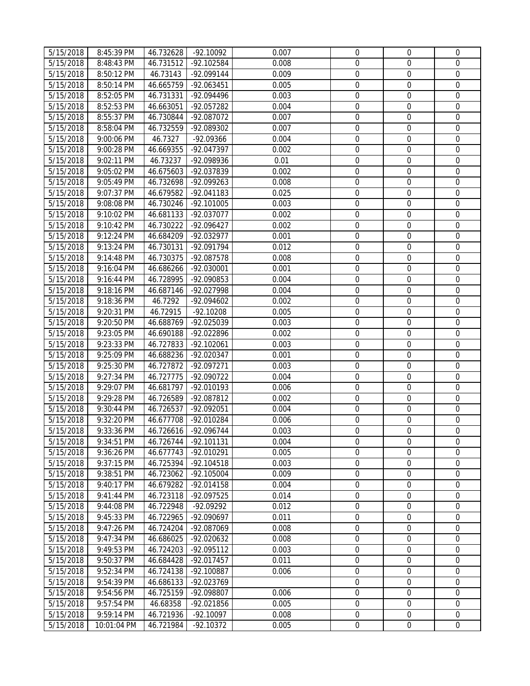| 5/15/2018              | 8:45:39 PM  | 46.732628 | $-92.10092$  | 0.007 | $\mathbf 0$      | $\mathbf 0$      | $\mathbf 0$      |
|------------------------|-------------|-----------|--------------|-------|------------------|------------------|------------------|
| 5/15/2018              | 8:48:43 PM  | 46.731512 | -92.102584   | 0.008 | $\mathbf 0$      | $\mathbf 0$      | $\mathbf 0$      |
| 5/15/2018              | 8:50:12 PM  | 46.73143  | -92.099144   | 0.009 | $\boldsymbol{0}$ | $\mathbf 0$      | $\mathbf 0$      |
| 5/15/2018              | 8:50:14 PM  | 46.665759 | -92.063451   | 0.005 | $\boldsymbol{0}$ | $\mathbf 0$      | $\mathbf 0$      |
| 5/15/2018              | 8:52:05 PM  | 46.731331 | -92.094496   | 0.003 | $\boldsymbol{0}$ | $\boldsymbol{0}$ | $\mathbf 0$      |
| 5/15/2018              | 8:52:53 PM  | 46.663051 | -92.057282   | 0.004 | $\boldsymbol{0}$ | $\mathbf 0$      | $\mathbf 0$      |
| 5/15/2018              | 8:55:37 PM  | 46.730844 | -92.087072   | 0.007 | $\overline{0}$   | $\mathbf 0$      | $\mathbf 0$      |
| 5/15/2018              | 8:58:04 PM  | 46.732559 | -92.089302   | 0.007 | $\mathbf 0$      | $\mathbf 0$      | $\mathbf 0$      |
| 5/15/2018              | 9:00:06 PM  | 46.7327   | -92.09366    | 0.004 | $\boldsymbol{0}$ | $\mathbf 0$      | $\mathbf 0$      |
| 5/15/2018              | 9:00:28 PM  | 46.669355 | -92.047397   | 0.002 | $\mathbf 0$      | $\mathbf 0$      | $\mathbf 0$      |
| 5/15/2018              | 9:02:11 PM  | 46.73237  | -92.098936   | 0.01  | $\boldsymbol{0}$ | $\boldsymbol{0}$ | $\mathbf 0$      |
| 5/15/2018              | 9:05:02 PM  | 46.675603 | -92.037839   | 0.002 | $\boldsymbol{0}$ | $\boldsymbol{0}$ | $\boldsymbol{0}$ |
| 5/15/2018              | 9:05:49 PM  | 46.732698 | -92.099263   | 0.008 | $\boldsymbol{0}$ | $\boldsymbol{0}$ | $\boldsymbol{0}$ |
| 5/15/2018              | 9:07:37 PM  | 46.679582 | -92.041183   | 0.025 | 0                | $\boldsymbol{0}$ | $\boldsymbol{0}$ |
| 5/15/2018              | 9:08:08 PM  | 46.730246 | $-92.101005$ | 0.003 | $\boldsymbol{0}$ | $\boldsymbol{0}$ | $\boldsymbol{0}$ |
| 5/15/2018              | 9:10:02 PM  | 46.681133 | -92.037077   | 0.002 | 0                | $\boldsymbol{0}$ | $\mathbf 0$      |
| 5/15/2018              | 9:10:42 PM  | 46.730222 | -92.096427   | 0.002 | $\boldsymbol{0}$ | $\boldsymbol{0}$ | $\boldsymbol{0}$ |
| 5/15/2018              | 9:12:24 PM  | 46.684209 | $-92.032977$ | 0.001 | 0                | $\boldsymbol{0}$ | $\mathbf 0$      |
| 5/15/2018              | 9:13:24 PM  | 46.730131 | -92.091794   | 0.012 | $\mathbf 0$      | $\mathbf 0$      | $\mathbf 0$      |
| 5/15/2018              | 9:14:48 PM  | 46.730375 | -92.087578   | 0.008 | $\mathbf 0$      | $\mathbf 0$      | $\mathbf 0$      |
| 5/15/2018              | 9:16:04 PM  | 46.686266 | -92.030001   | 0.001 | $\mathbf 0$      | $\mathbf 0$      | $\mathbf 0$      |
| 5/15/2018              | 9:16:44 PM  | 46.728995 | -92.090853   | 0.004 | $\boldsymbol{0}$ | $\boldsymbol{0}$ | $\boldsymbol{0}$ |
|                        |             |           | -92.027998   | 0.004 | $\boldsymbol{0}$ | $\boldsymbol{0}$ | $\mathbf 0$      |
| 5/15/2018              | 9:18:16 PM  | 46.687146 | -92.094602   | 0.002 | $\boldsymbol{0}$ | $\boldsymbol{0}$ | $\mathbf 0$      |
| 5/15/2018              | 9:18:36 PM  | 46.7292   |              |       |                  |                  |                  |
| 5/15/2018              | 9:20:31 PM  | 46.72915  | $-92.10208$  | 0.005 | $\boldsymbol{0}$ | $\boldsymbol{0}$ | $\mathbf 0$      |
| 5/15/2018              | 9:20:50 PM  | 46.688769 | -92.025039   | 0.003 | $\boldsymbol{0}$ | $\boldsymbol{0}$ | $\mathbf 0$      |
| 5/15/2018              | 9:23:05 PM  | 46.690188 | -92.022896   | 0.002 | $\boldsymbol{0}$ | $\boldsymbol{0}$ | $\mathbf 0$      |
| 5/15/2018              | 9:23:33 PM  | 46.727833 | $-92.102061$ | 0.003 | $\boldsymbol{0}$ | $\boldsymbol{0}$ | $\mathbf{0}$     |
| $\overline{5}/15/2018$ | 9:25:09 PM  | 46.688236 | -92.020347   | 0.001 | $\boldsymbol{0}$ | $\boldsymbol{0}$ | $\boldsymbol{0}$ |
| 5/15/2018              | 9:25:30 PM  | 46.727872 | -92.097271   | 0.003 | $\mathbf 0$      | $\mathbf 0$      | $\boldsymbol{0}$ |
| 5/15/2018              | 9:27:34 PM  | 46.727775 | $-92.090722$ | 0.004 | $\boldsymbol{0}$ | $\mathbf 0$      | $\mathbf 0$      |
| $\overline{5}/15/2018$ | 9:29:07 PM  | 46.681797 | -92.010193   | 0.006 | $\boldsymbol{0}$ | $\boldsymbol{0}$ | $\boldsymbol{0}$ |
| 5/15/2018              | 9:29:28 PM  | 46.726589 | -92.087812   | 0.002 | $\mathbf 0$      | $\mathbf 0$      | $\boldsymbol{0}$ |
| 5/15/2018              | 9:30:44 PM  | 46.726537 | -92.092051   | 0.004 | $\boldsymbol{0}$ | $\mathbf 0$      | $\boldsymbol{0}$ |
| 5/15/2018              | 9:32:20 PM  | 46.677708 | -92.010284   | 0.006 | $\boldsymbol{0}$ | $\boldsymbol{0}$ | $\mathbf 0$      |
| 5/15/2018              | 9:33:36 PM  | 46.726616 | -92.096744   | 0.003 | $\overline{0}$   | $\mathbf 0$      | $\mathbf 0$      |
| 5/15/2018              | 9:34:51 PM  | 46.726744 | -92.101131   | 0.004 | $\overline{0}$   | $\mathbf{0}$     | $\mathbf 0$      |
| 5/15/2018              | 9:36:26 PM  | 46.677743 | -92.010291   | 0.005 | 0                | $\mathbf 0$      | $\mathbf{0}$     |
| 5/15/2018              | 9:37:15 PM  | 46.725394 | -92.104518   | 0.003 | 0                | $\boldsymbol{0}$ | 0                |
| 5/15/2018              | 9:38:51 PM  | 46.723062 | -92.105004   | 0.009 | 0                | $\boldsymbol{0}$ | $\boldsymbol{0}$ |
| 5/15/2018              | 9:40:17 PM  | 46.679282 | -92.014158   | 0.004 | $\mathbf 0$      | $\mathbf 0$      | $\mathbf 0$      |
| 5/15/2018              | 9:41:44 PM  | 46.723118 | -92.097525   | 0.014 | $\boldsymbol{0}$ | $\boldsymbol{0}$ | $\mathbf 0$      |
| 5/15/2018              | 9:44:08 PM  | 46.722948 | -92.09292    | 0.012 | $\boldsymbol{0}$ | $\mathbf 0$      | $\mathbf 0$      |
| 5/15/2018              | 9:45:33 PM  | 46.722965 | -92.090697   | 0.011 | $\mathbf 0$      | $\mathbf 0$      | $\Omega$         |
| 5/15/2018              | 9:47:26 PM  | 46.724204 | -92.087069   | 0.008 | 0                | 0                | $\mathbf 0$      |
| 5/15/2018              | 9:47:34 PM  | 46.686025 | -92.020632   | 0.008 | $\mathbf 0$      | $\mathbf 0$      | $\mathbf 0$      |
| 5/15/2018              | 9:49:53 PM  | 46.724203 | -92.095112   | 0.003 | 0                | $\mathbf 0$      | $\mathbf 0$      |
| 5/15/2018              | 9:50:37 PM  | 46.684428 | -92.017457   | 0.011 | $\boldsymbol{0}$ | $\boldsymbol{0}$ | $\mathbf 0$      |
| 5/15/2018              | 9:52:34 PM  | 46.724138 | -92.100887   | 0.006 | 0                | 0                | $\mathbf 0$      |
| 5/15/2018              | 9:54:39 PM  | 46.686133 | -92.023769   |       | 0                | $\boldsymbol{0}$ | $\boldsymbol{0}$ |
| 5/15/2018              | 9:54:56 PM  | 46.725159 | -92.098807   | 0.006 | 0                | $\boldsymbol{0}$ | $\mathbf 0$      |
| 5/15/2018              | 9:57:54 PM  | 46.68358  | -92.021856   | 0.005 | 0                | $\boldsymbol{0}$ | $\boldsymbol{0}$ |
| 5/15/2018              | 9:59:14 PM  | 46.721936 | $-92.10097$  | 0.008 | $\boldsymbol{0}$ | $\boldsymbol{0}$ | $\boldsymbol{0}$ |
| 5/15/2018              | 10:01:04 PM | 46.721984 | $-92.10372$  | 0.005 | $\boldsymbol{0}$ | $\boldsymbol{0}$ | $\mathbf 0$      |